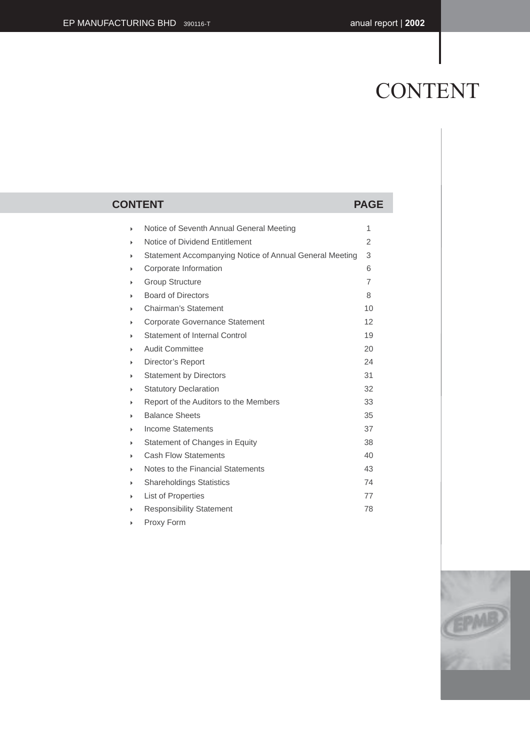# CONTENT

### **CONTENT PAGE** ▶ Notice of Seventh Annual General Meeting 1 Notice of Dividend Entitlement 2 Statement Accompanying Notice of Annual General Meeting 3 Corporate Information 6 Group Structure 7 Board of Directors 8 Chairman's Statement 10 Corporate Governance Statement 12 Statement of Internal Control 19 Audit Committee 20 Director's Report 24 Statement by Directors 31 Statutory Declaration 32 Report of the Auditors to the Members 33 Balance Sheets 35 Income Statements 37 Statement of Changes in Equity 38 Cash Flow Statements 40 Notes to the Financial Statements 43 Shareholdings Statistics 74 List of Properties 77 Responsibility Statement 78



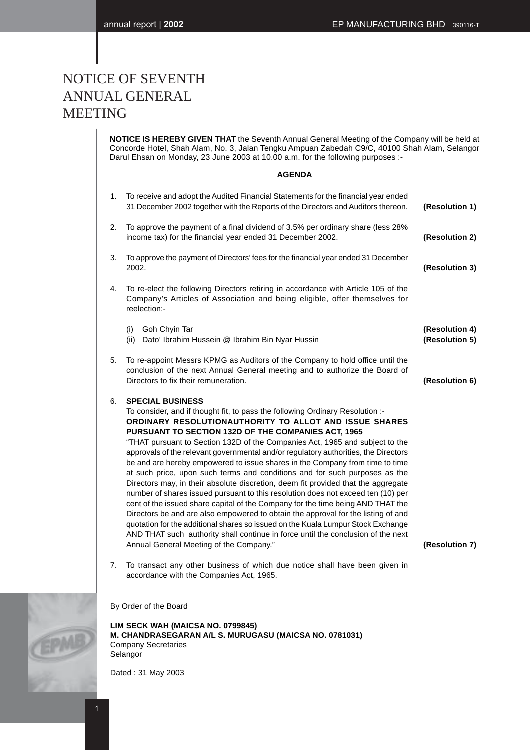### NOTICE OF SEVENTH ANNUAL GENERAL MEETING

**NOTICE IS HEREBY GIVEN THAT** the Seventh Annual General Meeting of the Company will be held at Concorde Hotel, Shah Alam, No. 3, Jalan Tengku Ampuan Zabedah C9/C, 40100 Shah Alam, Selangor Darul Ehsan on Monday, 23 June 2003 at 10.00 a.m. for the following purposes :-

#### **AGENDA**

| 1. | To receive and adopt the Audited Financial Statements for the financial year ended<br>31 December 2002 together with the Reports of the Directors and Auditors thereon.                                                                                                                                                                                                                                                                                                                                                                                                                                                                                                                                                                                                                                                                                                                                                                                                                                                                                                                                                            | (Resolution 1)                   |
|----|------------------------------------------------------------------------------------------------------------------------------------------------------------------------------------------------------------------------------------------------------------------------------------------------------------------------------------------------------------------------------------------------------------------------------------------------------------------------------------------------------------------------------------------------------------------------------------------------------------------------------------------------------------------------------------------------------------------------------------------------------------------------------------------------------------------------------------------------------------------------------------------------------------------------------------------------------------------------------------------------------------------------------------------------------------------------------------------------------------------------------------|----------------------------------|
| 2. | To approve the payment of a final dividend of 3.5% per ordinary share (less 28%<br>income tax) for the financial year ended 31 December 2002.                                                                                                                                                                                                                                                                                                                                                                                                                                                                                                                                                                                                                                                                                                                                                                                                                                                                                                                                                                                      | (Resolution 2)                   |
| 3. | To approve the payment of Directors' fees for the financial year ended 31 December<br>2002.                                                                                                                                                                                                                                                                                                                                                                                                                                                                                                                                                                                                                                                                                                                                                                                                                                                                                                                                                                                                                                        | (Resolution 3)                   |
| 4. | To re-elect the following Directors retiring in accordance with Article 105 of the<br>Company's Articles of Association and being eligible, offer themselves for<br>reelection:-                                                                                                                                                                                                                                                                                                                                                                                                                                                                                                                                                                                                                                                                                                                                                                                                                                                                                                                                                   |                                  |
|    | Goh Chyin Tar<br>(i)<br>(ii) Dato' Ibrahim Hussein @ Ibrahim Bin Nyar Hussin                                                                                                                                                                                                                                                                                                                                                                                                                                                                                                                                                                                                                                                                                                                                                                                                                                                                                                                                                                                                                                                       | (Resolution 4)<br>(Resolution 5) |
| 5. | To re-appoint Messrs KPMG as Auditors of the Company to hold office until the<br>conclusion of the next Annual General meeting and to authorize the Board of<br>Directors to fix their remuneration.                                                                                                                                                                                                                                                                                                                                                                                                                                                                                                                                                                                                                                                                                                                                                                                                                                                                                                                               | (Resolution 6)                   |
| 6. | <b>SPECIAL BUSINESS</b><br>To consider, and if thought fit, to pass the following Ordinary Resolution :-<br>ORDINARY RESOLUTIONAUTHORITY TO ALLOT AND ISSUE SHARES<br>PURSUANT TO SECTION 132D OF THE COMPANIES ACT, 1965<br>"THAT pursuant to Section 132D of the Companies Act, 1965 and subject to the<br>approvals of the relevant governmental and/or regulatory authorities, the Directors<br>be and are hereby empowered to issue shares in the Company from time to time<br>at such price, upon such terms and conditions and for such purposes as the<br>Directors may, in their absolute discretion, deem fit provided that the aggregate<br>number of shares issued pursuant to this resolution does not exceed ten (10) per<br>cent of the issued share capital of the Company for the time being AND THAT the<br>Directors be and are also empowered to obtain the approval for the listing of and<br>quotation for the additional shares so issued on the Kuala Lumpur Stock Exchange<br>AND THAT such authority shall continue in force until the conclusion of the next<br>Annual General Meeting of the Company." | (Resolution 7)                   |
| 7. | To transact any other business of which due notice shall have been given in<br>accordance with the Companies Act, 1965.                                                                                                                                                                                                                                                                                                                                                                                                                                                                                                                                                                                                                                                                                                                                                                                                                                                                                                                                                                                                            |                                  |
|    | By Order of the Board                                                                                                                                                                                                                                                                                                                                                                                                                                                                                                                                                                                                                                                                                                                                                                                                                                                                                                                                                                                                                                                                                                              |                                  |
|    | LIM SECK WAH (MAICSA NO. 0799845)<br>M. CHANDRASEGARAN A/L S. MURUGASU (MAICSA NO. 0781031)                                                                                                                                                                                                                                                                                                                                                                                                                                                                                                                                                                                                                                                                                                                                                                                                                                                                                                                                                                                                                                        |                                  |

Company Secretaries Selangor

Dated : 31 May 2003

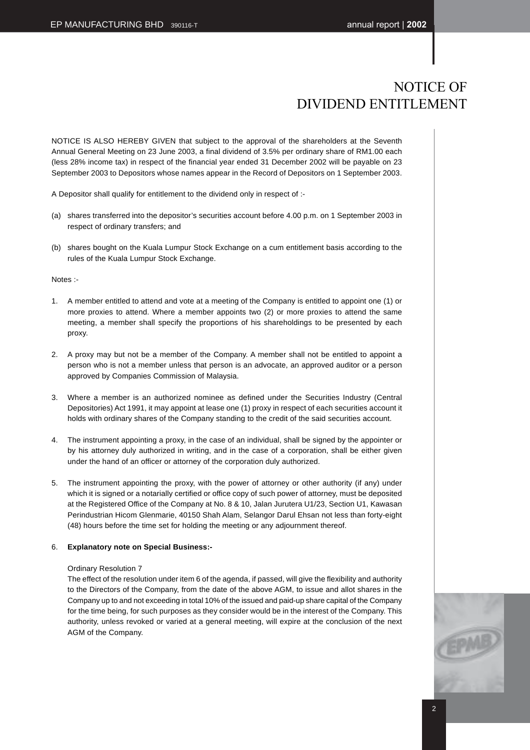### NOTICE OF DIVIDEND ENTITLEMENT

NOTICE IS ALSO HEREBY GIVEN that subject to the approval of the shareholders at the Seventh Annual General Meeting on 23 June 2003, a final dividend of 3.5% per ordinary share of RM1.00 each (less 28% income tax) in respect of the financial year ended 31 December 2002 will be payable on 23 September 2003 to Depositors whose names appear in the Record of Depositors on 1 September 2003.

A Depositor shall qualify for entitlement to the dividend only in respect of :-

- (a) shares transferred into the depositor's securities account before 4.00 p.m. on 1 September 2003 in respect of ordinary transfers; and
- (b) shares bought on the Kuala Lumpur Stock Exchange on a cum entitlement basis according to the rules of the Kuala Lumpur Stock Exchange.

#### Notes :-

- 1. A member entitled to attend and vote at a meeting of the Company is entitled to appoint one (1) or more proxies to attend. Where a member appoints two (2) or more proxies to attend the same meeting, a member shall specify the proportions of his shareholdings to be presented by each proxy.
- 2. A proxy may but not be a member of the Company. A member shall not be entitled to appoint a person who is not a member unless that person is an advocate, an approved auditor or a person approved by Companies Commission of Malaysia.
- 3. Where a member is an authorized nominee as defined under the Securities Industry (Central Depositories) Act 1991, it may appoint at lease one (1) proxy in respect of each securities account it holds with ordinary shares of the Company standing to the credit of the said securities account.
- 4. The instrument appointing a proxy, in the case of an individual, shall be signed by the appointer or by his attorney duly authorized in writing, and in the case of a corporation, shall be either given under the hand of an officer or attorney of the corporation duly authorized.
- 5. The instrument appointing the proxy, with the power of attorney or other authority (if any) under which it is signed or a notarially certified or office copy of such power of attorney, must be deposited at the Registered Office of the Company at No. 8 & 10, Jalan Jurutera U1/23, Section U1, Kawasan Perindustrian Hicom Glenmarie, 40150 Shah Alam, Selangor Darul Ehsan not less than forty-eight (48) hours before the time set for holding the meeting or any adjournment thereof.

#### 6. **Explanatory note on Special Business:-**

#### Ordinary Resolution 7

The effect of the resolution under item 6 of the agenda, if passed, will give the flexibility and authority to the Directors of the Company, from the date of the above AGM, to issue and allot shares in the Company up to and not exceeding in total 10% of the issued and paid-up share capital of the Company for the time being, for such purposes as they consider would be in the interest of the Company. This authority, unless revoked or varied at a general meeting, will expire at the conclusion of the next AGM of the Company.

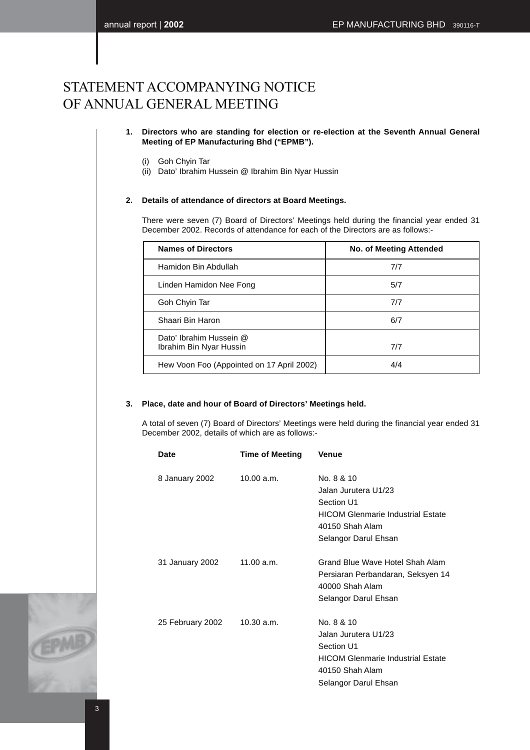### STATEMENT ACCOMPANYING NOTICE OF ANNUAL GENERAL MEETING

#### **1. Directors who are standing for election or re-election at the Seventh Annual General Meeting of EP Manufacturing Bhd ("EPMB").**

- (i) Goh Chyin Tar
- (ii) Dato' Ibrahim Hussein @ Ibrahim Bin Nyar Hussin

### **2. Details of attendance of directors at Board Meetings.**

There were seven (7) Board of Directors' Meetings held during the financial year ended 31 December 2002. Records of attendance for each of the Directors are as follows:-

| <b>Names of Directors</b>                          | <b>No. of Meeting Attended</b> |
|----------------------------------------------------|--------------------------------|
| Hamidon Bin Abdullah                               | 7/7                            |
| Linden Hamidon Nee Fong                            | 5/7                            |
| Goh Chyin Tar                                      | 7/7                            |
| Shaari Bin Haron                                   | 6/7                            |
| Dato' Ibrahim Hussein @<br>Ibrahim Bin Nyar Hussin | 7/7                            |
| Hew Voon Foo (Appointed on 17 April 2002)          | 4/4                            |

#### **3. Place, date and hour of Board of Directors' Meetings held.**

A total of seven (7) Board of Directors' Meetings were held during the financial year ended 31 December 2002, details of which are as follows:-

| <b>Date</b>      | <b>Time of Meeting</b> | <b>Venue</b>                                                                                                                            |
|------------------|------------------------|-----------------------------------------------------------------------------------------------------------------------------------------|
| 8 January 2002   | 10.00 a.m.             | No. 8 & 10<br>Jalan Jurutera U1/23<br>Section U1<br><b>HICOM Glenmarie Industrial Estate</b><br>40150 Shah Alam<br>Selangor Darul Ehsan |
| 31 January 2002  | 11.00 a.m.             | Grand Blue Wave Hotel Shah Alam<br>Persiaran Perbandaran, Seksyen 14<br>40000 Shah Alam<br>Selangor Darul Ehsan                         |
| 25 February 2002 | 10.30 a.m.             | No. 8 & 10<br>Jalan Jurutera U1/23<br>Section U1<br><b>HICOM Glenmarie Industrial Estate</b><br>40150 Shah Alam<br>Selangor Darul Ehsan |

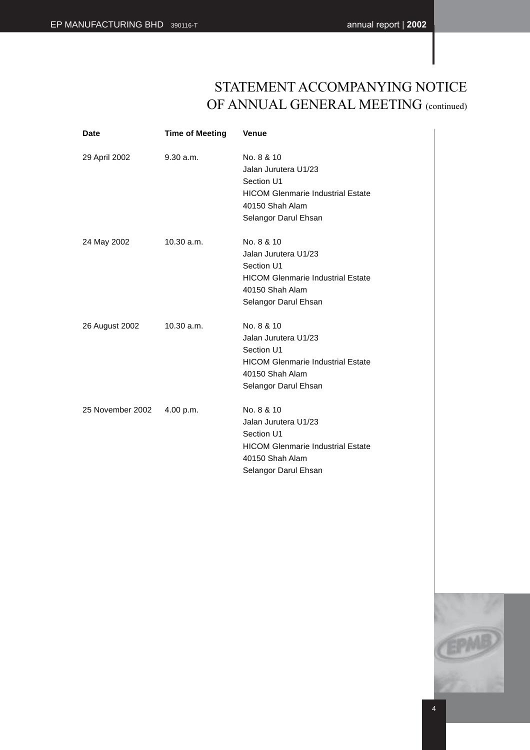### STATEMENT ACCOMPANYING NOTICE OF ANNUAL GENERAL MEETING (continued)

| Date             | <b>Time of Meeting</b> | <b>Venue</b>                                                                                                                            |
|------------------|------------------------|-----------------------------------------------------------------------------------------------------------------------------------------|
| 29 April 2002    | 9.30 a.m.              | No. 8 & 10<br>Jalan Jurutera U1/23<br>Section U1<br><b>HICOM Glenmarie Industrial Estate</b><br>40150 Shah Alam<br>Selangor Darul Ehsan |
| 24 May 2002      | 10.30 a.m.             | No. 8 & 10<br>Jalan Jurutera U1/23<br>Section U1<br><b>HICOM Glenmarie Industrial Estate</b><br>40150 Shah Alam<br>Selangor Darul Ehsan |
| 26 August 2002   | 10.30 a.m.             | No. 8 & 10<br>Jalan Jurutera U1/23<br>Section U1<br><b>HICOM Glenmarie Industrial Estate</b><br>40150 Shah Alam<br>Selangor Darul Ehsan |
| 25 November 2002 | 4.00 p.m.              | No. 8 & 10<br>Jalan Jurutera U1/23<br>Section U1<br><b>HICOM Glenmarie Industrial Estate</b><br>40150 Shah Alam<br>Selangor Darul Ehsan |

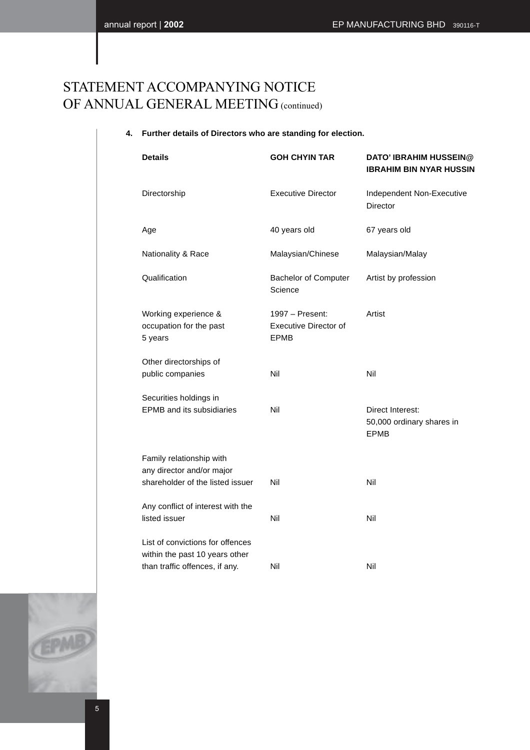### STATEMENT ACCOMPANYING NOTICE OF ANNUAL GENERAL MEETING (continued)

### **4. Further details of Directors who are standing for election.**

| <b>Details</b>                                                   | <b>GOH CHYIN TAR</b>                                    | <b>DATO' IBRAHIM HUSSEIN@</b><br><b>IBRAHIM BIN NYAR HUSSIN</b> |
|------------------------------------------------------------------|---------------------------------------------------------|-----------------------------------------------------------------|
| Directorship                                                     | <b>Executive Director</b>                               | Independent Non-Executive<br>Director                           |
| Age                                                              | 40 years old                                            | 67 years old                                                    |
| Nationality & Race                                               | Malaysian/Chinese                                       | Malaysian/Malay                                                 |
| Qualification                                                    | <b>Bachelor of Computer</b><br>Science                  | Artist by profession                                            |
| Working experience &<br>occupation for the past<br>5 years       | 1997 - Present:<br>Executive Director of<br><b>EPMB</b> | Artist                                                          |
| Other directorships of                                           |                                                         |                                                                 |
| public companies                                                 | Nil                                                     | Nil                                                             |
| Securities holdings in                                           |                                                         |                                                                 |
| <b>EPMB</b> and its subsidiaries                                 | Nil                                                     | Direct Interest:<br>50,000 ordinary shares in<br><b>EPMB</b>    |
| Family relationship with                                         |                                                         |                                                                 |
| any director and/or major                                        |                                                         |                                                                 |
| shareholder of the listed issuer                                 | Nil                                                     | Nil                                                             |
| Any conflict of interest with the                                |                                                         |                                                                 |
| listed issuer                                                    | Nil                                                     | Nil                                                             |
| List of convictions for offences                                 |                                                         |                                                                 |
| within the past 10 years other<br>than traffic offences, if any. | Nil                                                     | Nil                                                             |
|                                                                  |                                                         |                                                                 |

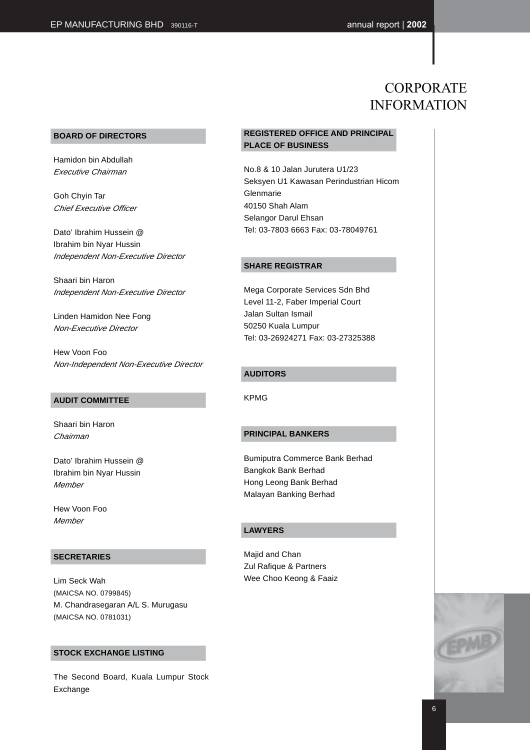### CORPORATE INFORMATION

#### **BOARD OF DIRECTORS**

Hamidon bin Abdullah Executive Chairman

Goh Chyin Tar Chief Executive Officer

Dato' Ibrahim Hussein @ Ibrahim bin Nyar Hussin Independent Non-Executive Director

Shaari bin Haron Independent Non-Executive Director

Linden Hamidon Nee Fong Non-Executive Director

Hew Voon Foo Non-Independent Non-Executive Director

#### **AUDIT COMMITTEE**

Shaari bin Haron Chairman

Dato' Ibrahim Hussein @ Ibrahim bin Nyar Hussin **Member** 

Hew Voon Foo **Member** 

#### **SECRETARIES**

Lim Seck Wah (MAICSA NO. 0799845) M. Chandrasegaran A/L S. Murugasu (MAICSA NO. 0781031)

#### **STOCK EXCHANGE LISTING**

The Second Board, Kuala Lumpur Stock Exchange

### **REGISTERED OFFICE AND PRINCIPAL PLACE OF BUSINESS**

No.8 & 10 Jalan Jurutera U1/23 Seksyen U1 Kawasan Perindustrian Hicom Glenmarie 40150 Shah Alam Selangor Darul Ehsan Tel: 03-7803 6663 Fax: 03-78049761

#### **SHARE REGISTRAR**

Mega Corporate Services Sdn Bhd Level 11-2, Faber Imperial Court Jalan Sultan Ismail 50250 Kuala Lumpur Tel: 03-26924271 Fax: 03-27325388

#### **AUDITORS**

KPMG

#### **PRINCIPAL BANKERS**

Bumiputra Commerce Bank Berhad Bangkok Bank Berhad Hong Leong Bank Berhad Malayan Banking Berhad

#### **LAWYERS**

Majid and Chan Zul Rafique & Partners Wee Choo Keong & Faaiz

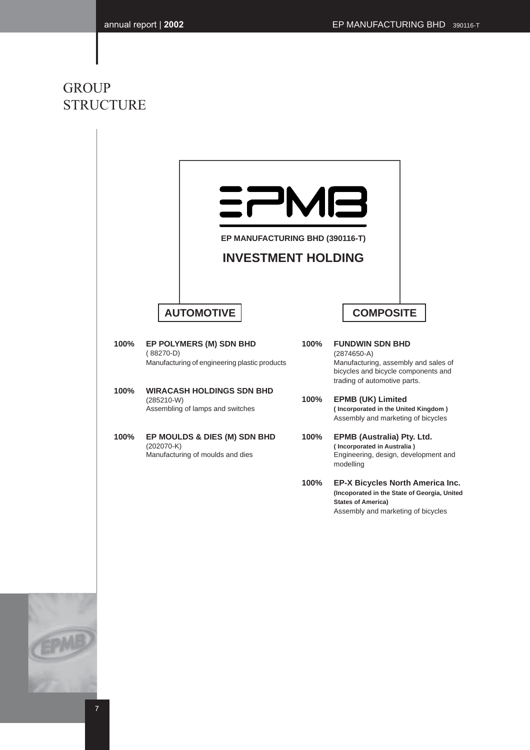### **GROUP** STRUCTURE

|      | EP MANUFACTURING BHD (390116-T)<br><b>INVESTMENT HOLDING</b>                            |      |                                                                                                                                                        |
|------|-----------------------------------------------------------------------------------------|------|--------------------------------------------------------------------------------------------------------------------------------------------------------|
|      | <b>AUTOMOTIVE</b>                                                                       |      | <b>COMPOSITE</b>                                                                                                                                       |
| 100% | EP POLYMERS (M) SDN BHD<br>$(88270-D)$<br>Manufacturing of engineering plastic products | 100% | <b>FUNDWIN SDN BHD</b><br>$(2874650-A)$<br>Manufacturing, assembly and sales of<br>bicycles and bicycle components and<br>trading of automotive parts. |
| 100% | <b>WIRACASH HOLDINGS SDN BHD</b><br>$(285210-W)$<br>Assembling of lamps and switches    | 100% | <b>EPMB (UK) Limited</b><br>(Incorporated in the United Kingdom)<br>Assembly and marketing of bicycles                                                 |
| 100% | EP MOULDS & DIES (M) SDN BHD<br>$(202070-K)$<br>Manufacturing of moulds and dies        | 100% | EPMB (Australia) Pty. Ltd.<br>(Incorporated in Australia)<br>Engineering, design, development and<br>modelling                                         |
|      |                                                                                         | 100% | EP-X Bicycles North America Inc.<br>(Incoporated in the State of Georgia, United<br><b>States of America)</b><br>Assembly and marketing of bicycles    |
|      |                                                                                         |      |                                                                                                                                                        |
|      |                                                                                         |      |                                                                                                                                                        |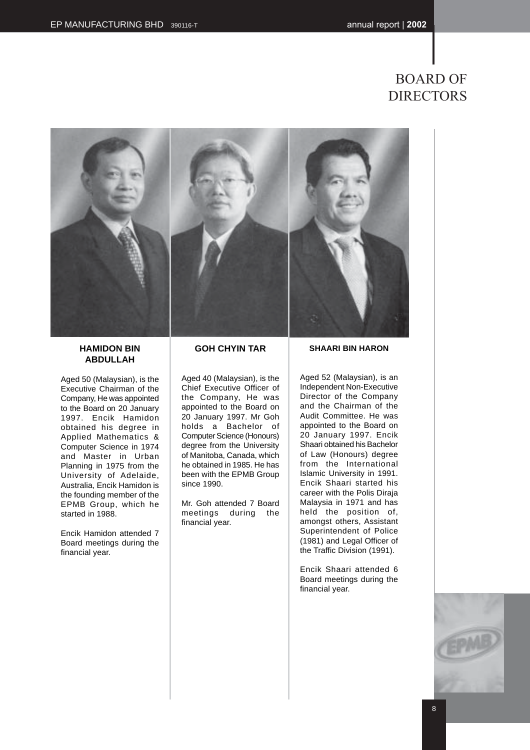### BOARD OF DIRECTORS



**HAMIDON BIN ABDULLAH**

Aged 50 (Malaysian), is the Executive Chairman of the Company, He was appointed to the Board on 20 January 1997. Encik Hamidon obtained his degree in Applied Mathematics & Computer Science in 1974 and Master in Urban Planning in 1975 from the University of Adelaide, Australia, Encik Hamidon is the founding member of the EPMB Group, which he started in 1988.

Encik Hamidon attended 7 Board meetings during the financial year.

### **GOH CHYIN TAR**

Aged 40 (Malaysian), is the Chief Executive Officer of the Company, He was appointed to the Board on 20 January 1997. Mr Goh holds a Bachelor of Computer Science (Honours) degree from the University of Manitoba, Canada, which he obtained in 1985. He has been with the EPMB Group since 1990.

Mr. Goh attended 7 Board meetings during the financial year.

**SHAARI BIN HARON**

Aged 52 (Malaysian), is an Independent Non-Executive Director of the Company and the Chairman of the Audit Committee. He was appointed to the Board on 20 January 1997. Encik Shaari obtained his Bachelor of Law (Honours) degree from the International Islamic University in 1991. Encik Shaari started his career with the Polis Diraja Malaysia in 1971 and has held the position of, amongst others, Assistant Superintendent of Police (1981) and Legal Officer of the Traffic Division (1991).

Encik Shaari attended 6 Board meetings during the financial year.

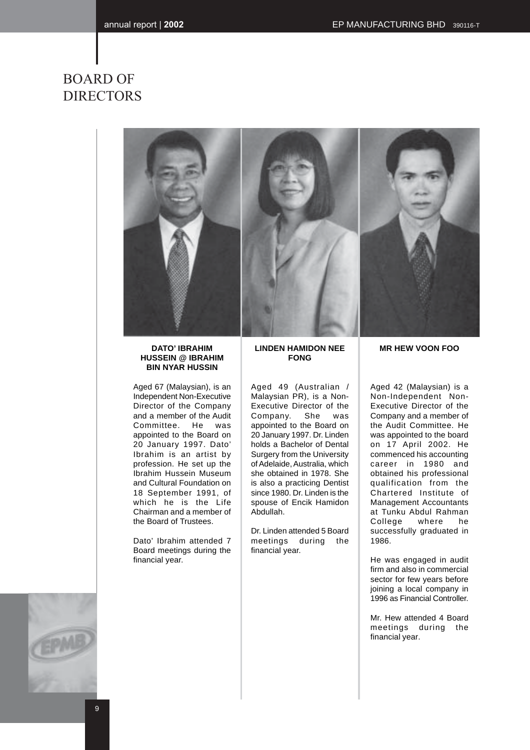### BOARD OF DIRECTORS



#### **DATO' IBRAHIM HUSSEIN @ IBRAHIM BIN NYAR HUSSIN**

Aged 67 (Malaysian), is an Independent Non-Executive Director of the Company and a member of the Audit Committee. He was appointed to the Board on 20 January 1997. Dato' Ibrahim is an artist by profession. He set up the Ibrahim Hussein Museum and Cultural Foundation on 18 September 1991, of which he is the Life Chairman and a member of the Board of Trustees.

Dato' Ibrahim attended 7 Board meetings during the financial year.

#### **LINDEN HAMIDON NEE FONG**

Aged 49 (Australian / Malaysian PR), is a Non-Executive Director of the Company. She was appointed to the Board on 20 January 1997. Dr. Linden holds a Bachelor of Dental Surgery from the University of Adelaide, Australia, which she obtained in 1978. She is also a practicing Dentist since 1980. Dr. Linden is the spouse of Encik Hamidon Abdullah.

Dr. Linden attended 5 Board meetings during the financial year.

#### **MR HEW VOON FOO**

Aged 42 (Malaysian) is a Non-Independent Non-Executive Director of the Company and a member of the Audit Committee. He was appointed to the board on 17 April 2002. He commenced his accounting career in 1980 and obtained his professional qualification from the Chartered Institute of Management Accountants at Tunku Abdul Rahman<br>College where he College where he successfully graduated in 1986.

He was engaged in audit firm and also in commercial sector for few years before joining a local company in 1996 as Financial Controller.

Mr. Hew attended 4 Board meetings during the financial year.

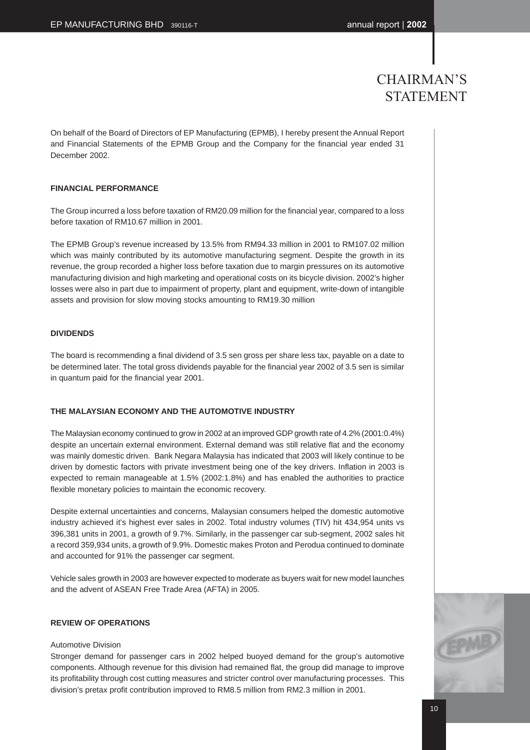### CHAIRMAN'S STATEMENT

On behalf of the Board of Directors of EP Manufacturing (EPMB), I hereby present the Annual Report and Financial Statements of the EPMB Group and the Company for the financial year ended 31 December 2002.

#### **FINANCIAL PERFORMANCE**

The Group incurred a loss before taxation of RM20.09 million for the financial year, compared to a loss before taxation of RM10.67 million in 2001.

The EPMB Group's revenue increased by 13.5% from RM94.33 million in 2001 to RM107.02 million which was mainly contributed by its automotive manufacturing segment. Despite the growth in its revenue, the group recorded a higher loss before taxation due to margin pressures on its automotive manufacturing division and high marketing and operational costs on its bicycle division. 2002's higher losses were also in part due to impairment of property, plant and equipment, write-down of intangible assets and provision for slow moving stocks amounting to RM19.30 million

#### **DIVIDENDS**

The board is recommending a final dividend of 3.5 sen gross per share less tax, payable on a date to be determined later. The total gross dividends payable for the financial year 2002 of 3.5 sen is similar in quantum paid for the financial year 2001.

#### **THE MALAYSIAN ECONOMY AND THE AUTOMOTIVE INDUSTRY**

The Malaysian economy continued to grow in 2002 at an improved GDP growth rate of 4.2% (2001:0.4%) despite an uncertain external environment. External demand was still relative flat and the economy was mainly domestic driven. Bank Negara Malaysia has indicated that 2003 will likely continue to be driven by domestic factors with private investment being one of the key drivers. Inflation in 2003 is expected to remain manageable at 1.5% (2002:1.8%) and has enabled the authorities to practice flexible monetary policies to maintain the economic recovery.

Despite external uncertainties and concerns, Malaysian consumers helped the domestic automotive industry achieved it's highest ever sales in 2002. Total industry volumes (TIV) hit 434,954 units vs 396,381 units in 2001, a growth of 9.7%. Similarly, in the passenger car sub-segment, 2002 sales hit a record 359,934 units, a growth of 9.9%. Domestic makes Proton and Perodua continued to dominate and accounted for 91% the passenger car segment.

Vehicle sales growth in 2003 are however expected to moderate as buyers wait for new model launches and the advent of ASEAN Free Trade Area (AFTA) in 2005.

#### **REVIEW OF OPERATIONS**

#### Automotive Division

Stronger demand for passenger cars in 2002 helped buoyed demand for the group's automotive components. Although revenue for this division had remained flat, the group did manage to improve its profitability through cost cutting measures and stricter control over manufacturing processes. This division's pretax profit contribution improved to RM8.5 million from RM2.3 million in 2001.

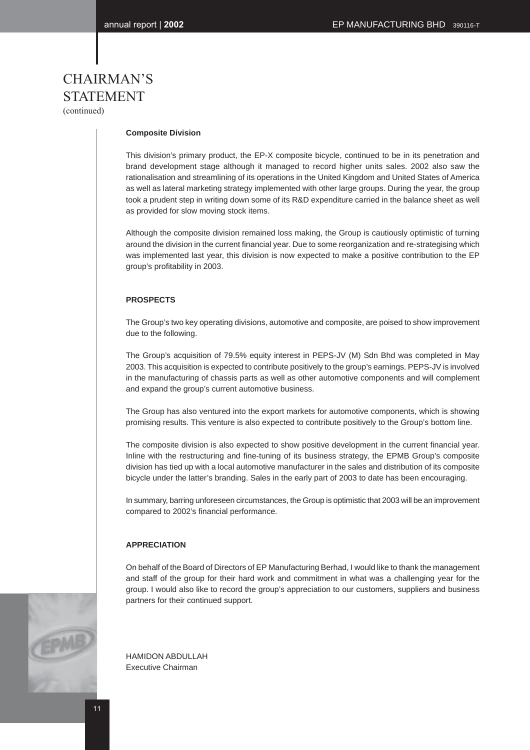# CHAIRMAN'S STATEMENT

(continued)

#### **Composite Division**

This division's primary product, the EP-X composite bicycle, continued to be in its penetration and brand development stage although it managed to record higher units sales. 2002 also saw the rationalisation and streamlining of its operations in the United Kingdom and United States of America as well as lateral marketing strategy implemented with other large groups. During the year, the group took a prudent step in writing down some of its R&D expenditure carried in the balance sheet as well as provided for slow moving stock items.

Although the composite division remained loss making, the Group is cautiously optimistic of turning around the division in the current financial year. Due to some reorganization and re-strategising which was implemented last year, this division is now expected to make a positive contribution to the EP group's profitability in 2003.

#### **PROSPECTS**

The Group's two key operating divisions, automotive and composite, are poised to show improvement due to the following.

The Group's acquisition of 79.5% equity interest in PEPS-JV (M) Sdn Bhd was completed in May 2003. This acquisition is expected to contribute positively to the group's earnings. PEPS-JV is involved in the manufacturing of chassis parts as well as other automotive components and will complement and expand the group's current automotive business.

The Group has also ventured into the export markets for automotive components, which is showing promising results. This venture is also expected to contribute positively to the Group's bottom line.

The composite division is also expected to show positive development in the current financial year. Inline with the restructuring and fine-tuning of its business strategy, the EPMB Group's composite division has tied up with a local automotive manufacturer in the sales and distribution of its composite bicycle under the latter's branding. Sales in the early part of 2003 to date has been encouraging.

In summary, barring unforeseen circumstances, the Group is optimistic that 2003 will be an improvement compared to 2002's financial performance.

#### **APPRECIATION**

On behalf of the Board of Directors of EP Manufacturing Berhad, I would like to thank the management and staff of the group for their hard work and commitment in what was a challenging year for the group. I would also like to record the group's appreciation to our customers, suppliers and business partners for their continued support.



HAMIDON ABDULLAH Executive Chairman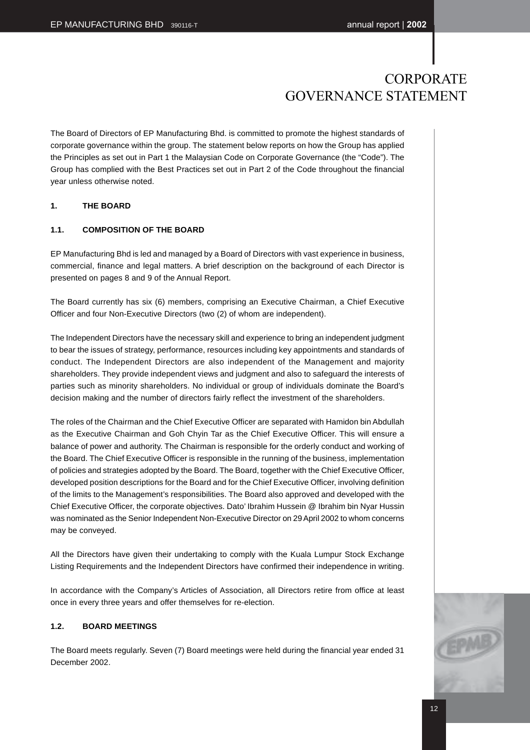The Board of Directors of EP Manufacturing Bhd. is committed to promote the highest standards of corporate governance within the group. The statement below reports on how the Group has applied the Principles as set out in Part 1 the Malaysian Code on Corporate Governance (the "Code"). The Group has complied with the Best Practices set out in Part 2 of the Code throughout the financial year unless otherwise noted.

#### **1. THE BOARD**

#### **1.1. COMPOSITION OF THE BOARD**

EP Manufacturing Bhd is led and managed by a Board of Directors with vast experience in business, commercial, finance and legal matters. A brief description on the background of each Director is presented on pages 8 and 9 of the Annual Report.

The Board currently has six (6) members, comprising an Executive Chairman, a Chief Executive Officer and four Non-Executive Directors (two (2) of whom are independent).

The Independent Directors have the necessary skill and experience to bring an independent judgment to bear the issues of strategy, performance, resources including key appointments and standards of conduct. The Independent Directors are also independent of the Management and majority shareholders. They provide independent views and judgment and also to safeguard the interests of parties such as minority shareholders. No individual or group of individuals dominate the Board's decision making and the number of directors fairly reflect the investment of the shareholders.

The roles of the Chairman and the Chief Executive Officer are separated with Hamidon bin Abdullah as the Executive Chairman and Goh Chyin Tar as the Chief Executive Officer. This will ensure a balance of power and authority. The Chairman is responsible for the orderly conduct and working of the Board. The Chief Executive Officer is responsible in the running of the business, implementation of policies and strategies adopted by the Board. The Board, together with the Chief Executive Officer, developed position descriptions for the Board and for the Chief Executive Officer, involving definition of the limits to the Management's responsibilities. The Board also approved and developed with the Chief Executive Officer, the corporate objectives. Dato' Ibrahim Hussein @ Ibrahim bin Nyar Hussin was nominated as the Senior Independent Non-Executive Director on 29 April 2002 to whom concerns may be conveyed.

All the Directors have given their undertaking to comply with the Kuala Lumpur Stock Exchange Listing Requirements and the Independent Directors have confirmed their independence in writing.

In accordance with the Company's Articles of Association, all Directors retire from office at least once in every three years and offer themselves for re-election.

#### **1.2. BOARD MEETINGS**

The Board meets regularly. Seven (7) Board meetings were held during the financial year ended 31 December 2002.

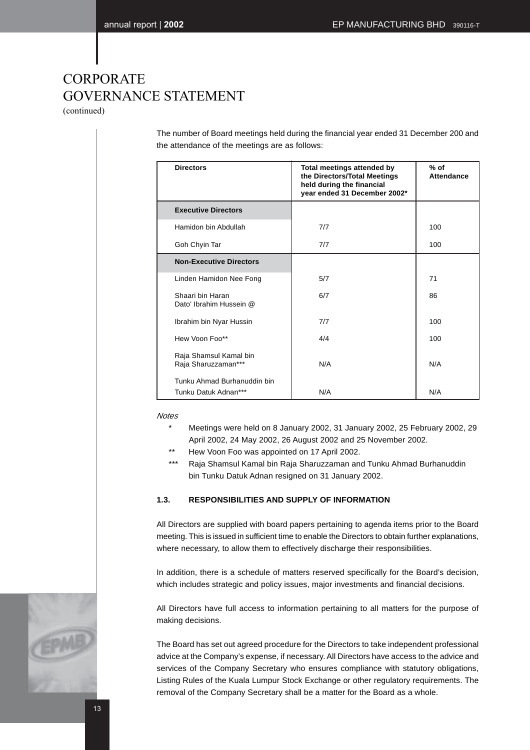(continued)

The number of Board meetings held during the financial year ended 31 December 200 and the attendance of the meetings are as follows:

| <b>Directors</b>                                    | Total meetings attended by<br>the Directors/Total Meetings<br>held during the financial<br>year ended 31 December 2002* | $%$ of<br><b>Attendance</b> |
|-----------------------------------------------------|-------------------------------------------------------------------------------------------------------------------------|-----------------------------|
| <b>Executive Directors</b>                          |                                                                                                                         |                             |
| Hamidon bin Abdullah                                | 7/7                                                                                                                     | 100                         |
| Goh Chyin Tar                                       | 7/7                                                                                                                     | 100                         |
| <b>Non-Executive Directors</b>                      |                                                                                                                         |                             |
| Linden Hamidon Nee Fong                             | 5/7                                                                                                                     | 71                          |
| Shaari bin Haran<br>Dato' Ibrahim Hussein @         | 6/7                                                                                                                     | 86                          |
| Ibrahim bin Nyar Hussin                             | 7/7                                                                                                                     | 100                         |
| Hew Voon Foo**                                      | 4/4                                                                                                                     | 100                         |
| Raja Shamsul Kamal bin<br>Raja Sharuzzaman***       | N/A                                                                                                                     | N/A                         |
| Tunku Ahmad Burhanuddin bin<br>Tunku Datuk Adnan*** | N/A                                                                                                                     | N/A                         |

#### **Notes**

- Meetings were held on 8 January 2002, 31 January 2002, 25 February 2002, 29 April 2002, 24 May 2002, 26 August 2002 and 25 November 2002.
- \*\* Hew Voon Foo was appointed on 17 April 2002.
- Raja Shamsul Kamal bin Raja Sharuzzaman and Tunku Ahmad Burhanuddin bin Tunku Datuk Adnan resigned on 31 January 2002.

#### **1.3. RESPONSIBILITIES AND SUPPLY OF INFORMATION**

All Directors are supplied with board papers pertaining to agenda items prior to the Board meeting. This is issued in sufficient time to enable the Directors to obtain further explanations, where necessary, to allow them to effectively discharge their responsibilities.

In addition, there is a schedule of matters reserved specifically for the Board's decision, which includes strategic and policy issues, major investments and financial decisions.

All Directors have full access to information pertaining to all matters for the purpose of making decisions.

The Board has set out agreed procedure for the Directors to take independent professional advice at the Company's expense, if necessary. All Directors have access to the advice and services of the Company Secretary who ensures compliance with statutory obligations, Listing Rules of the Kuala Lumpur Stock Exchange or other regulatory requirements. The removal of the Company Secretary shall be a matter for the Board as a whole.

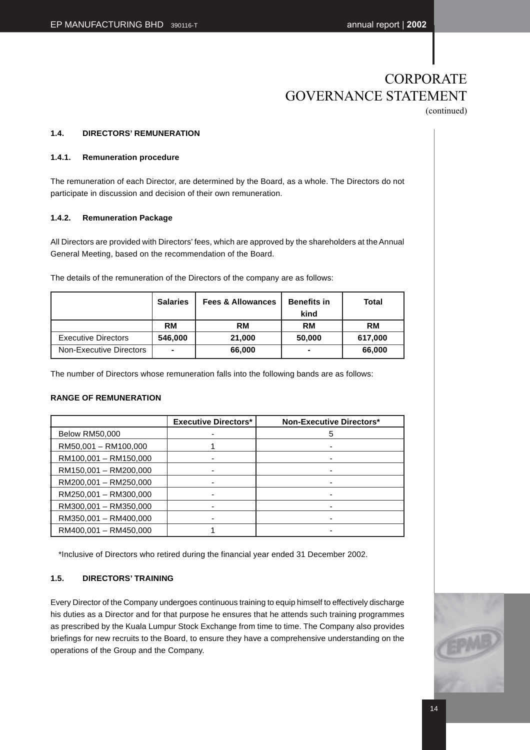### **CORPORATE** GOVERNANCE STATEMENT (continued)

#### **1.4. DIRECTORS' REMUNERATION**

#### **1.4.1. Remuneration procedure**

The remuneration of each Director, are determined by the Board, as a whole. The Directors do not participate in discussion and decision of their own remuneration.

#### **1.4.2. Remuneration Package**

All Directors are provided with Directors' fees, which are approved by the shareholders at the Annual General Meeting, based on the recommendation of the Board.

The details of the remuneration of the Directors of the company are as follows:

|                            | <b>Salaries</b> | <b>Fees &amp; Allowances</b> | <b>Benefits in</b><br>kind | Total     |
|----------------------------|-----------------|------------------------------|----------------------------|-----------|
|                            | <b>RM</b>       | <b>RM</b>                    | <b>RM</b>                  | <b>RM</b> |
| <b>Executive Directors</b> | 546,000         | 21.000                       | 50,000                     | 617,000   |
| Non-Executive Directors    | $\blacksquare$  | 66,000                       | ٠                          | 66,000    |

The number of Directors whose remuneration falls into the following bands are as follows:

#### **RANGE OF REMUNERATION**

|                       | <b>Executive Directors*</b> | <b>Non-Executive Directors*</b> |
|-----------------------|-----------------------------|---------------------------------|
| <b>Below RM50,000</b> |                             | 5                               |
| RM50,001 - RM100,000  |                             |                                 |
| RM100,001 - RM150,000 | ۰                           |                                 |
| RM150,001 - RM200,000 |                             |                                 |
| RM200,001 - RM250,000 |                             |                                 |
| RM250,001 - RM300,000 |                             |                                 |
| RM300,001 - RM350,000 |                             |                                 |
| RM350,001 - RM400,000 |                             |                                 |
| RM400,001 - RM450,000 |                             |                                 |

\*Inclusive of Directors who retired during the financial year ended 31 December 2002.

#### **1.5. DIRECTORS' TRAINING**

Every Director of the Company undergoes continuous training to equip himself to effectively discharge his duties as a Director and for that purpose he ensures that he attends such training programmes as prescribed by the Kuala Lumpur Stock Exchange from time to time. The Company also provides briefings for new recruits to the Board, to ensure they have a comprehensive understanding on the operations of the Group and the Company.

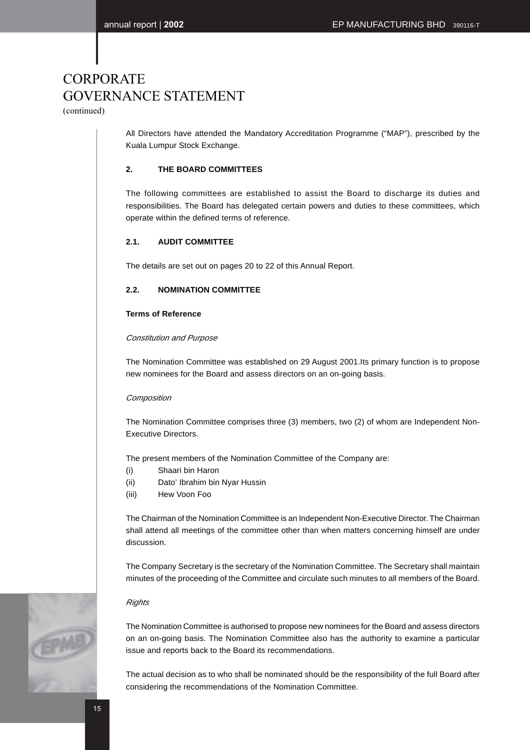(continued)

All Directors have attended the Mandatory Accreditation Programme ("MAP"), prescribed by the Kuala Lumpur Stock Exchange.

#### **2. THE BOARD COMMITTEES**

The following committees are established to assist the Board to discharge its duties and responsibilities. The Board has delegated certain powers and duties to these committees, which operate within the defined terms of reference.

#### **2.1. AUDIT COMMITTEE**

The details are set out on pages 20 to 22 of this Annual Report.

#### **2.2. NOMINATION COMMITTEE**

#### **Terms of Reference**

#### Constitution and Purpose

The Nomination Committee was established on 29 August 2001.Its primary function is to propose new nominees for the Board and assess directors on an on-going basis.

#### **Composition**

The Nomination Committee comprises three (3) members, two (2) of whom are Independent Non-Executive Directors.

The present members of the Nomination Committee of the Company are:

- (i) Shaari bin Haron
- (ii) Dato' Ibrahim bin Nyar Hussin
- (iii) Hew Voon Foo

The Chairman of the Nomination Committee is an Independent Non-Executive Director. The Chairman shall attend all meetings of the committee other than when matters concerning himself are under discussion.

The Company Secretary is the secretary of the Nomination Committee. The Secretary shall maintain minutes of the proceeding of the Committee and circulate such minutes to all members of the Board.

#### **Rights**

The Nomination Committee is authorised to propose new nominees for the Board and assess directors on an on-going basis. The Nomination Committee also has the authority to examine a particular issue and reports back to the Board its recommendations.

The actual decision as to who shall be nominated should be the responsibility of the full Board after considering the recommendations of the Nomination Committee.

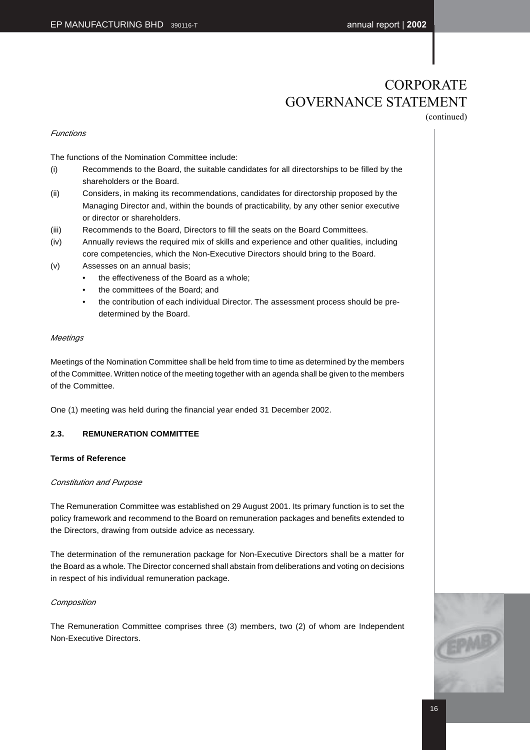(continued)

#### Functions

The functions of the Nomination Committee include:

- (i) Recommends to the Board, the suitable candidates for all directorships to be filled by the shareholders or the Board.
- (ii) Considers, in making its recommendations, candidates for directorship proposed by the Managing Director and, within the bounds of practicability, by any other senior executive or director or shareholders.
- (iii) Recommends to the Board, Directors to fill the seats on the Board Committees.
- (iv) Annually reviews the required mix of skills and experience and other qualities, including core competencies, which the Non-Executive Directors should bring to the Board.
- (v) Assesses on an annual basis;
	- the effectiveness of the Board as a whole;
	- the committees of the Board; and
	- the contribution of each individual Director. The assessment process should be predetermined by the Board.

#### **Meetings**

Meetings of the Nomination Committee shall be held from time to time as determined by the members of the Committee. Written notice of the meeting together with an agenda shall be given to the members of the Committee.

One (1) meeting was held during the financial year ended 31 December 2002.

### **2.3. REMUNERATION COMMITTEE**

#### **Terms of Reference**

#### Constitution and Purpose

The Remuneration Committee was established on 29 August 2001. Its primary function is to set the policy framework and recommend to the Board on remuneration packages and benefits extended to the Directors, drawing from outside advice as necessary.

The determination of the remuneration package for Non-Executive Directors shall be a matter for the Board as a whole. The Director concerned shall abstain from deliberations and voting on decisions in respect of his individual remuneration package.

#### **Composition**

The Remuneration Committee comprises three (3) members, two (2) of whom are Independent Non-Executive Directors.

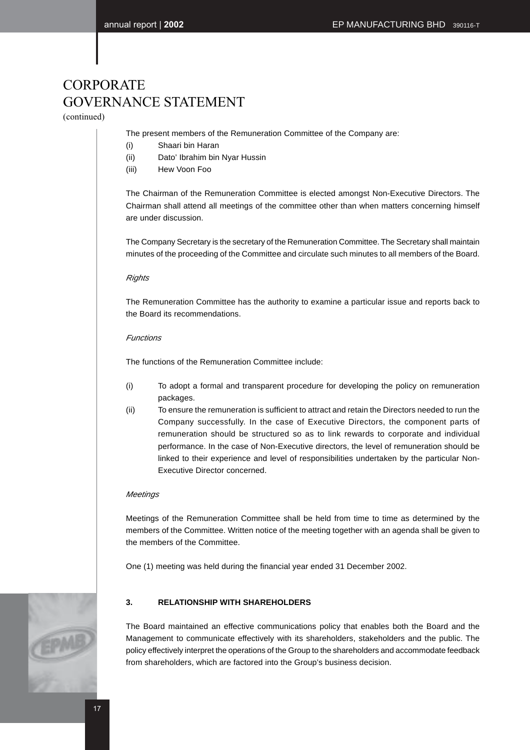(continued)

The present members of the Remuneration Committee of the Company are:

- (i) Shaari bin Haran
- (ii) Dato' Ibrahim bin Nyar Hussin
- (iii) Hew Voon Foo

The Chairman of the Remuneration Committee is elected amongst Non-Executive Directors. The Chairman shall attend all meetings of the committee other than when matters concerning himself are under discussion.

The Company Secretary is the secretary of the Remuneration Committee. The Secretary shall maintain minutes of the proceeding of the Committee and circulate such minutes to all members of the Board.

#### **Rights**

The Remuneration Committee has the authority to examine a particular issue and reports back to the Board its recommendations.

#### Functions

The functions of the Remuneration Committee include:

- (i) To adopt a formal and transparent procedure for developing the policy on remuneration packages.
- (ii) To ensure the remuneration is sufficient to attract and retain the Directors needed to run the Company successfully. In the case of Executive Directors, the component parts of remuneration should be structured so as to link rewards to corporate and individual performance. In the case of Non-Executive directors, the level of remuneration should be linked to their experience and level of responsibilities undertaken by the particular Non-Executive Director concerned.

#### **Meetings**

Meetings of the Remuneration Committee shall be held from time to time as determined by the members of the Committee. Written notice of the meeting together with an agenda shall be given to the members of the Committee.

One (1) meeting was held during the financial year ended 31 December 2002.

### **3. RELATIONSHIP WITH SHAREHOLDERS**

The Board maintained an effective communications policy that enables both the Board and the Management to communicate effectively with its shareholders, stakeholders and the public. The policy effectively interpret the operations of the Group to the shareholders and accommodate feedback from shareholders, which are factored into the Group's business decision.

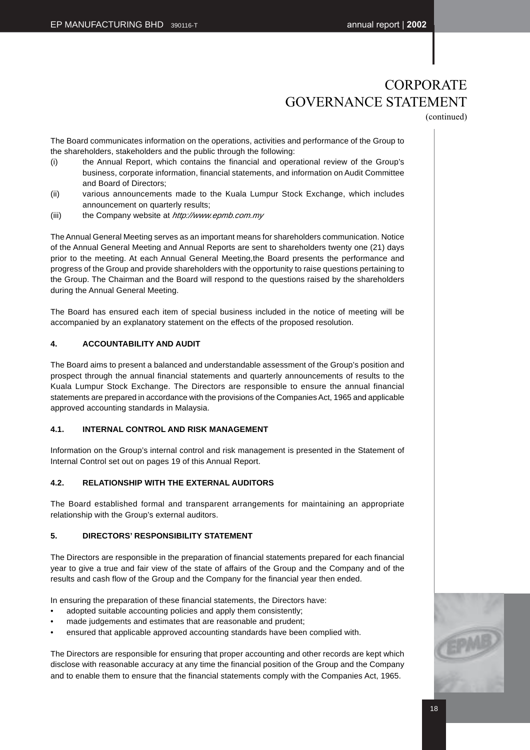(continued)

The Board communicates information on the operations, activities and performance of the Group to the shareholders, stakeholders and the public through the following:

- (i) the Annual Report, which contains the financial and operational review of the Group's business, corporate information, financial statements, and information on Audit Committee and Board of Directors;
- (ii) various announcements made to the Kuala Lumpur Stock Exchange, which includes announcement on quarterly results;
- (iii) the Company website at http://www.epmb.com.my

The Annual General Meeting serves as an important means for shareholders communication. Notice of the Annual General Meeting and Annual Reports are sent to shareholders twenty one (21) days prior to the meeting. At each Annual General Meeting,the Board presents the performance and progress of the Group and provide shareholders with the opportunity to raise questions pertaining to the Group. The Chairman and the Board will respond to the questions raised by the shareholders during the Annual General Meeting.

The Board has ensured each item of special business included in the notice of meeting will be accompanied by an explanatory statement on the effects of the proposed resolution.

#### **4. ACCOUNTABILITY AND AUDIT**

The Board aims to present a balanced and understandable assessment of the Group's position and prospect through the annual financial statements and quarterly announcements of results to the Kuala Lumpur Stock Exchange. The Directors are responsible to ensure the annual financial statements are prepared in accordance with the provisions of the Companies Act, 1965 and applicable approved accounting standards in Malaysia.

#### **4.1. INTERNAL CONTROL AND RISK MANAGEMENT**

Information on the Group's internal control and risk management is presented in the Statement of Internal Control set out on pages 19 of this Annual Report.

#### **4.2. RELATIONSHIP WITH THE EXTERNAL AUDITORS**

The Board established formal and transparent arrangements for maintaining an appropriate relationship with the Group's external auditors.

#### **5. DIRECTORS' RESPONSIBILITY STATEMENT**

The Directors are responsible in the preparation of financial statements prepared for each financial year to give a true and fair view of the state of affairs of the Group and the Company and of the results and cash flow of the Group and the Company for the financial year then ended.

In ensuring the preparation of these financial statements, the Directors have:

- adopted suitable accounting policies and apply them consistently;
- made judgements and estimates that are reasonable and prudent;
- ensured that applicable approved accounting standards have been complied with.

The Directors are responsible for ensuring that proper accounting and other records are kept which disclose with reasonable accuracy at any time the financial position of the Group and the Company and to enable them to ensure that the financial statements comply with the Companies Act, 1965.

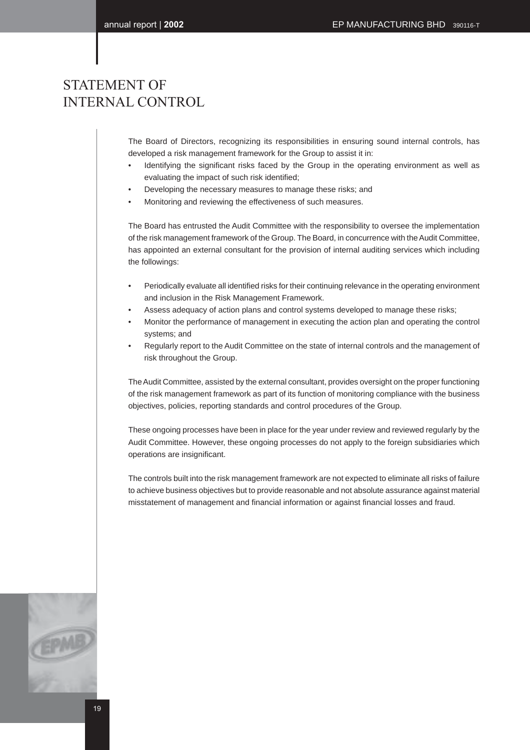### STATEMENT OF INTERNAL CONTROL

The Board of Directors, recognizing its responsibilities in ensuring sound internal controls, has developed a risk management framework for the Group to assist it in:

- Identifying the significant risks faced by the Group in the operating environment as well as evaluating the impact of such risk identified;
- Developing the necessary measures to manage these risks; and
- Monitoring and reviewing the effectiveness of such measures.

The Board has entrusted the Audit Committee with the responsibility to oversee the implementation of the risk management framework of the Group. The Board, in concurrence with the Audit Committee, has appointed an external consultant for the provision of internal auditing services which including the followings:

- Periodically evaluate all identified risks for their continuing relevance in the operating environment and inclusion in the Risk Management Framework.
- Assess adequacy of action plans and control systems developed to manage these risks;
- Monitor the performance of management in executing the action plan and operating the control systems; and
- Regularly report to the Audit Committee on the state of internal controls and the management of risk throughout the Group.

The Audit Committee, assisted by the external consultant, provides oversight on the proper functioning of the risk management framework as part of its function of monitoring compliance with the business objectives, policies, reporting standards and control procedures of the Group.

These ongoing processes have been in place for the year under review and reviewed regularly by the Audit Committee. However, these ongoing processes do not apply to the foreign subsidiaries which operations are insignificant.

The controls built into the risk management framework are not expected to eliminate all risks of failure to achieve business objectives but to provide reasonable and not absolute assurance against material misstatement of management and financial information or against financial losses and fraud.

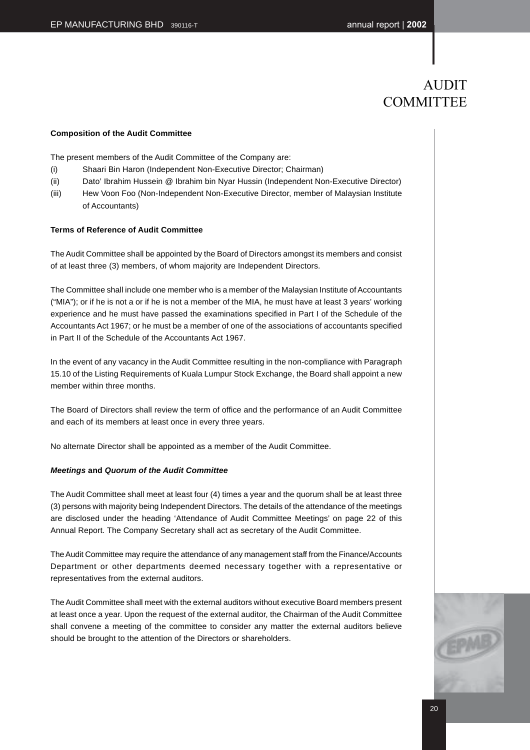### AUDIT **COMMITTEE**

#### **Composition of the Audit Committee**

The present members of the Audit Committee of the Company are:

- (i) Shaari Bin Haron (Independent Non-Executive Director; Chairman)
- (ii) Dato' Ibrahim Hussein @ Ibrahim bin Nyar Hussin (Independent Non-Executive Director)
- (iii) Hew Voon Foo (Non-Independent Non-Executive Director, member of Malaysian Institute of Accountants)

#### **Terms of Reference of Audit Committee**

The Audit Committee shall be appointed by the Board of Directors amongst its members and consist of at least three (3) members, of whom majority are Independent Directors.

The Committee shall include one member who is a member of the Malaysian Institute of Accountants ("MIA"); or if he is not a or if he is not a member of the MIA, he must have at least 3 years' working experience and he must have passed the examinations specified in Part I of the Schedule of the Accountants Act 1967; or he must be a member of one of the associations of accountants specified in Part II of the Schedule of the Accountants Act 1967.

In the event of any vacancy in the Audit Committee resulting in the non-compliance with Paragraph 15.10 of the Listing Requirements of Kuala Lumpur Stock Exchange, the Board shall appoint a new member within three months.

The Board of Directors shall review the term of office and the performance of an Audit Committee and each of its members at least once in every three years.

No alternate Director shall be appointed as a member of the Audit Committee.

#### **Meetings and Quorum of the Audit Committee**

The Audit Committee shall meet at least four (4) times a year and the quorum shall be at least three (3) persons with majority being Independent Directors. The details of the attendance of the meetings are disclosed under the heading 'Attendance of Audit Committee Meetings' on page 22 of this Annual Report. The Company Secretary shall act as secretary of the Audit Committee.

The Audit Committee may require the attendance of any management staff from the Finance/Accounts Department or other departments deemed necessary together with a representative or representatives from the external auditors.

The Audit Committee shall meet with the external auditors without executive Board members present at least once a year. Upon the request of the external auditor, the Chairman of the Audit Committee shall convene a meeting of the committee to consider any matter the external auditors believe should be brought to the attention of the Directors or shareholders.

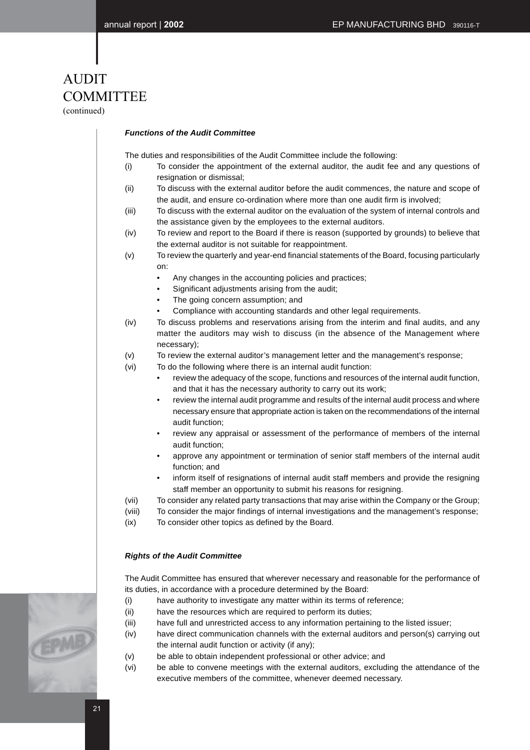## AUDIT **COMMITTEE**

(continued)

#### **Functions of the Audit Committee**

The duties and responsibilities of the Audit Committee include the following:

- (i) To consider the appointment of the external auditor, the audit fee and any questions of resignation or dismissal;
- (ii) To discuss with the external auditor before the audit commences, the nature and scope of the audit, and ensure co-ordination where more than one audit firm is involved;
- (iii) To discuss with the external auditor on the evaluation of the system of internal controls and the assistance given by the employees to the external auditors.
- (iv) To review and report to the Board if there is reason (supported by grounds) to believe that the external auditor is not suitable for reappointment.
- (v) To review the quarterly and year-end financial statements of the Board, focusing particularly on:
	- Any changes in the accounting policies and practices;
	- Significant adjustments arising from the audit;
	- The going concern assumption; and
	- Compliance with accounting standards and other legal requirements.
- (iv) To discuss problems and reservations arising from the interim and final audits, and any matter the auditors may wish to discuss (in the absence of the Management where necessary);
- (v) To review the external auditor's management letter and the management's response;
- (vi) To do the following where there is an internal audit function:
	- review the adequacy of the scope, functions and resources of the internal audit function, and that it has the necessary authority to carry out its work;
	- review the internal audit programme and results of the internal audit process and where necessary ensure that appropriate action is taken on the recommendations of the internal audit function;
	- review any appraisal or assessment of the performance of members of the internal audit function;
	- approve any appointment or termination of senior staff members of the internal audit function; and
	- inform itself of resignations of internal audit staff members and provide the resigning staff member an opportunity to submit his reasons for resigning.
- (vii) To consider any related party transactions that may arise within the Company or the Group;
- (viii) To consider the major findings of internal investigations and the management's response;
- (ix) To consider other topics as defined by the Board.

#### **Rights of the Audit Committee**

The Audit Committee has ensured that wherever necessary and reasonable for the performance of its duties, in accordance with a procedure determined by the Board:

- (i) have authority to investigate any matter within its terms of reference;
- (ii) have the resources which are required to perform its duties;
- (iii) have full and unrestricted access to any information pertaining to the listed issuer;
- (iv) have direct communication channels with the external auditors and person(s) carrying out the internal audit function or activity (if any);
- (v) be able to obtain independent professional or other advice; and
- (vi) be able to convene meetings with the external auditors, excluding the attendance of the executive members of the committee, whenever deemed necessary.

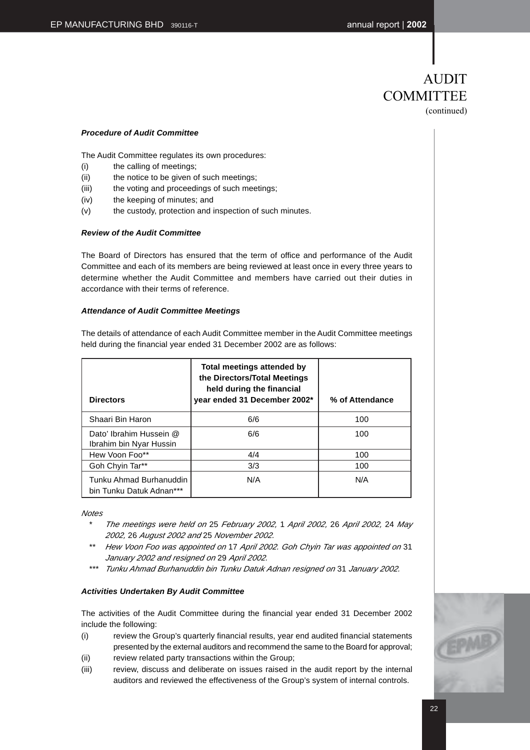### AUDIT **COMMITTEE** (continued)

#### **Procedure of Audit Committee**

The Audit Committee regulates its own procedures:

- (i) the calling of meetings;
- (ii) the notice to be given of such meetings;
- (iii) the voting and proceedings of such meetings;
- (iv) the keeping of minutes; and
- (v) the custody, protection and inspection of such minutes.

#### **Review of the Audit Committee**

The Board of Directors has ensured that the term of office and performance of the Audit Committee and each of its members are being reviewed at least once in every three years to determine whether the Audit Committee and members have carried out their duties in accordance with their terms of reference.

#### **Attendance of Audit Committee Meetings**

| held during the financial year ended 31 December 2002 are as follows:<br><b>Total meetings attended by</b><br>the Directors/Total Meetings<br>held during the financial |                              |                 |  |
|-------------------------------------------------------------------------------------------------------------------------------------------------------------------------|------------------------------|-----------------|--|
| <b>Directors</b>                                                                                                                                                        | year ended 31 December 2002* | % of Attendance |  |
| Shaari Bin Haron                                                                                                                                                        | 6/6                          | 100             |  |
| Dato' Ibrahim Hussein @<br>Ibrahim bin Nyar Hussin                                                                                                                      | 6/6                          | 100             |  |
| Hew Voon Foo**                                                                                                                                                          | 4/4                          | 100             |  |
| Goh Chyin Tar**                                                                                                                                                         | 3/3                          | 100             |  |
| Tunku Ahmad Burhanuddin                                                                                                                                                 | N/A                          | N/A             |  |

The details of attendance of each Audit Committee member in the Audit Committee meetings

**Notes** 

bin Tunku Datuk Adnan\*\*\*

- The meetings were held on 25 February 2002, 1 April 2002, 26 April 2002, 24 May 2002, 26 August 2002 and 25 November 2002.
- \*\* Hew Voon Foo was appointed on 17 April 2002. Goh Chyin Tar was appointed on 31 January 2002 and resigned on 29 April 2002.
- \*\*\* Tunku Ahmad Burhanuddin bin Tunku Datuk Adnan resigned on 31 January 2002.

#### **Activities Undertaken By Audit Committee**

The activities of the Audit Committee during the financial year ended 31 December 2002 include the following:

- (i) review the Group's quarterly financial results, year end audited financial statements presented by the external auditors and recommend the same to the Board for approval;
- (ii) review related party transactions within the Group;
- (iii) review, discuss and deliberate on issues raised in the audit report by the internal auditors and reviewed the effectiveness of the Group's system of internal controls.

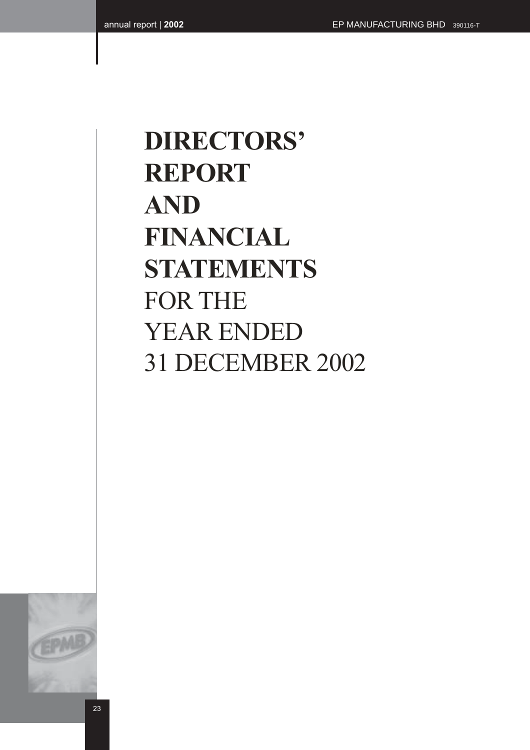# **DIRECTORS' REPORT AND FINANCIAL STATEMENTS** FOR THE YEAR ENDED 31 DECEMBER 2002

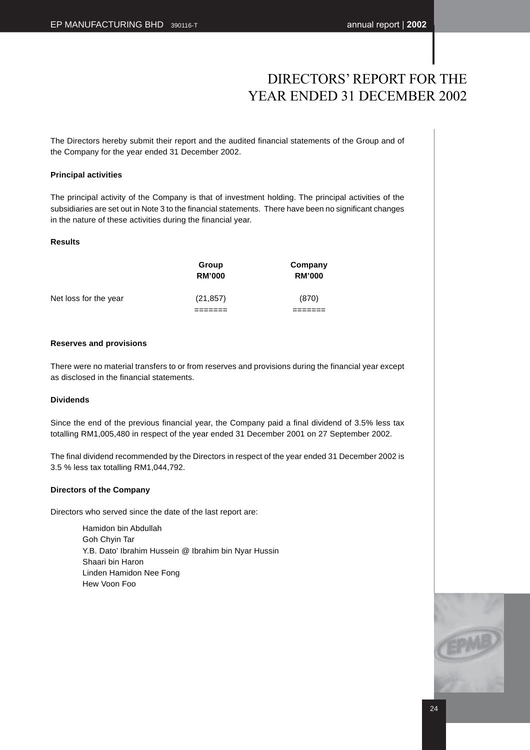The Directors hereby submit their report and the audited financial statements of the Group and of the Company for the year ended 31 December 2002.

#### **Principal activities**

The principal activity of the Company is that of investment holding. The principal activities of the subsidiaries are set out in Note 3 to the financial statements. There have been no significant changes in the nature of these activities during the financial year.

#### **Results**

|                       | Group<br><b>RM'000</b> | Company<br><b>RM'000</b> |
|-----------------------|------------------------|--------------------------|
| Net loss for the year | (21, 857)              | (870)                    |
|                       |                        |                          |

#### **Reserves and provisions**

There were no material transfers to or from reserves and provisions during the financial year except as disclosed in the financial statements.

#### **Dividends**

Since the end of the previous financial year, the Company paid a final dividend of 3.5% less tax totalling RM1,005,480 in respect of the year ended 31 December 2001 on 27 September 2002.

The final dividend recommended by the Directors in respect of the year ended 31 December 2002 is 3.5 % less tax totalling RM1,044,792.

#### **Directors of the Company**

Directors who served since the date of the last report are:

Hamidon bin Abdullah Goh Chyin Tar Y.B. Dato' Ibrahim Hussein @ Ibrahim bin Nyar Hussin Shaari bin Haron Linden Hamidon Nee Fong Hew Voon Foo

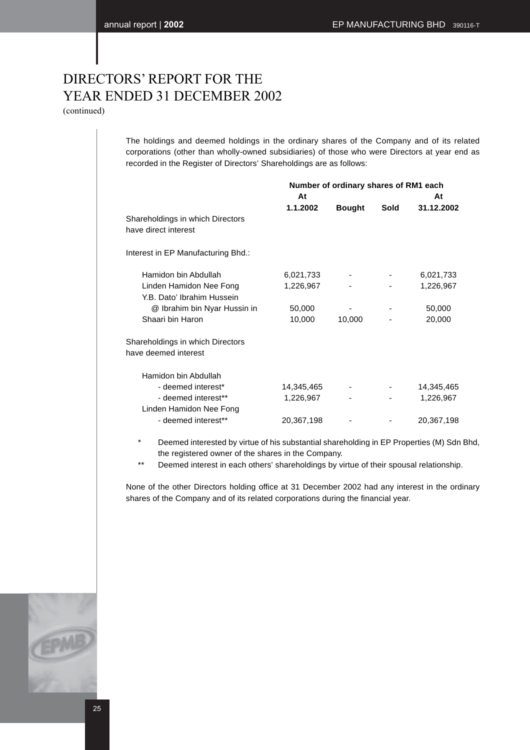(continued)

The holdings and deemed holdings in the ordinary shares of the Company and of its related corporations (other than wholly-owned subsidiaries) of those who were Directors at year end as recorded in the Register of Directors' Shareholdings are as follows:

|                                    | Number of ordinary shares of RM1 each |               |      |            |
|------------------------------------|---------------------------------------|---------------|------|------------|
|                                    | At                                    |               |      | At         |
|                                    | 1.1.2002                              | <b>Bought</b> | Sold | 31.12.2002 |
| Shareholdings in which Directors   |                                       |               |      |            |
| have direct interest               |                                       |               |      |            |
| Interest in EP Manufacturing Bhd.: |                                       |               |      |            |
| Hamidon bin Abdullah               | 6,021,733                             |               |      | 6,021,733  |
| Linden Hamidon Nee Fong            | 1,226,967                             |               |      | 1,226,967  |
| Y.B. Dato' Ibrahim Hussein         |                                       |               |      |            |
| @ Ibrahim bin Nyar Hussin in       | 50,000                                |               |      | 50,000     |
| Shaari bin Haron                   | 10,000                                | 10,000        |      | 20,000     |
| Shareholdings in which Directors   |                                       |               |      |            |
| have deemed interest               |                                       |               |      |            |
| Hamidon bin Abdullah               |                                       |               |      |            |
| - deemed interest*                 | 14,345,465                            |               |      | 14,345,465 |
| - deemed interest**                | 1,226,967                             |               |      | 1,226,967  |
| Linden Hamidon Nee Fong            |                                       |               |      |            |
| - deemed interest**                | 20,367,198                            |               |      | 20,367,198 |
|                                    |                                       |               |      |            |

\* Deemed interested by virtue of his substantial shareholding in EP Properties (M) Sdn Bhd, the registered owner of the shares in the Company.

\*\* Deemed interest in each others' shareholdings by virtue of their spousal relationship.

None of the other Directors holding office at 31 December 2002 had any interest in the ordinary shares of the Company and of its related corporations during the financial year.

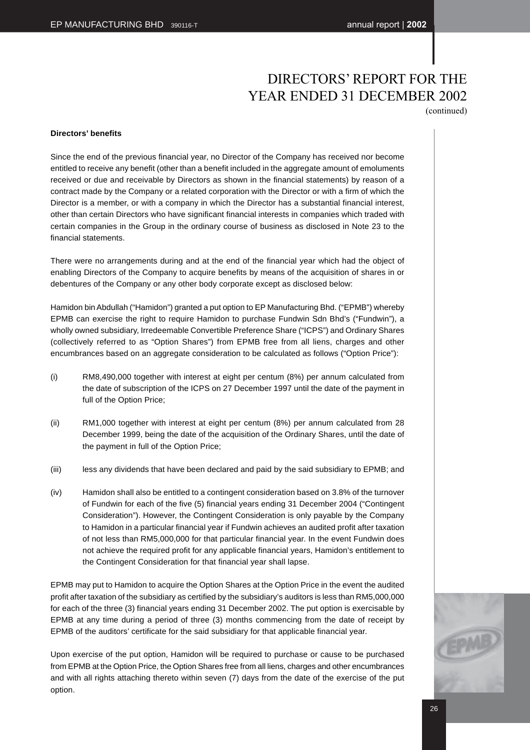(continued)

#### **Directors' benefits**

Since the end of the previous financial year, no Director of the Company has received nor become entitled to receive any benefit (other than a benefit included in the aggregate amount of emoluments received or due and receivable by Directors as shown in the financial statements) by reason of a contract made by the Company or a related corporation with the Director or with a firm of which the Director is a member, or with a company in which the Director has a substantial financial interest, other than certain Directors who have significant financial interests in companies which traded with certain companies in the Group in the ordinary course of business as disclosed in Note 23 to the financial statements.

There were no arrangements during and at the end of the financial year which had the object of enabling Directors of the Company to acquire benefits by means of the acquisition of shares in or debentures of the Company or any other body corporate except as disclosed below:

Hamidon bin Abdullah ("Hamidon") granted a put option to EP Manufacturing Bhd. ("EPMB") whereby EPMB can exercise the right to require Hamidon to purchase Fundwin Sdn Bhd's ("Fundwin"), a wholly owned subsidiary, Irredeemable Convertible Preference Share ("ICPS") and Ordinary Shares (collectively referred to as "Option Shares") from EPMB free from all liens, charges and other encumbrances based on an aggregate consideration to be calculated as follows ("Option Price"):

- (i) RM8,490,000 together with interest at eight per centum (8%) per annum calculated from the date of subscription of the ICPS on 27 December 1997 until the date of the payment in full of the Option Price;
- (ii) RM1,000 together with interest at eight per centum (8%) per annum calculated from 28 December 1999, being the date of the acquisition of the Ordinary Shares, until the date of the payment in full of the Option Price;
- (iii) less any dividends that have been declared and paid by the said subsidiary to EPMB; and
- (iv) Hamidon shall also be entitled to a contingent consideration based on 3.8% of the turnover of Fundwin for each of the five (5) financial years ending 31 December 2004 ("Contingent Consideration"). However, the Contingent Consideration is only payable by the Company to Hamidon in a particular financial year if Fundwin achieves an audited profit after taxation of not less than RM5,000,000 for that particular financial year. In the event Fundwin does not achieve the required profit for any applicable financial years, Hamidon's entitlement to the Contingent Consideration for that financial year shall lapse.

EPMB may put to Hamidon to acquire the Option Shares at the Option Price in the event the audited profit after taxation of the subsidiary as certified by the subsidiary's auditors is less than RM5,000,000 for each of the three (3) financial years ending 31 December 2002. The put option is exercisable by EPMB at any time during a period of three (3) months commencing from the date of receipt by EPMB of the auditors' certificate for the said subsidiary for that applicable financial year.

Upon exercise of the put option, Hamidon will be required to purchase or cause to be purchased from EPMB at the Option Price, the Option Shares free from all liens, charges and other encumbrances and with all rights attaching thereto within seven (7) days from the date of the exercise of the put option.

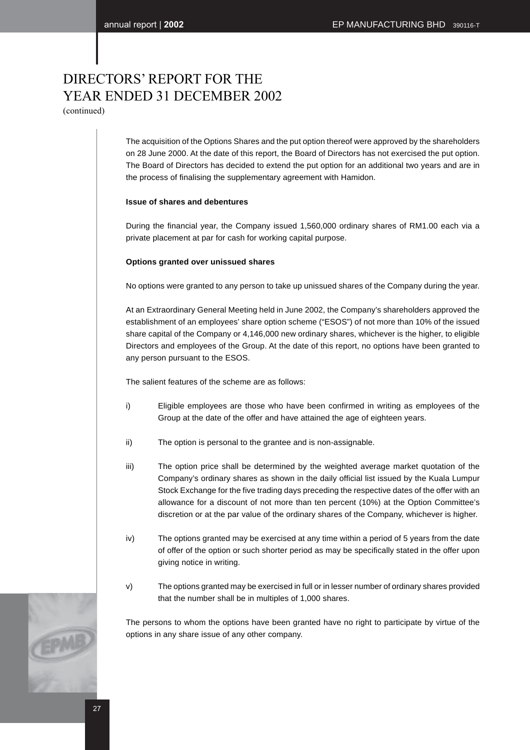(continued)

The acquisition of the Options Shares and the put option thereof were approved by the shareholders on 28 June 2000. At the date of this report, the Board of Directors has not exercised the put option. The Board of Directors has decided to extend the put option for an additional two years and are in the process of finalising the supplementary agreement with Hamidon.

#### **Issue of shares and debentures**

During the financial year, the Company issued 1,560,000 ordinary shares of RM1.00 each via a private placement at par for cash for working capital purpose.

#### **Options granted over unissued shares**

No options were granted to any person to take up unissued shares of the Company during the year.

At an Extraordinary General Meeting held in June 2002, the Company's shareholders approved the establishment of an employees' share option scheme ("ESOS") of not more than 10% of the issued share capital of the Company or 4,146,000 new ordinary shares, whichever is the higher, to eligible Directors and employees of the Group. At the date of this report, no options have been granted to any person pursuant to the ESOS.

The salient features of the scheme are as follows:

- i) Eligible employees are those who have been confirmed in writing as employees of the Group at the date of the offer and have attained the age of eighteen years.
- ii) The option is personal to the grantee and is non-assignable.
- iii) The option price shall be determined by the weighted average market quotation of the Company's ordinary shares as shown in the daily official list issued by the Kuala Lumpur Stock Exchange for the five trading days preceding the respective dates of the offer with an allowance for a discount of not more than ten percent (10%) at the Option Committee's discretion or at the par value of the ordinary shares of the Company, whichever is higher.
- iv) The options granted may be exercised at any time within a period of 5 years from the date of offer of the option or such shorter period as may be specifically stated in the offer upon giving notice in writing.
- v) The options granted may be exercised in full or in lesser number of ordinary shares provided that the number shall be in multiples of 1,000 shares.

The persons to whom the options have been granted have no right to participate by virtue of the options in any share issue of any other company.

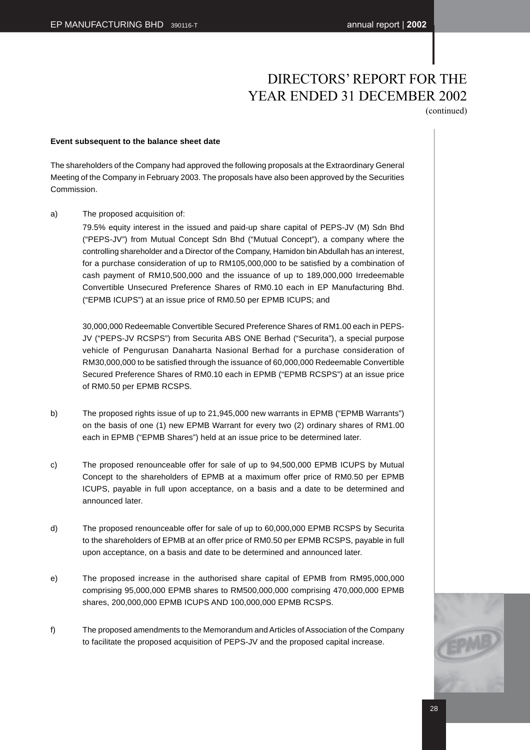(continued)

#### **Event subsequent to the balance sheet date**

The shareholders of the Company had approved the following proposals at the Extraordinary General Meeting of the Company in February 2003. The proposals have also been approved by the Securities Commission.

a) The proposed acquisition of:

79.5% equity interest in the issued and paid-up share capital of PEPS-JV (M) Sdn Bhd ("PEPS-JV") from Mutual Concept Sdn Bhd ("Mutual Concept"), a company where the controlling shareholder and a Director of the Company, Hamidon bin Abdullah has an interest, for a purchase consideration of up to RM105,000,000 to be satisfied by a combination of cash payment of RM10,500,000 and the issuance of up to 189,000,000 Irredeemable Convertible Unsecured Preference Shares of RM0.10 each in EP Manufacturing Bhd. ("EPMB ICUPS") at an issue price of RM0.50 per EPMB ICUPS; and

30,000,000 Redeemable Convertible Secured Preference Shares of RM1.00 each in PEPS-JV ("PEPS-JV RCSPS") from Securita ABS ONE Berhad ("Securita"), a special purpose vehicle of Pengurusan Danaharta Nasional Berhad for a purchase consideration of RM30,000,000 to be satisfied through the issuance of 60,000,000 Redeemable Convertible Secured Preference Shares of RM0.10 each in EPMB ("EPMB RCSPS") at an issue price of RM0.50 per EPMB RCSPS.

- b) The proposed rights issue of up to 21,945,000 new warrants in EPMB ("EPMB Warrants") on the basis of one (1) new EPMB Warrant for every two (2) ordinary shares of RM1.00 each in EPMB ("EPMB Shares") held at an issue price to be determined later.
- c) The proposed renounceable offer for sale of up to 94,500,000 EPMB ICUPS by Mutual Concept to the shareholders of EPMB at a maximum offer price of RM0.50 per EPMB ICUPS, payable in full upon acceptance, on a basis and a date to be determined and announced later.
- d) The proposed renounceable offer for sale of up to 60,000,000 EPMB RCSPS by Securita to the shareholders of EPMB at an offer price of RM0.50 per EPMB RCSPS, payable in full upon acceptance, on a basis and date to be determined and announced later.
- e) The proposed increase in the authorised share capital of EPMB from RM95,000,000 comprising 95,000,000 EPMB shares to RM500,000,000 comprising 470,000,000 EPMB shares, 200,000,000 EPMB ICUPS AND 100,000,000 EPMB RCSPS.
- f) The proposed amendments to the Memorandum and Articles of Association of the Company to facilitate the proposed acquisition of PEPS-JV and the proposed capital increase.

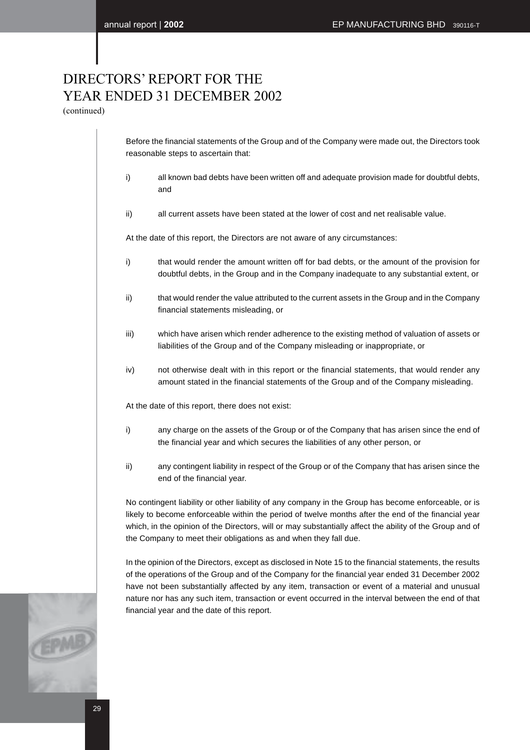(continued)

Before the financial statements of the Group and of the Company were made out, the Directors took reasonable steps to ascertain that:

- i) all known bad debts have been written off and adequate provision made for doubtful debts, and
- ii) all current assets have been stated at the lower of cost and net realisable value.

At the date of this report, the Directors are not aware of any circumstances:

- i) that would render the amount written off for bad debts, or the amount of the provision for doubtful debts, in the Group and in the Company inadequate to any substantial extent, or
- ii) that would render the value attributed to the current assets in the Group and in the Company financial statements misleading, or
- iii) which have arisen which render adherence to the existing method of valuation of assets or liabilities of the Group and of the Company misleading or inappropriate, or
- iv) not otherwise dealt with in this report or the financial statements, that would render any amount stated in the financial statements of the Group and of the Company misleading.

At the date of this report, there does not exist:

- i) any charge on the assets of the Group or of the Company that has arisen since the end of the financial year and which secures the liabilities of any other person, or
- ii) any contingent liability in respect of the Group or of the Company that has arisen since the end of the financial year.

No contingent liability or other liability of any company in the Group has become enforceable, or is likely to become enforceable within the period of twelve months after the end of the financial year which, in the opinion of the Directors, will or may substantially affect the ability of the Group and of the Company to meet their obligations as and when they fall due.

In the opinion of the Directors, except as disclosed in Note 15 to the financial statements, the results of the operations of the Group and of the Company for the financial year ended 31 December 2002 have not been substantially affected by any item, transaction or event of a material and unusual nature nor has any such item, transaction or event occurred in the interval between the end of that financial year and the date of this report.

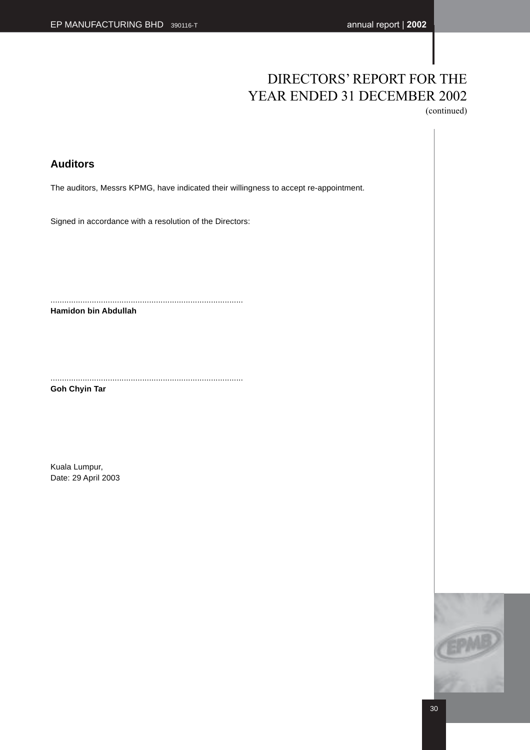(continued)

### **Auditors**

The auditors, Messrs KPMG, have indicated their willingness to accept re-appointment.

Signed in accordance with a resolution of the Directors:

....................................................................................

**Hamidon bin Abdullah**

.................................................................................... **Goh Chyin Tar**

Kuala Lumpur, Date: 29 April 2003

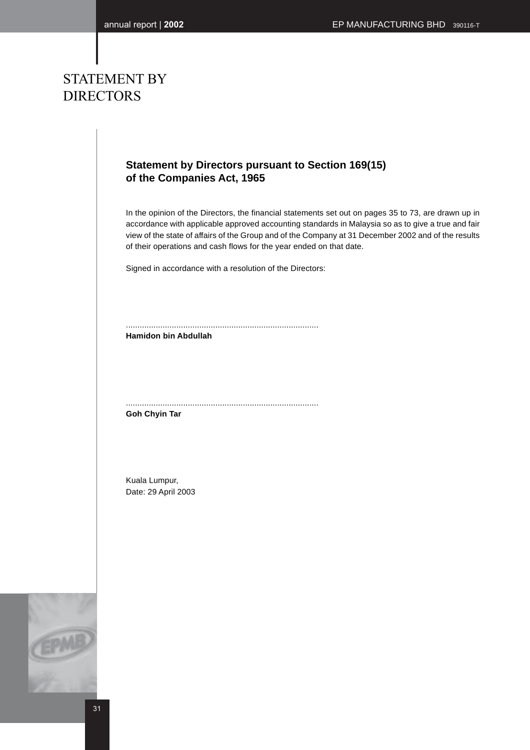### STATEMENT BY DIRECTORS

### **Statement by Directors pursuant to Section 169(15) of the Companies Act, 1965**

In the opinion of the Directors, the financial statements set out on pages 35 to 73, are drawn up in accordance with applicable approved accounting standards in Malaysia so as to give a true and fair view of the state of affairs of the Group and of the Company at 31 December 2002 and of the results of their operations and cash flows for the year ended on that date.

Signed in accordance with a resolution of the Directors:

.................................................................................... **Hamidon bin Abdullah**

....................................................................................

**Goh Chyin Tar**

Kuala Lumpur, Date: 29 April 2003



31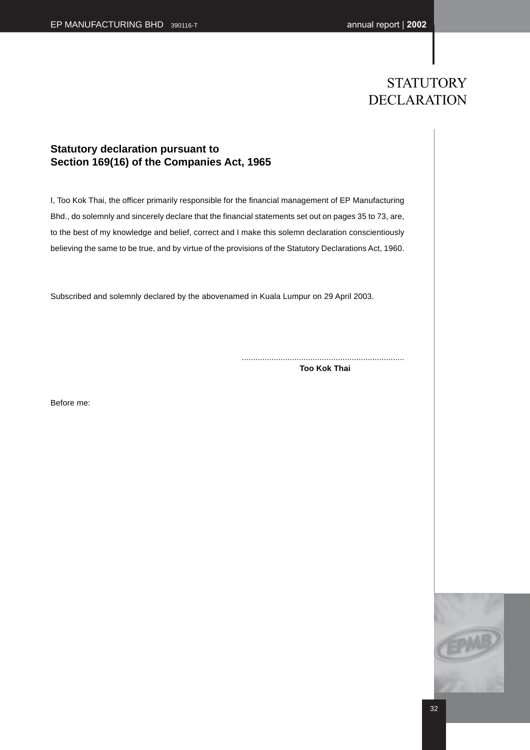### **STATUTORY** DECLARATION

### **Statutory declaration pursuant to Section 169(16) of the Companies Act, 1965**

I, Too Kok Thai, the officer primarily responsible for the financial management of EP Manufacturing Bhd., do solemnly and sincerely declare that the financial statements set out on pages 35 to 73, are, to the best of my knowledge and belief, correct and I make this solemn declaration conscientiously believing the same to be true, and by virtue of the provisions of the Statutory Declarations Act, 1960.

Subscribed and solemnly declared by the abovenamed in Kuala Lumpur on 29 April 2003.

....................................................................... **Too Kok Thai**

Before me:

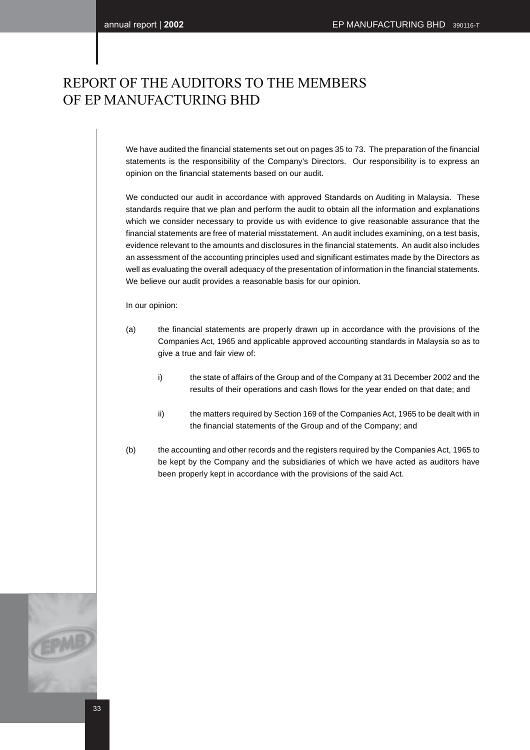### REPORT OF THE AUDITORS TO THE MEMBERS OF EP MANUFACTURING BHD

We have audited the financial statements set out on pages 35 to 73. The preparation of the financial statements is the responsibility of the Company's Directors. Our responsibility is to express an opinion on the financial statements based on our audit.

We conducted our audit in accordance with approved Standards on Auditing in Malaysia. These standards require that we plan and perform the audit to obtain all the information and explanations which we consider necessary to provide us with evidence to give reasonable assurance that the financial statements are free of material misstatement. An audit includes examining, on a test basis, evidence relevant to the amounts and disclosures in the financial statements. An audit also includes an assessment of the accounting principles used and significant estimates made by the Directors as well as evaluating the overall adequacy of the presentation of information in the financial statements. We believe our audit provides a reasonable basis for our opinion.

#### In our opinion:

- (a) the financial statements are properly drawn up in accordance with the provisions of the Companies Act, 1965 and applicable approved accounting standards in Malaysia so as to give a true and fair view of:
	- i) the state of affairs of the Group and of the Company at 31 December 2002 and the results of their operations and cash flows for the year ended on that date; and
	- ii) the matters required by Section 169 of the Companies Act, 1965 to be dealt with in the financial statements of the Group and of the Company; and
- (b) the accounting and other records and the registers required by the Companies Act, 1965 to be kept by the Company and the subsidiaries of which we have acted as auditors have been properly kept in accordance with the provisions of the said Act.

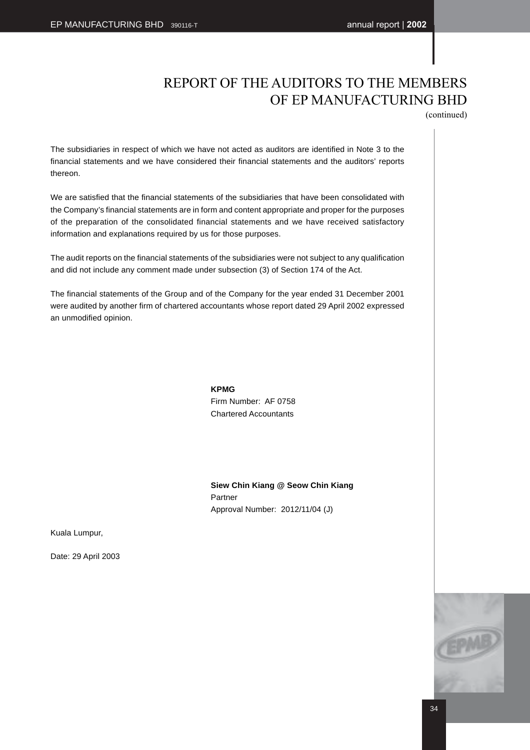### REPORT OF THE AUDITORS TO THE MEMBERS OF EP MANUFACTURING BHD

(continued)

The subsidiaries in respect of which we have not acted as auditors are identified in Note 3 to the financial statements and we have considered their financial statements and the auditors' reports thereon.

We are satisfied that the financial statements of the subsidiaries that have been consolidated with the Company's financial statements are in form and content appropriate and proper for the purposes of the preparation of the consolidated financial statements and we have received satisfactory information and explanations required by us for those purposes.

The audit reports on the financial statements of the subsidiaries were not subject to any qualification and did not include any comment made under subsection (3) of Section 174 of the Act.

The financial statements of the Group and of the Company for the year ended 31 December 2001 were audited by another firm of chartered accountants whose report dated 29 April 2002 expressed an unmodified opinion.

> **KPMG** Firm Number: AF 0758

Chartered Accountants

**Siew Chin Kiang @ Seow Chin Kiang** Partner Approval Number: 2012/11/04 (J)

Kuala Lumpur,

Date: 29 April 2003

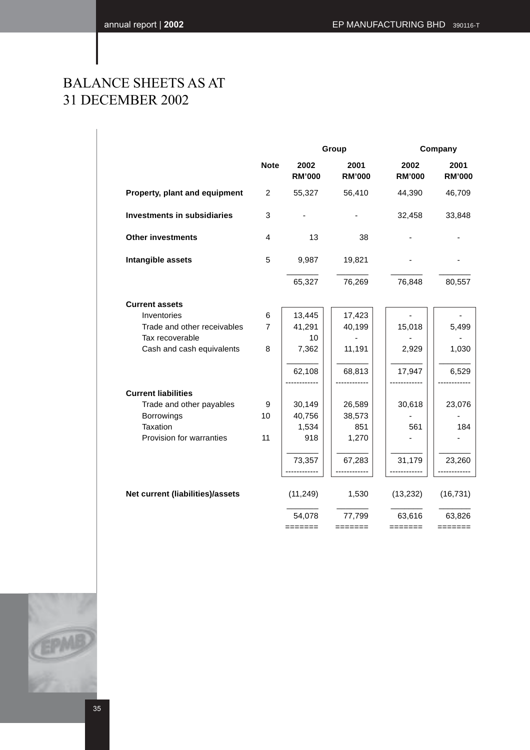### BALANCE SHEETS AS AT 31 DECEMBER 2002

|                                    |                | Group                 |                       | Company               |                       |
|------------------------------------|----------------|-----------------------|-----------------------|-----------------------|-----------------------|
|                                    | <b>Note</b>    | 2002<br><b>RM'000</b> | 2001<br><b>RM'000</b> | 2002<br><b>RM'000</b> | 2001<br><b>RM'000</b> |
| Property, plant and equipment      | $\overline{2}$ | 55,327                | 56,410                | 44,390                | 46,709                |
| <b>Investments in subsidiaries</b> | 3              |                       |                       | 32,458                | 33,848                |
| <b>Other investments</b>           | $\overline{4}$ | 13                    | 38                    |                       |                       |
| Intangible assets                  | 5              | 9,987                 | 19,821                |                       |                       |
|                                    |                | 65,327                | 76,269                | 76,848                | 80,557                |
| <b>Current assets</b>              |                |                       |                       |                       |                       |
| Inventories                        | 6              | 13,445                | 17,423                |                       |                       |
| Trade and other receivables        | $\overline{7}$ | 41,291                | 40,199                | 15,018                | 5,499                 |
| Tax recoverable                    |                | 10                    |                       |                       |                       |
| Cash and cash equivalents          | 8              | 7,362                 | 11,191                | 2,929                 | 1,030                 |
|                                    |                | 62,108                | 68,813                | 17,947                | 6,529                 |
| <b>Current liabilities</b>         |                |                       |                       |                       |                       |
| Trade and other payables           | 9              | 30,149                | 26,589                | 30,618                | 23,076                |
| Borrowings                         | 10             | 40,756                | 38,573                |                       |                       |
| Taxation                           |                | 1,534                 | 851                   | 561                   | 184                   |
| Provision for warranties           | 11             | 918                   | 1,270                 |                       |                       |
|                                    |                | 73,357                | 67,283                | 31,179                | 23,260                |
|                                    |                | ------------          |                       | ------------          |                       |
| Net current (liabilities)/assets   |                | (11, 249)             | 1,530                 | (13, 232)             | (16, 731)             |
|                                    |                | 54,078<br>=======     | 77,799<br>=======     | 63,616<br>=======     | 63,826<br>=======     |
|                                    |                |                       |                       |                       |                       |

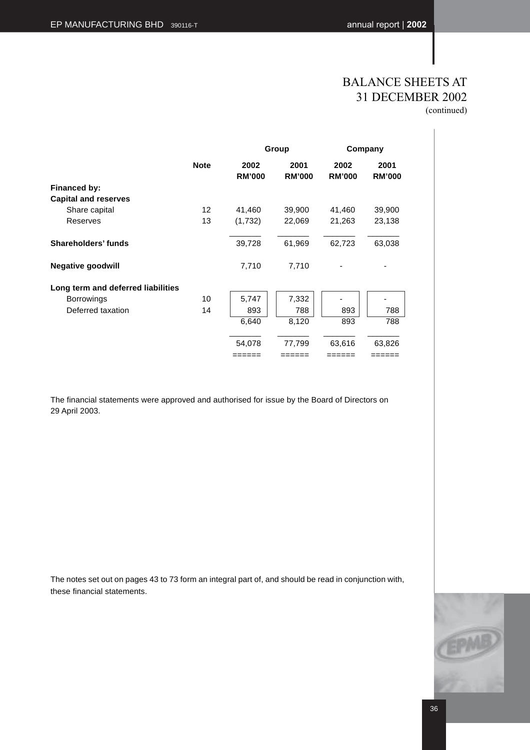# BALANCE SHEETS AT 31 DECEMBER 2002

(continued)

|                                    |                   |                       | Group                 |                       | Company               |
|------------------------------------|-------------------|-----------------------|-----------------------|-----------------------|-----------------------|
|                                    | <b>Note</b>       | 2002<br><b>RM'000</b> | 2001<br><b>RM'000</b> | 2002<br><b>RM'000</b> | 2001<br><b>RM'000</b> |
| Financed by:                       |                   |                       |                       |                       |                       |
| <b>Capital and reserves</b>        |                   |                       |                       |                       |                       |
| Share capital                      | $12 \overline{ }$ | 41,460                | 39,900                | 41,460                | 39,900                |
| <b>Reserves</b>                    | 13                | (1,732)               | 22,069                | 21,263                | 23,138                |
| Shareholders' funds                |                   | 39,728                | 61,969                | 62,723                | 63,038                |
| <b>Negative goodwill</b>           |                   | 7,710                 | 7,710                 |                       |                       |
| Long term and deferred liabilities |                   |                       |                       |                       |                       |
| <b>Borrowings</b>                  | 10                | 5,747                 | 7,332                 |                       |                       |
| Deferred taxation                  | 14                | 893                   | 788                   | 893                   | 788                   |
|                                    |                   | 6,640                 | 8,120                 | 893                   | 788                   |
|                                    |                   | 54,078                | 77,799                | 63,616                | 63,826                |
|                                    |                   | ======                | ======                | ======                | ======                |

The financial statements were approved and authorised for issue by the Board of Directors on 29 April 2003.

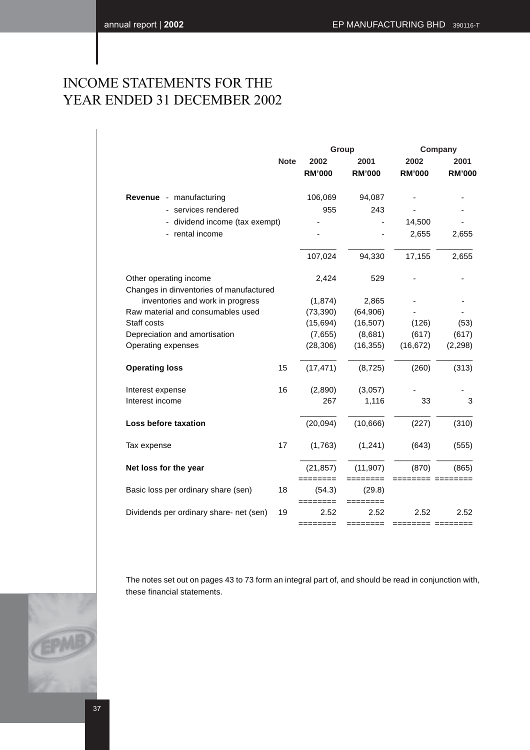# INCOME STATEMENTS FOR THE YEAR ENDED 31 DECEMBER 2002

|                                                                             |             |                       | Group                 | Company               |                       |  |
|-----------------------------------------------------------------------------|-------------|-----------------------|-----------------------|-----------------------|-----------------------|--|
|                                                                             | <b>Note</b> | 2002<br><b>RM'000</b> | 2001<br><b>RM'000</b> | 2002<br><b>RM'000</b> | 2001<br><b>RM'000</b> |  |
| Revenue - manufacturing                                                     |             | 106,069               | 94,087                |                       |                       |  |
| services rendered                                                           |             | 955                   | 243                   |                       |                       |  |
| dividend income (tax exempt)                                                |             |                       |                       | 14,500                |                       |  |
| rental income                                                               |             |                       |                       | 2,655                 | 2,655                 |  |
|                                                                             |             | 107,024               | 94,330                | 17,155                | 2,655                 |  |
| Other operating income                                                      |             | 2,424                 | 529                   |                       |                       |  |
| Changes in dinventories of manufactured<br>inventories and work in progress |             | (1, 874)              | 2,865                 |                       |                       |  |
| Raw material and consumables used                                           |             | (73, 390)             | (64, 906)             |                       |                       |  |
| Staff costs                                                                 |             | (15, 694)             | (16, 507)             | (126)                 | (53)                  |  |
| Depreciation and amortisation                                               |             | (7,655)               | (8,681)               | (617)                 | (617)                 |  |
| Operating expenses                                                          |             | (28, 306)             | (16, 355)             | (16, 672)             | (2, 298)              |  |
| <b>Operating loss</b>                                                       | 15          | (17, 471)             | (8, 725)              | (260)                 | (313)                 |  |
| Interest expense                                                            | 16          | (2,890)               | (3,057)               |                       |                       |  |
| Interest income                                                             |             | 267                   | 1,116                 | 33                    | 3                     |  |
| Loss before taxation                                                        |             | (20,094)              | (10,666)              | (227)                 | (310)                 |  |
| Tax expense                                                                 | 17          | (1,763)               | (1,241)               | (643)                 | (555)                 |  |
| Net loss for the year                                                       |             | (21, 857)             | (11, 907)             | (870)                 | (865)                 |  |
| Basic loss per ordinary share (sen)                                         | 18          | ========<br>(54.3)    | ========<br>(29.8)    | ========= ========    |                       |  |
| Dividends per ordinary share- net (sen)                                     | 19          | ========<br>2.52      | ========<br>2.52      | 2.52                  | 2.52                  |  |
|                                                                             |             |                       |                       | ======= ========      |                       |  |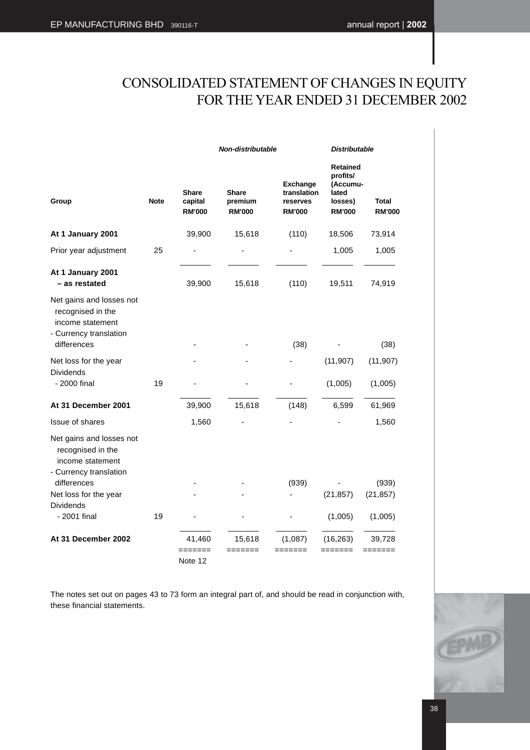# CONSOLIDATED STATEMENT OF CHANGES IN EQUITY FOR THE YEAR ENDED 31 DECEMBER 2002

|                                                                                                            |             | Non-distributable                                                                    |         | <b>Distributable</b>                                        |                                                                       |                        |
|------------------------------------------------------------------------------------------------------------|-------------|--------------------------------------------------------------------------------------|---------|-------------------------------------------------------------|-----------------------------------------------------------------------|------------------------|
| Group                                                                                                      | <b>Note</b> | <b>Share</b><br><b>Share</b><br>capital<br>premium<br><b>RM'000</b><br><b>RM'000</b> |         | <b>Exchange</b><br>translation<br>reserves<br><b>RM'000</b> | Retained<br>profits/<br>(Accumu-<br>lated<br>losses)<br><b>RM'000</b> | Total<br><b>RM'000</b> |
| At 1 January 2001                                                                                          |             | 39,900                                                                               | 15,618  | (110)                                                       | 18,506                                                                | 73,914                 |
| Prior year adjustment                                                                                      | 25          |                                                                                      |         |                                                             | 1,005                                                                 | 1,005                  |
| At 1 January 2001<br>- as restated                                                                         |             | 39,900                                                                               | 15,618  | (110)                                                       | 19,511                                                                | 74,919                 |
| Net gains and losses not<br>recognised in the<br>income statement<br>- Currency translation<br>differences |             |                                                                                      |         | (38)                                                        |                                                                       | (38)                   |
| Net loss for the year                                                                                      |             |                                                                                      |         |                                                             | (11, 907)                                                             | (11, 907)              |
| <b>Dividends</b><br>- 2000 final                                                                           | 19          |                                                                                      |         |                                                             | (1,005)                                                               | (1,005)                |
| At 31 December 2001                                                                                        |             | 39,900                                                                               | 15,618  | (148)                                                       | 6,599                                                                 | 61,969                 |
| Issue of shares                                                                                            |             | 1,560                                                                                |         |                                                             |                                                                       | 1,560                  |
| Net gains and losses not<br>recognised in the<br>income statement<br>- Currency translation                |             |                                                                                      |         |                                                             |                                                                       |                        |
| differences                                                                                                |             |                                                                                      |         | (939)                                                       |                                                                       | (939)                  |
| Net loss for the year<br><b>Dividends</b>                                                                  |             |                                                                                      |         |                                                             | (21, 857)                                                             | (21, 857)              |
| - 2001 final                                                                                               | 19          |                                                                                      |         |                                                             | (1,005)                                                               | (1,005)                |
| At 31 December 2002                                                                                        |             | 41,460                                                                               | 15,618  | (1,087)                                                     | (16, 263)                                                             | 39,728                 |
|                                                                                                            |             | =======                                                                              | ======= | ====                                                        | =====                                                                 |                        |
|                                                                                                            |             | Note 12                                                                              |         |                                                             |                                                                       |                        |

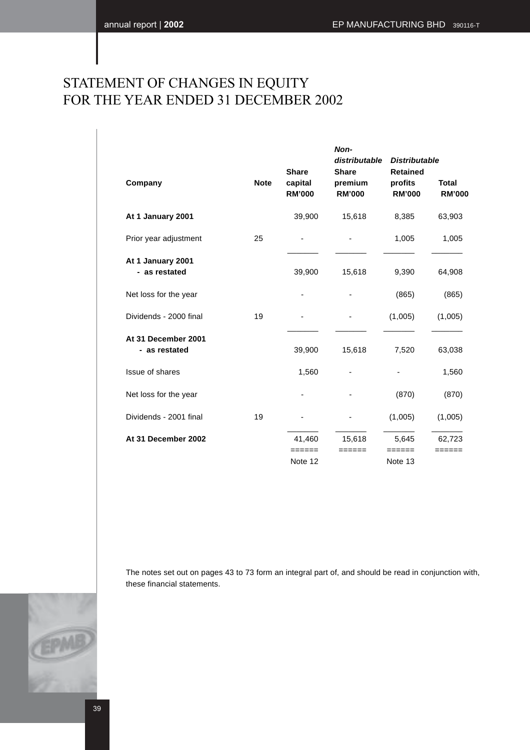# STATEMENT OF CHANGES IN EQUITY FOR THE YEAR ENDED 31 DECEMBER 2002

|                                      |             |                                          | Non-<br>distributable                    | <b>Distributable</b>                        |                               |
|--------------------------------------|-------------|------------------------------------------|------------------------------------------|---------------------------------------------|-------------------------------|
| Company                              | <b>Note</b> | <b>Share</b><br>capital<br><b>RM'000</b> | <b>Share</b><br>premium<br><b>RM'000</b> | <b>Retained</b><br>profits<br><b>RM'000</b> | <b>Total</b><br><b>RM'000</b> |
| At 1 January 2001                    |             | 39,900                                   | 15,618                                   | 8,385                                       | 63,903                        |
| Prior year adjustment                | 25          |                                          |                                          | 1,005                                       | 1,005                         |
| At 1 January 2001<br>- as restated   |             | 39,900                                   | 15,618                                   | 9,390                                       | 64,908                        |
| Net loss for the year                |             | ٠                                        |                                          | (865)                                       | (865)                         |
| Dividends - 2000 final               | 19          |                                          |                                          | (1,005)                                     | (1,005)                       |
| At 31 December 2001<br>- as restated |             | 39,900                                   | 15,618                                   | 7,520                                       | 63,038                        |
| Issue of shares                      |             | 1,560                                    | $\overline{\phantom{a}}$                 |                                             | 1,560                         |
| Net loss for the year                |             |                                          |                                          | (870)                                       | (870)                         |
| Dividends - 2001 final               | 19          |                                          |                                          | (1,005)                                     | (1,005)                       |
| At 31 December 2002                  |             | 41,460                                   | 15,618                                   | 5,645                                       | 62,723                        |
|                                      |             | ======<br>Note 12                        | ======                                   | ======<br>Note 13                           | ______                        |
|                                      |             |                                          |                                          |                                             |                               |

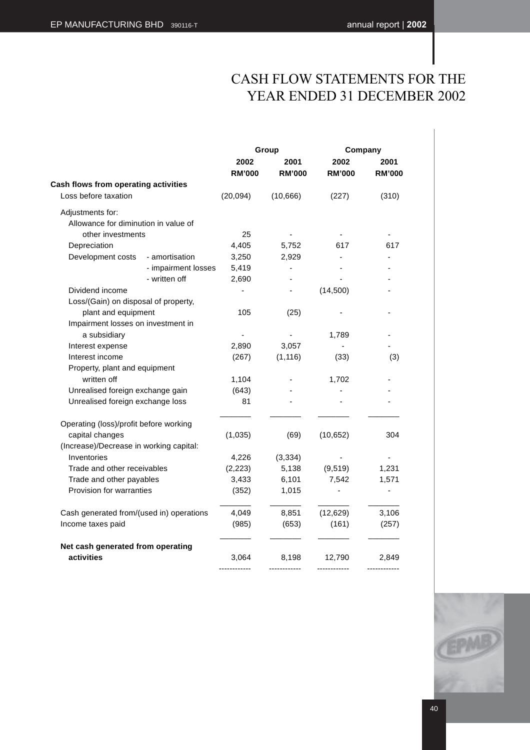# CASH FLOW STATEMENTS FOR THE YEAR ENDED 31 DECEMBER 2002

|                                                 |                     |                       | Group                 | Company               |                       |
|-------------------------------------------------|---------------------|-----------------------|-----------------------|-----------------------|-----------------------|
|                                                 |                     | 2002<br><b>RM'000</b> | 2001<br><b>RM'000</b> | 2002<br><b>RM'000</b> | 2001<br><b>RM'000</b> |
| Cash flows from operating activities            |                     |                       |                       |                       |                       |
| Loss before taxation                            |                     | (20, 094)             | (10, 666)             | (227)                 | (310)                 |
| Adjustments for:                                |                     |                       |                       |                       |                       |
| Allowance for diminution in value of            |                     |                       |                       |                       |                       |
| other investments                               |                     | 25                    |                       |                       |                       |
| Depreciation                                    |                     | 4,405                 | 5,752                 | 617                   | 617                   |
| Development costs                               | - amortisation      | 3,250                 | 2,929                 |                       |                       |
|                                                 | - impairment losses | 5,419                 | ٠                     |                       |                       |
|                                                 | - written off       | 2,690                 |                       |                       |                       |
| Dividend income                                 |                     |                       | ÷,                    | (14,500)              |                       |
| Loss/(Gain) on disposal of property,            |                     |                       |                       |                       |                       |
| plant and equipment                             |                     | 105                   | (25)                  |                       |                       |
| Impairment losses on investment in              |                     |                       |                       |                       |                       |
| a subsidiary                                    |                     |                       |                       | 1,789                 |                       |
| Interest expense                                |                     | 2,890                 | 3,057                 |                       |                       |
| Interest income                                 |                     | (267)                 | (1, 116)              | (33)                  | (3)                   |
| Property, plant and equipment                   |                     |                       |                       |                       |                       |
| written off                                     |                     | 1,104                 |                       | 1,702                 |                       |
| Unrealised foreign exchange gain                |                     | (643)                 |                       |                       |                       |
| Unrealised foreign exchange loss                |                     | 81                    |                       |                       |                       |
| Operating (loss)/profit before working          |                     |                       |                       |                       |                       |
| capital changes                                 |                     | (1,035)               | (69)                  | (10, 652)             | 304                   |
| (Increase)/Decrease in working capital:         |                     |                       |                       |                       |                       |
| Inventories                                     |                     | 4,226                 | (3, 334)              |                       |                       |
| Trade and other receivables                     |                     | (2, 223)              | 5,138                 | (9, 519)              | 1,231                 |
| Trade and other payables                        |                     | 3,433                 | 6,101                 | 7,542                 | 1,571                 |
| Provision for warranties                        |                     | (352)                 | 1,015                 |                       | $\overline{a}$        |
| Cash generated from/(used in) operations        |                     | 4,049                 | 8,851                 | (12, 629)             | 3,106                 |
| Income taxes paid                               |                     | (985)                 | (653)                 | (161)                 | (257)                 |
| Net cash generated from operating<br>activities |                     | 3,064                 | 8,198                 | 12,790                | 2,849                 |

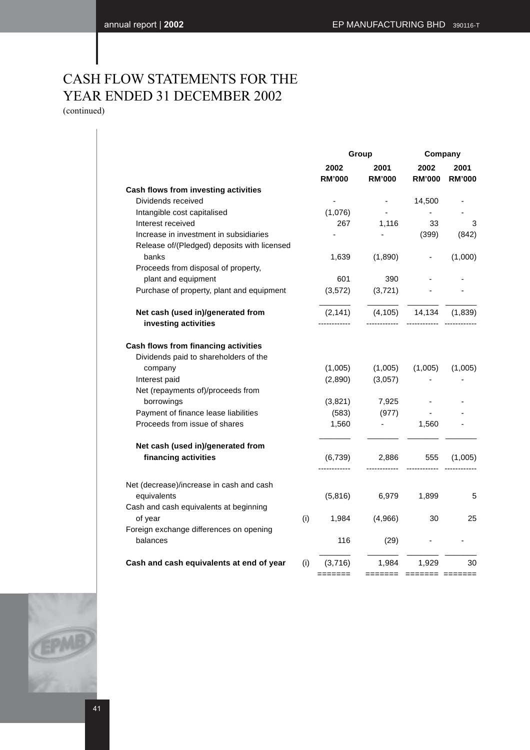# CASH FLOW STATEMENTS FOR THE YEAR ENDED 31 DECEMBER 2002

(continued)

|     | 2002                        | 2001                                | 2002                      |                         |
|-----|-----------------------------|-------------------------------------|---------------------------|-------------------------|
|     | <b>RM'000</b>               | <b>RM'000</b>                       | <b>RM'000</b>             | 2001<br><b>RM'000</b>   |
|     |                             |                                     |                           |                         |
|     | $\mathcal{L}_{\mathcal{A}}$ | $\sim 100$                          | 14,500                    |                         |
|     | (1,076)                     | $\blacksquare$                      | $\blacksquare$            |                         |
|     | 267                         | 1,116                               | 33                        | 3                       |
|     |                             |                                     | (399)                     | (842)                   |
|     |                             |                                     | $\overline{\phantom{a}}$  | (1,000)                 |
|     |                             |                                     |                           |                         |
|     |                             |                                     |                           |                         |
|     |                             |                                     |                           |                         |
|     | (2, 141)                    | (4, 105)                            | 14,134                    | (1,839)                 |
|     |                             |                                     |                           |                         |
|     |                             |                                     |                           |                         |
|     | (1,005)                     | (1,005)                             | (1,005)                   | (1,005)                 |
|     | (2,890)                     | (3,057)                             |                           |                         |
|     |                             |                                     |                           |                         |
|     | (3,821)                     | 7,925                               | $\overline{\phantom{a}}$  |                         |
|     | (583)                       | (977)                               |                           |                         |
|     | 1,560                       |                                     | 1,560                     |                         |
|     |                             |                                     |                           |                         |
|     | (6, 739)                    | 2,886<br>----------                 | 555                       | (1,005)                 |
|     |                             |                                     |                           |                         |
|     | (5,816)                     | 6,979                               | 1,899                     | 5                       |
| (i) | 1,984                       | (4,966)                             | 30                        | 25                      |
|     |                             |                                     |                           |                         |
|     | 116                         | (29)                                |                           |                         |
| (i) | (3,716)                     | 1,984                               | 1,929                     | 30                      |
|     |                             | 1,639<br>601<br>(3, 572)<br>======= | (1,890)<br>390<br>(3,721) | ======= ======= ======= |

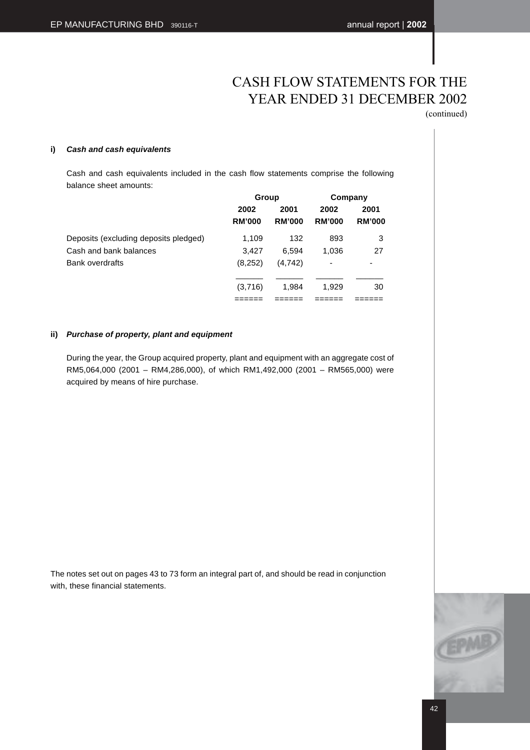# CASH FLOW STATEMENTS FOR THE YEAR ENDED 31 DECEMBER 2002

(continued)

### **i) Cash and cash equivalents**

Cash and cash equivalents included in the cash flow statements comprise the following balance sheet amounts:

|                                       | Group         |               | Company       |               |
|---------------------------------------|---------------|---------------|---------------|---------------|
|                                       | 2002          | 2001          | 2002          | 2001          |
|                                       | <b>RM'000</b> | <b>RM'000</b> | <b>RM'000</b> | <b>RM'000</b> |
| Deposits (excluding deposits pledged) | 1.109         | 132           | 893           | 3             |
| Cash and bank balances                | 3.427         | 6.594         | 1,036         | 27            |
| Bank overdrafts                       | (8,252)       | (4.742)       | ۰             | ٠             |
|                                       | (3,716)       | 1.984         | 1.929         | 30            |
|                                       |               |               |               |               |

### **ii) Purchase of property, plant and equipment**

During the year, the Group acquired property, plant and equipment with an aggregate cost of RM5,064,000 (2001 – RM4,286,000), of which RM1,492,000 (2001 – RM565,000) were acquired by means of hire purchase.

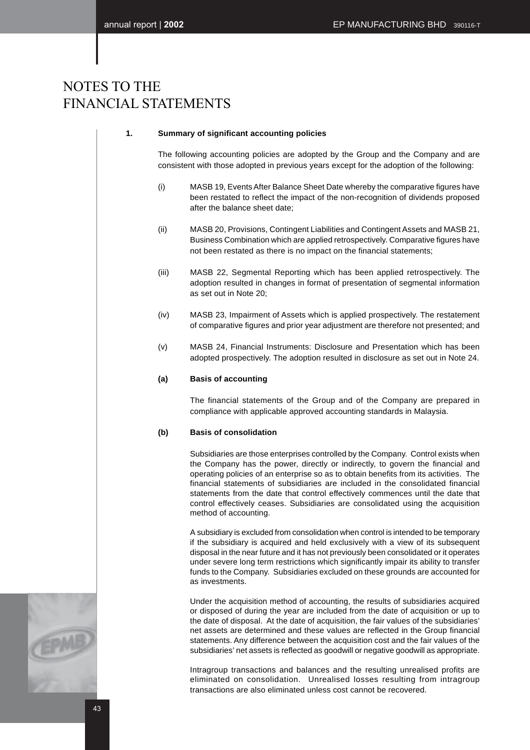### **1. Summary of significant accounting policies**

The following accounting policies are adopted by the Group and the Company and are consistent with those adopted in previous years except for the adoption of the following:

- (i) MASB 19, Events After Balance Sheet Date whereby the comparative figures have been restated to reflect the impact of the non-recognition of dividends proposed after the balance sheet date;
- (ii) MASB 20, Provisions, Contingent Liabilities and Contingent Assets and MASB 21, Business Combination which are applied retrospectively. Comparative figures have not been restated as there is no impact on the financial statements;
- (iii) MASB 22, Segmental Reporting which has been applied retrospectively. The adoption resulted in changes in format of presentation of segmental information as set out in Note 20;
- (iv) MASB 23, Impairment of Assets which is applied prospectively. The restatement of comparative figures and prior year adjustment are therefore not presented; and
- (v) MASB 24, Financial Instruments: Disclosure and Presentation which has been adopted prospectively. The adoption resulted in disclosure as set out in Note 24.

### **(a) Basis of accounting**

The financial statements of the Group and of the Company are prepared in compliance with applicable approved accounting standards in Malaysia.

### **(b) Basis of consolidation**

Subsidiaries are those enterprises controlled by the Company. Control exists when the Company has the power, directly or indirectly, to govern the financial and operating policies of an enterprise so as to obtain benefits from its activities. The financial statements of subsidiaries are included in the consolidated financial statements from the date that control effectively commences until the date that control effectively ceases. Subsidiaries are consolidated using the acquisition method of accounting.

A subsidiary is excluded from consolidation when control is intended to be temporary if the subsidiary is acquired and held exclusively with a view of its subsequent disposal in the near future and it has not previously been consolidated or it operates under severe long term restrictions which significantly impair its ability to transfer funds to the Company. Subsidiaries excluded on these grounds are accounted for as investments.

Under the acquisition method of accounting, the results of subsidiaries acquired or disposed of during the year are included from the date of acquisition or up to the date of disposal. At the date of acquisition, the fair values of the subsidiaries' net assets are determined and these values are reflected in the Group financial statements. Any difference between the acquisition cost and the fair values of the subsidiaries' net assets is reflected as goodwill or negative goodwill as appropriate.

Intragroup transactions and balances and the resulting unrealised profits are eliminated on consolidation. Unrealised losses resulting from intragroup transactions are also eliminated unless cost cannot be recovered.

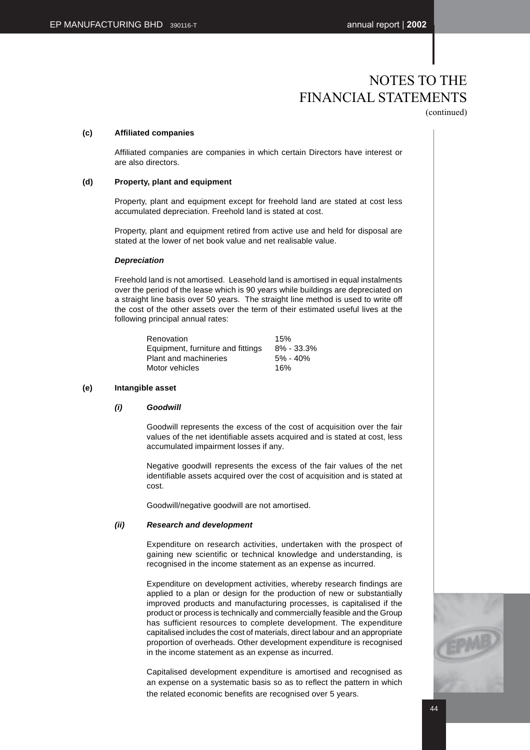### **(c) Affiliated companies**

Affiliated companies are companies in which certain Directors have interest or are also directors.

### **(d) Property, plant and equipment**

Property, plant and equipment except for freehold land are stated at cost less accumulated depreciation. Freehold land is stated at cost.

Property, plant and equipment retired from active use and held for disposal are stated at the lower of net book value and net realisable value.

### **Depreciation**

Freehold land is not amortised. Leasehold land is amortised in equal instalments over the period of the lease which is 90 years while buildings are depreciated on a straight line basis over 50 years. The straight line method is used to write off the cost of the other assets over the term of their estimated useful lives at the following principal annual rates:

| Renovation                        | 15%            |
|-----------------------------------|----------------|
| Equipment, furniture and fittings | $8\% - 33.3\%$ |
| Plant and machineries             | $5\% - 40\%$   |
| Motor vehicles                    | 16%            |

### **(e) Intangible asset**

### **(i) Goodwill**

Goodwill represents the excess of the cost of acquisition over the fair values of the net identifiable assets acquired and is stated at cost, less accumulated impairment losses if any.

Negative goodwill represents the excess of the fair values of the net identifiable assets acquired over the cost of acquisition and is stated at cost.

Goodwill/negative goodwill are not amortised.

### **(ii) Research and development**

Expenditure on research activities, undertaken with the prospect of gaining new scientific or technical knowledge and understanding, is recognised in the income statement as an expense as incurred.

Expenditure on development activities, whereby research findings are applied to a plan or design for the production of new or substantially improved products and manufacturing processes, is capitalised if the product or process is technically and commercially feasible and the Group has sufficient resources to complete development. The expenditure capitalised includes the cost of materials, direct labour and an appropriate proportion of overheads. Other development expenditure is recognised in the income statement as an expense as incurred.

Capitalised development expenditure is amortised and recognised as an expense on a systematic basis so as to reflect the pattern in which the related economic benefits are recognised over 5 years.

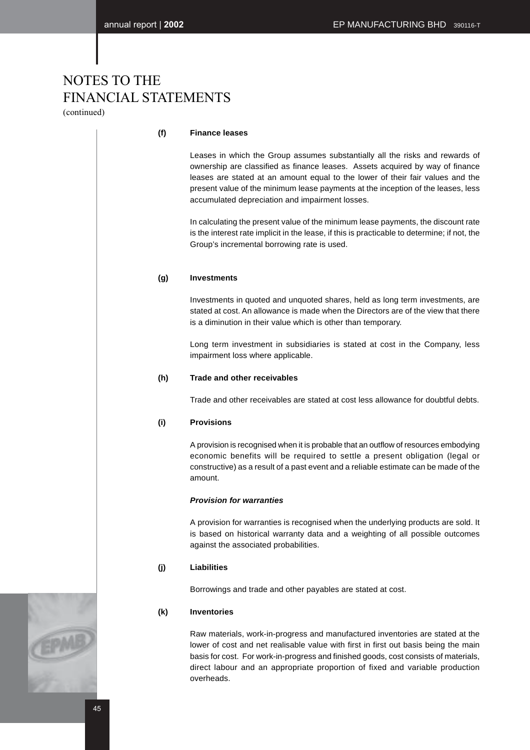(continued)

### **(f) Finance leases**

Leases in which the Group assumes substantially all the risks and rewards of ownership are classified as finance leases. Assets acquired by way of finance leases are stated at an amount equal to the lower of their fair values and the present value of the minimum lease payments at the inception of the leases, less accumulated depreciation and impairment losses.

In calculating the present value of the minimum lease payments, the discount rate is the interest rate implicit in the lease, if this is practicable to determine; if not, the Group's incremental borrowing rate is used.

### **(g) Investments**

Investments in quoted and unquoted shares, held as long term investments, are stated at cost. An allowance is made when the Directors are of the view that there is a diminution in their value which is other than temporary.

Long term investment in subsidiaries is stated at cost in the Company, less impairment loss where applicable.

### **(h) Trade and other receivables**

Trade and other receivables are stated at cost less allowance for doubtful debts.

### **(i) Provisions**

A provision is recognised when it is probable that an outflow of resources embodying economic benefits will be required to settle a present obligation (legal or constructive) as a result of a past event and a reliable estimate can be made of the amount.

### **Provision for warranties**

A provision for warranties is recognised when the underlying products are sold. It is based on historical warranty data and a weighting of all possible outcomes against the associated probabilities.

### **(j) Liabilities**

Borrowings and trade and other payables are stated at cost.

### **(k) Inventories**

Raw materials, work-in-progress and manufactured inventories are stated at the lower of cost and net realisable value with first in first out basis being the main basis for cost. For work-in-progress and finished goods, cost consists of materials, direct labour and an appropriate proportion of fixed and variable production overheads.

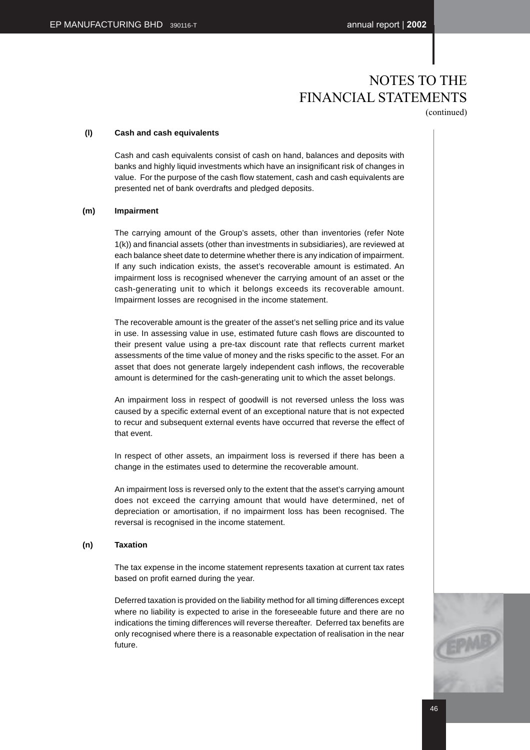### **(l) Cash and cash equivalents**

Cash and cash equivalents consist of cash on hand, balances and deposits with banks and highly liquid investments which have an insignificant risk of changes in value. For the purpose of the cash flow statement, cash and cash equivalents are presented net of bank overdrafts and pledged deposits.

### **(m) Impairment**

The carrying amount of the Group's assets, other than inventories (refer Note 1(k)) and financial assets (other than investments in subsidiaries), are reviewed at each balance sheet date to determine whether there is any indication of impairment. If any such indication exists, the asset's recoverable amount is estimated. An impairment loss is recognised whenever the carrying amount of an asset or the cash-generating unit to which it belongs exceeds its recoverable amount. Impairment losses are recognised in the income statement.

The recoverable amount is the greater of the asset's net selling price and its value in use. In assessing value in use, estimated future cash flows are discounted to their present value using a pre-tax discount rate that reflects current market assessments of the time value of money and the risks specific to the asset. For an asset that does not generate largely independent cash inflows, the recoverable amount is determined for the cash-generating unit to which the asset belongs.

An impairment loss in respect of goodwill is not reversed unless the loss was caused by a specific external event of an exceptional nature that is not expected to recur and subsequent external events have occurred that reverse the effect of that event.

In respect of other assets, an impairment loss is reversed if there has been a change in the estimates used to determine the recoverable amount.

An impairment loss is reversed only to the extent that the asset's carrying amount does not exceed the carrying amount that would have determined, net of depreciation or amortisation, if no impairment loss has been recognised. The reversal is recognised in the income statement.

### **(n) Taxation**

The tax expense in the income statement represents taxation at current tax rates based on profit earned during the year.

Deferred taxation is provided on the liability method for all timing differences except where no liability is expected to arise in the foreseeable future and there are no indications the timing differences will reverse thereafter. Deferred tax benefits are only recognised where there is a reasonable expectation of realisation in the near future.

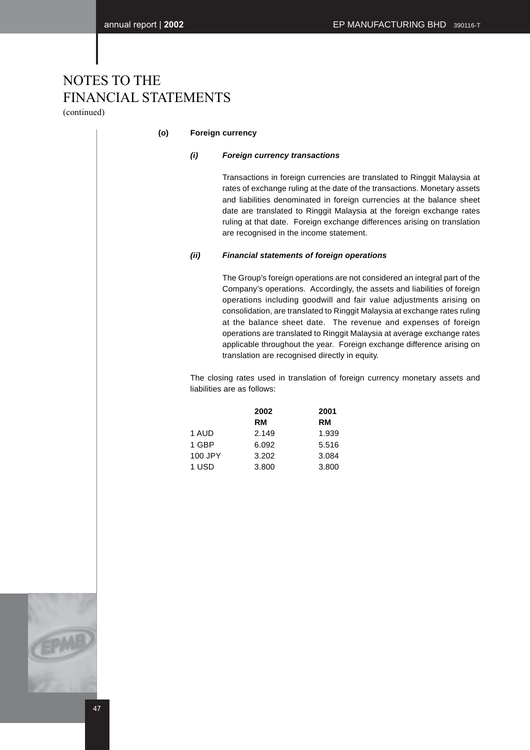(continued)

### **(o) Foreign currency**

### **(i) Foreign currency transactions**

Transactions in foreign currencies are translated to Ringgit Malaysia at rates of exchange ruling at the date of the transactions. Monetary assets and liabilities denominated in foreign currencies at the balance sheet date are translated to Ringgit Malaysia at the foreign exchange rates ruling at that date. Foreign exchange differences arising on translation are recognised in the income statement.

### **(ii) Financial statements of foreign operations**

The Group's foreign operations are not considered an integral part of the Company's operations. Accordingly, the assets and liabilities of foreign operations including goodwill and fair value adjustments arising on consolidation, are translated to Ringgit Malaysia at exchange rates ruling at the balance sheet date. The revenue and expenses of foreign operations are translated to Ringgit Malaysia at average exchange rates applicable throughout the year. Foreign exchange difference arising on translation are recognised directly in equity.

The closing rates used in translation of foreign currency monetary assets and liabilities are as follows:

|         | 2002      | 2001      |
|---------|-----------|-----------|
|         | <b>RM</b> | <b>RM</b> |
| 1 AUD   | 2.149     | 1.939     |
| 1 GBP   | 6.092     | 5.516     |
| 100 JPY | 3.202     | 3.084     |
| 1 USD   | 3.800     | 3.800     |

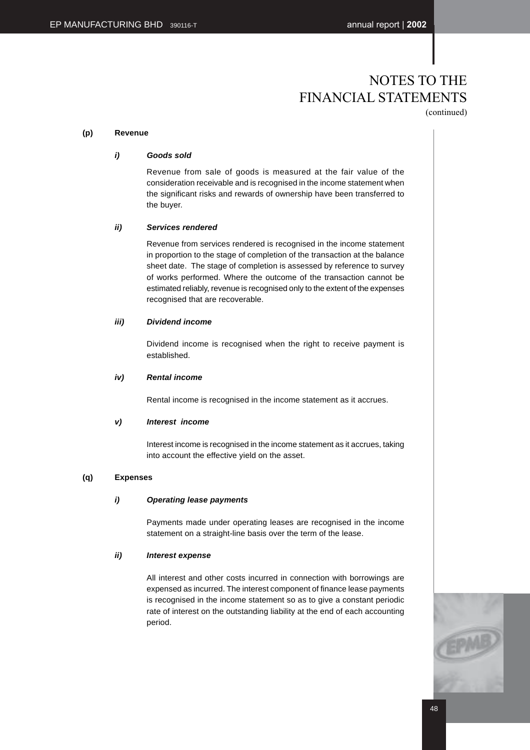### **(p) Revenue**

### **i) Goods sold**

Revenue from sale of goods is measured at the fair value of the consideration receivable and is recognised in the income statement when the significant risks and rewards of ownership have been transferred to the buyer.

### **ii) Services rendered**

Revenue from services rendered is recognised in the income statement in proportion to the stage of completion of the transaction at the balance sheet date. The stage of completion is assessed by reference to survey of works performed. Where the outcome of the transaction cannot be estimated reliably, revenue is recognised only to the extent of the expenses recognised that are recoverable.

### **iii) Dividend income**

Dividend income is recognised when the right to receive payment is established.

### **iv) Rental income**

Rental income is recognised in the income statement as it accrues.

### **v) Interest income**

Interest income is recognised in the income statement as it accrues, taking into account the effective yield on the asset.

### **(q) Expenses**

### **i) Operating lease payments**

Payments made under operating leases are recognised in the income statement on a straight-line basis over the term of the lease.

### **ii) Interest expense**

All interest and other costs incurred in connection with borrowings are expensed as incurred. The interest component of finance lease payments is recognised in the income statement so as to give a constant periodic rate of interest on the outstanding liability at the end of each accounting period.

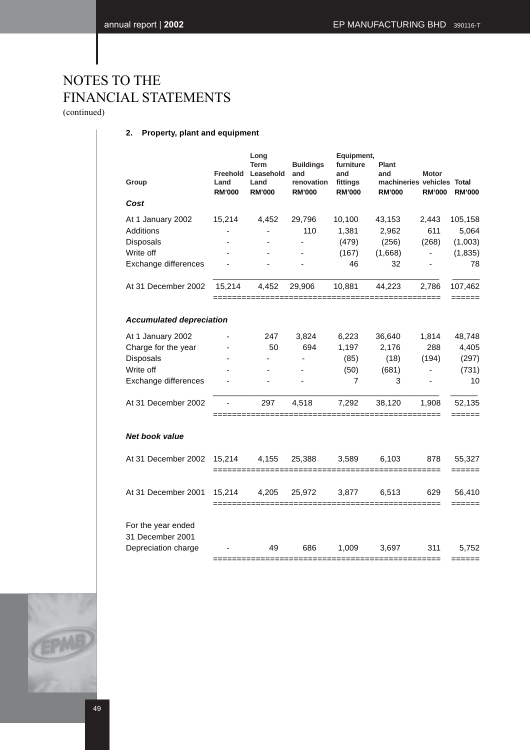(continued)

### **2. Property, plant and equipment**

|                                                | Group                                                                                      | Freehold<br>Land<br><b>RM'000</b> | Long<br><b>Term</b><br>Leasehold<br>Land<br><b>RM'000</b> | <b>Buildings</b><br>and<br>renovation<br><b>RM'000</b> | Equipment,<br>furniture<br>and<br>fittings<br><b>RM'000</b> | Plant<br>and<br>machineries vehicles Total<br><b>RM'000</b> | <b>Motor</b><br><b>RM'000</b>                     | <b>RM'000</b>                                 |
|------------------------------------------------|--------------------------------------------------------------------------------------------|-----------------------------------|-----------------------------------------------------------|--------------------------------------------------------|-------------------------------------------------------------|-------------------------------------------------------------|---------------------------------------------------|-----------------------------------------------|
|                                                | Cost                                                                                       |                                   |                                                           |                                                        |                                                             |                                                             |                                                   |                                               |
|                                                | At 1 January 2002<br>Additions<br>Disposals<br>Write off<br>Exchange differences           | 15,214                            | 4,452                                                     | 29,796<br>110<br>÷,                                    | 10,100<br>1,381<br>(479)<br>(167)<br>46                     | 43,153<br>2,962<br>(256)<br>(1,668)<br>32                   | 2,443<br>611<br>(268)<br>$\overline{\phantom{0}}$ | 105,158<br>5,064<br>(1,003)<br>(1, 835)<br>78 |
|                                                | At 31 December 2002                                                                        | 15,214                            | 4,452                                                     | 29,906                                                 | 10,881                                                      | 44,223                                                      | 2,786                                             | 107,462                                       |
| ===========<br><b>Accumulated depreciation</b> |                                                                                            |                                   |                                                           |                                                        |                                                             | ======                                                      |                                                   |                                               |
|                                                | At 1 January 2002<br>Charge for the year<br>Disposals<br>Write off<br>Exchange differences |                                   | 247<br>50                                                 | 3,824<br>694                                           | 6,223<br>1,197<br>(85)<br>(50)<br>7                         | 36,640<br>2,176<br>(18)<br>(681)<br>3                       | 1,814<br>288<br>(194)<br>ä,                       | 48,748<br>4,405<br>(297)<br>(731)<br>10       |
|                                                | At 31 December 2002                                                                        |                                   | 297                                                       | 4,518                                                  | 7,292                                                       | 38,120                                                      | 1,908                                             | 52,135<br>======                              |
|                                                | <b>Net book value</b>                                                                      |                                   |                                                           |                                                        |                                                             |                                                             |                                                   |                                               |
|                                                | At 31 December 2002                                                                        | 15,214                            | 4,155                                                     | 25,388                                                 | 3,589                                                       | 6,103                                                       | 878                                               | 55,327<br>======                              |
|                                                | At 31 December 2001                                                                        | 15,214                            | 4,205                                                     | 25,972                                                 | 3,877                                                       | 6,513                                                       | 629                                               | 56,410<br>$==$                                |
|                                                | For the year ended<br>31 December 2001<br>Depreciation charge                              |                                   | 49                                                        | 686                                                    | 1,009                                                       | 3,697                                                       | 311                                               | 5,752                                         |
|                                                |                                                                                            |                                   |                                                           |                                                        |                                                             |                                                             |                                                   |                                               |

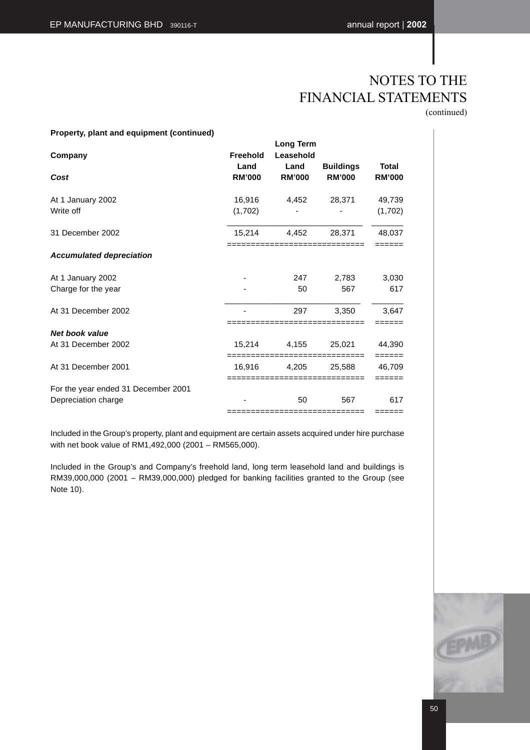(continued)

### **Property, plant and equipment (continued)**

| Company                             | Freehold<br>Land  | Long Term<br>Leasehold<br>Land | <b>Buildings</b>                      | Total             |
|-------------------------------------|-------------------|--------------------------------|---------------------------------------|-------------------|
| Cost                                | <b>RM'000</b>     | <b>RM'000</b>                  | <b>RM'000</b>                         | <b>RM'000</b>     |
| At 1 January 2002<br>Write off      | 16,916<br>(1,702) | 4,452                          | 28,371                                | 49,739<br>(1,702) |
| 31 December 2002                    | 15,214            | 4,452                          | 28,371                                | 48,037            |
|                                     |                   |                                |                                       |                   |
| <b>Accumulated depreciation</b>     |                   |                                |                                       |                   |
| At 1 January 2002                   |                   | 247                            | 2,783                                 | 3,030             |
| Charge for the year                 |                   | 50                             | 567                                   | 617               |
| At 31 December 2002                 |                   | 297                            | 3.350<br>-----------------            | 3.647             |
| <b>Net book value</b>               |                   |                                |                                       |                   |
| At 31 December 2002                 | 15,214            | 4,155                          | 25,021<br>=========================== | 44,390<br>======  |
| At 31 December 2001                 | 16,916            | 4,205                          | 25,588<br>-----------------------     | 46,709<br>======  |
| For the year ended 31 December 2001 |                   |                                |                                       |                   |
| Depreciation charge                 |                   | 50                             | 567                                   | 617               |
|                                     |                   |                                | ============================          |                   |

Included in the Group's property, plant and equipment are certain assets acquired under hire purchase with net book value of RM1,492,000 (2001 – RM565,000).

Included in the Group's and Company's freehold land, long term leasehold land and buildings is RM39,000,000 (2001 – RM39,000,000) pledged for banking facilities granted to the Group (see Note 10).

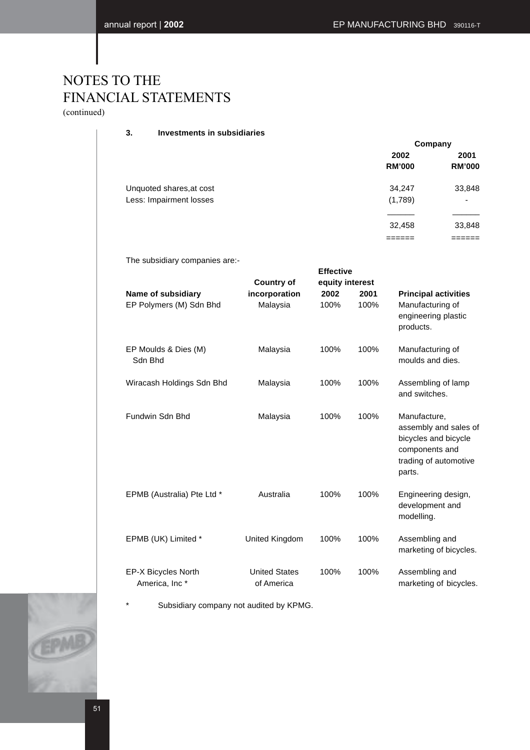(continued)

### **3. Investments in subsidiaries**

|                          | Company       |               |  |
|--------------------------|---------------|---------------|--|
|                          | 2002          | 2001          |  |
|                          | <b>RM'000</b> | <b>RM'000</b> |  |
| Unquoted shares, at cost | 34,247        | 33,848        |  |
| Less: Impairment losses  | (1,789)       | ٠             |  |
|                          |               |               |  |
|                          | 32,458        | 33,848        |  |
|                          |               |               |  |

The subsidiary companies are:-

|                                                  |                                    | <b>Effective</b> |              |                                                                                                                    |
|--------------------------------------------------|------------------------------------|------------------|--------------|--------------------------------------------------------------------------------------------------------------------|
|                                                  | <b>Country of</b>                  | equity interest  |              |                                                                                                                    |
| Name of subsidiary<br>EP Polymers (M) Sdn Bhd    | incorporation<br>Malaysia          | 2002<br>100%     | 2001<br>100% | <b>Principal activities</b><br>Manufacturing of<br>engineering plastic<br>products.                                |
| EP Moulds & Dies (M)<br>Sdn Bhd                  | Malaysia                           | 100%             | 100%         | Manufacturing of<br>moulds and dies.                                                                               |
| Wiracash Holdings Sdn Bhd                        | Malaysia                           | 100%             | 100%         | Assembling of lamp<br>and switches.                                                                                |
| Fundwin Sdn Bhd                                  | Malaysia                           | 100%             | 100%         | Manufacture,<br>assembly and sales of<br>bicycles and bicycle<br>components and<br>trading of automotive<br>parts. |
| EPMB (Australia) Pte Ltd *                       | Australia                          | 100%             | 100%         | Engineering design,<br>development and<br>modelling.                                                               |
| EPMB (UK) Limited *                              | United Kingdom                     | 100%             | 100%         | Assembling and<br>marketing of bicycles.                                                                           |
| EP-X Bicycles North<br>America, Inc <sup>*</sup> | <b>United States</b><br>of America | 100%             | 100%         | Assembling and<br>marketing of bicycles.                                                                           |

Subsidiary company not audited by KPMG.

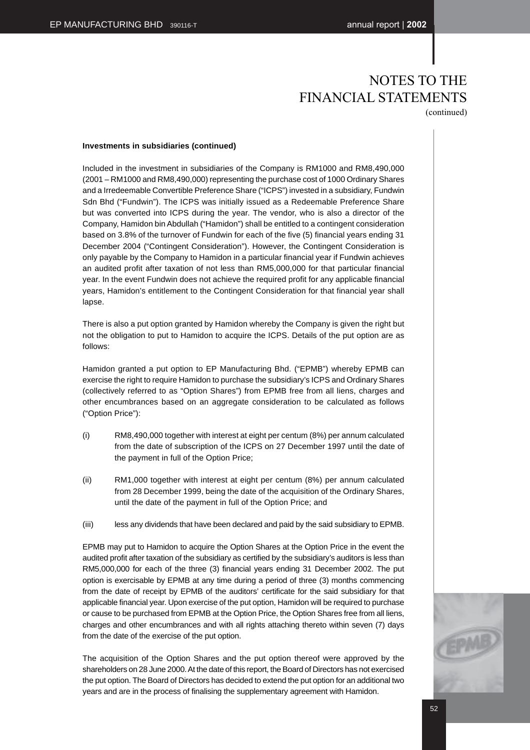### **Investments in subsidiaries (continued)**

Included in the investment in subsidiaries of the Company is RM1000 and RM8,490,000 (2001 – RM1000 and RM8,490,000) representing the purchase cost of 1000 Ordinary Shares and a Irredeemable Convertible Preference Share ("ICPS") invested in a subsidiary, Fundwin Sdn Bhd ("Fundwin"). The ICPS was initially issued as a Redeemable Preference Share but was converted into ICPS during the year. The vendor, who is also a director of the Company, Hamidon bin Abdullah ("Hamidon") shall be entitled to a contingent consideration based on 3.8% of the turnover of Fundwin for each of the five (5) financial years ending 31 December 2004 ("Contingent Consideration"). However, the Contingent Consideration is only payable by the Company to Hamidon in a particular financial year if Fundwin achieves an audited profit after taxation of not less than RM5,000,000 for that particular financial year. In the event Fundwin does not achieve the required profit for any applicable financial years, Hamidon's entitlement to the Contingent Consideration for that financial year shall lapse.

There is also a put option granted by Hamidon whereby the Company is given the right but not the obligation to put to Hamidon to acquire the ICPS. Details of the put option are as follows:

Hamidon granted a put option to EP Manufacturing Bhd. ("EPMB") whereby EPMB can exercise the right to require Hamidon to purchase the subsidiary's ICPS and Ordinary Shares (collectively referred to as "Option Shares") from EPMB free from all liens, charges and other encumbrances based on an aggregate consideration to be calculated as follows ("Option Price"):

- (i) RM8,490,000 together with interest at eight per centum (8%) per annum calculated from the date of subscription of the ICPS on 27 December 1997 until the date of the payment in full of the Option Price;
- (ii) RM1,000 together with interest at eight per centum (8%) per annum calculated from 28 December 1999, being the date of the acquisition of the Ordinary Shares, until the date of the payment in full of the Option Price; and
- (iii) less any dividends that have been declared and paid by the said subsidiary to EPMB.

EPMB may put to Hamidon to acquire the Option Shares at the Option Price in the event the audited profit after taxation of the subsidiary as certified by the subsidiary's auditors is less than RM5,000,000 for each of the three (3) financial years ending 31 December 2002. The put option is exercisable by EPMB at any time during a period of three (3) months commencing from the date of receipt by EPMB of the auditors' certificate for the said subsidiary for that applicable financial year. Upon exercise of the put option, Hamidon will be required to purchase or cause to be purchased from EPMB at the Option Price, the Option Shares free from all liens, charges and other encumbrances and with all rights attaching thereto within seven (7) days from the date of the exercise of the put option.

The acquisition of the Option Shares and the put option thereof were approved by the shareholders on 28 June 2000. At the date of this report, the Board of Directors has not exercised the put option. The Board of Directors has decided to extend the put option for an additional two years and are in the process of finalising the supplementary agreement with Hamidon.

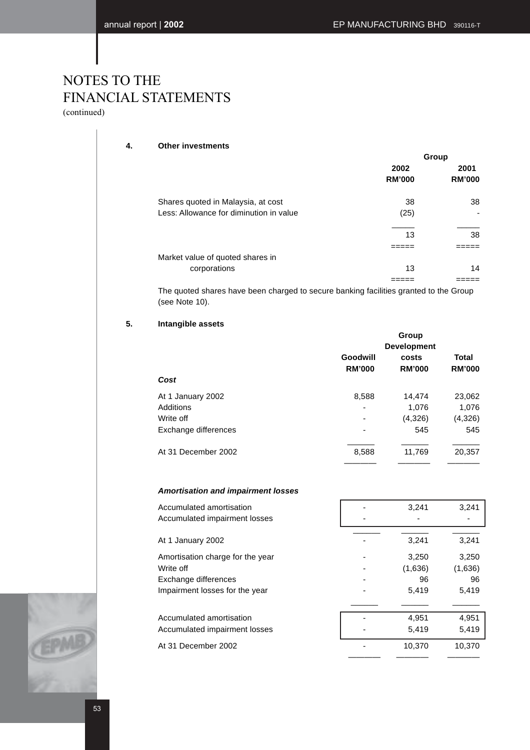(continued)

### **4. Other investments**

| Group |                       |  |
|-------|-----------------------|--|
| 2002  | 2001<br><b>RM'000</b> |  |
|       |                       |  |
| 38    | 38                    |  |
| (25)  |                       |  |
|       |                       |  |
|       | 38                    |  |
|       |                       |  |
|       |                       |  |
| 13    | 14                    |  |
|       |                       |  |
|       | <b>RM'000</b><br>13   |  |

The quoted shares have been charged to secure banking facilities granted to the Group (see Note 10).

### **5. Intangible assets**

|                      | Group<br><b>Development</b> |               |               |  |
|----------------------|-----------------------------|---------------|---------------|--|
|                      | Goodwill                    | costs         | Total         |  |
| Cost                 | <b>RM'000</b>               | <b>RM'000</b> | <b>RM'000</b> |  |
| At 1 January 2002    | 8,588                       | 14,474        | 23,062        |  |
| Additions            |                             | 1,076         | 1,076         |  |
| Write off            |                             | (4,326)       | (4,326)       |  |
| Exchange differences |                             | 545           | 545           |  |
| At 31 December 2002  | 8,588                       | 11,769        | 20,357        |  |

### **Amortisation and impairment losses**

| Accumulated amortisation         | 3,241   | 3,241   |
|----------------------------------|---------|---------|
| Accumulated impairment losses    |         |         |
| At 1 January 2002                | 3,241   | 3,241   |
| Amortisation charge for the year | 3,250   | 3,250   |
| Write off                        | (1,636) | (1,636) |
| Exchange differences             | 96      | 96      |
| Impairment losses for the year   | 5.419   | 5,419   |
|                                  |         |         |
| Accumulated amortisation         | 4,951   | 4,951   |
| Accumulated impairment losses    | 5,419   | 5,419   |
| At 31 December 2002              | 10,370  | 10,370  |
|                                  |         |         |

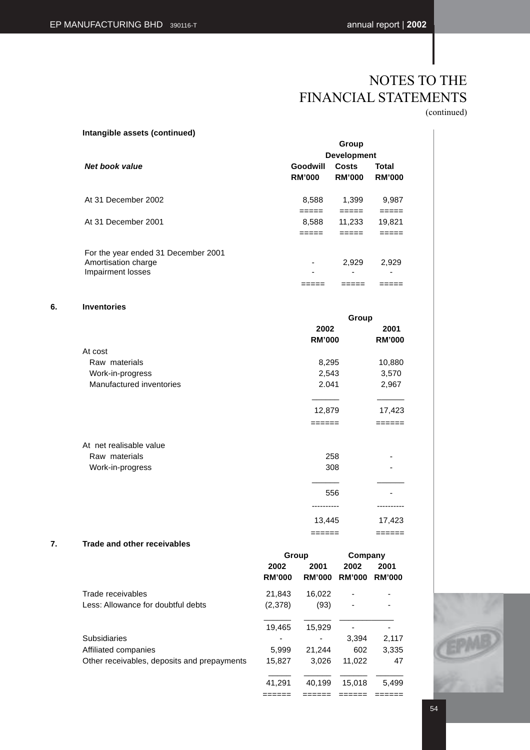**Intangible assets (continued)**

# NOTES TO THE FINANCIAL STATEMENTS (continued)

|                                     |                    | Group         |               |
|-------------------------------------|--------------------|---------------|---------------|
|                                     | <b>Development</b> |               |               |
| Net book value                      | Goodwill           | Costs         | Total         |
|                                     | <b>RM'000</b>      | <b>RM'000</b> | <b>RM'000</b> |
| At 31 December 2002                 | 8,588              | 1,399         | 9,987         |
|                                     | =====              | =====         | =====         |
| At 31 December 2001                 | 8,588              | 11,233        | 19,821        |
|                                     | =====              |               |               |
| For the year ended 31 December 2001 |                    |               |               |
| Amortisation charge                 |                    | 2,929         | 2,929         |
| Impairment losses                   |                    | -             |               |
|                                     |                    |               |               |
| <b>Inventories</b>                  |                    |               |               |
|                                     |                    | Group         |               |
|                                     | 2002               |               | 2001          |

|                          | 2002          | 2001          |
|--------------------------|---------------|---------------|
|                          | <b>RM'000</b> | <b>RM'000</b> |
| At cost                  |               |               |
| Raw materials            | 8,295         | 10,880        |
| Work-in-progress         | 2,543         | 3,570         |
| Manufactured inventories | 2.041         | 2,967         |
|                          |               |               |
|                          | 12,879        | 17,423        |
|                          | :=====        | =====         |
| At net realisable value  |               |               |
| Raw materials            | 258           |               |
| Work-in-progress         | 308           |               |
|                          |               |               |
|                          | 556           |               |
|                          | .             | ------        |
|                          | 13,445        | 17,423        |
|                          | ======        | ======        |

### **7. Trade and other receivables**

**6. Inventories**

|                                             | Group         |               | Company                  |               |
|---------------------------------------------|---------------|---------------|--------------------------|---------------|
|                                             | 2002          | 2001          | 2002                     | 2001          |
|                                             | <b>RM'000</b> | <b>RM'000</b> | <b>RM'000</b>            | <b>RM'000</b> |
| Trade receivables                           | 21.843        | 16,022        |                          |               |
| Less: Allowance for doubtful debts          | (2,378)       | (93)          | $\overline{\phantom{a}}$ | ۰             |
|                                             |               |               |                          |               |
|                                             | 19,465        | 15,929        |                          |               |
| Subsidiaries                                |               |               | 3.394                    | 2,117         |
| Affiliated companies                        | 5,999         | 21,244        | 602                      | 3,335         |
| Other receivables, deposits and prepayments | 15,827        | 3.026         | 11,022                   | 47            |
|                                             |               |               |                          |               |
|                                             | 41.291        | 40.199        | 15.018                   | 5.499         |

====== ====== ====== ======

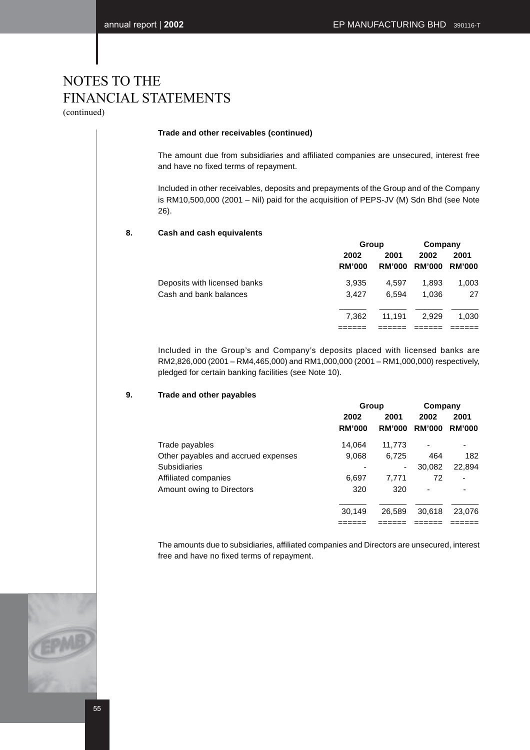(continued)

### **Trade and other receivables (continued)**

The amount due from subsidiaries and affiliated companies are unsecured, interest free and have no fixed terms of repayment.

Included in other receivables, deposits and prepayments of the Group and of the Company is RM10,500,000 (2001 – Nil) paid for the acquisition of PEPS-JV (M) Sdn Bhd (see Note 26).

### **8. Cash and cash equivalents**

|                              |               | Group         |               | Company       |
|------------------------------|---------------|---------------|---------------|---------------|
|                              | 2002          | 2001          | 2002          | 2001          |
|                              | <b>RM'000</b> | <b>RM'000</b> | <b>RM'000</b> | <b>RM'000</b> |
| Deposits with licensed banks | 3.935         | 4.597         | 1.893         | 1,003         |
| Cash and bank balances       | 3.427         | 6.594         | 1.036         | 27            |
|                              |               |               |               |               |
|                              | 7.362         | 11.191        | 2.929         | 1.030         |
|                              |               |               |               |               |

Included in the Group's and Company's deposits placed with licensed banks are RM2,826,000 (2001 – RM4,465,000) and RM1,000,000 (2001 – RM1,000,000) respectively, pledged for certain banking facilities (see Note 10).

### **9. Trade and other payables**

|                                     | Group         |               | Company                  |               |
|-------------------------------------|---------------|---------------|--------------------------|---------------|
|                                     | 2002          | 2001          | 2002                     | 2001          |
|                                     | <b>RM'000</b> | <b>RM'000</b> | <b>RM'000</b>            | <b>RM'000</b> |
| Trade payables                      | 14,064        | 11,773        | $\overline{\phantom{0}}$ |               |
| Other payables and accrued expenses | 9,068         | 6,725         | 464                      | 182           |
| <b>Subsidiaries</b>                 |               | ۰             | 30,082                   | 22,894        |
| Affiliated companies                | 6,697         | 7.771         | 72                       |               |
| Amount owing to Directors           | 320           | 320           |                          |               |
|                                     | 30,149        | 26,589        | 30,618                   | 23,076        |
|                                     |               |               |                          |               |

The amounts due to subsidiaries, affiliated companies and Directors are unsecured, interest free and have no fixed terms of repayment.

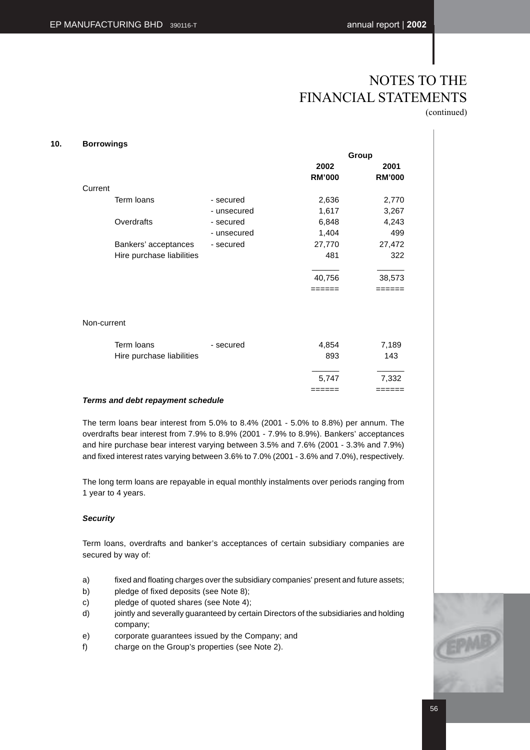**10. Borrowings**

# NOTES TO THE FINANCIAL STATEMENTS (continued)

|                           |             |               | Group         |
|---------------------------|-------------|---------------|---------------|
|                           |             | 2002          | 2001          |
|                           |             | <b>RM'000</b> | <b>RM'000</b> |
| Current                   |             |               |               |
| Term loans                | - secured   | 2,636         | 2,770         |
|                           | - unsecured | 1,617         | 3,267         |
| Overdrafts                | - secured   | 6,848         | 4,243         |
|                           | - unsecured | 1,404         | 499           |
| Bankers' acceptances      | - secured   | 27,770        | 27,472        |
| Hire purchase liabilities |             | 481           | 322           |
|                           |             |               |               |
|                           |             | 40,756        | 38,573        |
|                           |             | ------        | -----         |
| Non-current               |             |               |               |
|                           |             |               |               |
| Term loans                | - secured   | 4,854         | 7,189         |
| Hire purchase liabilities |             | 893           | 143           |
|                           |             | 5,747         | 7,332         |
|                           |             | ======        | ======        |

### **Terms and debt repayment schedule**

The term loans bear interest from 5.0% to 8.4% (2001 - 5.0% to 8.8%) per annum. The overdrafts bear interest from 7.9% to 8.9% (2001 - 7.9% to 8.9%). Bankers' acceptances and hire purchase bear interest varying between 3.5% and 7.6% (2001 - 3.3% and 7.9%) and fixed interest rates varying between 3.6% to 7.0% (2001 - 3.6% and 7.0%), respectively.

The long term loans are repayable in equal monthly instalments over periods ranging from 1 year to 4 years.

### **Security**

Term loans, overdrafts and banker's acceptances of certain subsidiary companies are secured by way of:

- a) fixed and floating charges over the subsidiary companies' present and future assets;
- b) pledge of fixed deposits (see Note 8);
- c) pledge of quoted shares (see Note 4);
- d) jointly and severally guaranteed by certain Directors of the subsidiaries and holding company;
- e) corporate guarantees issued by the Company; and
- f) charge on the Group's properties (see Note 2).

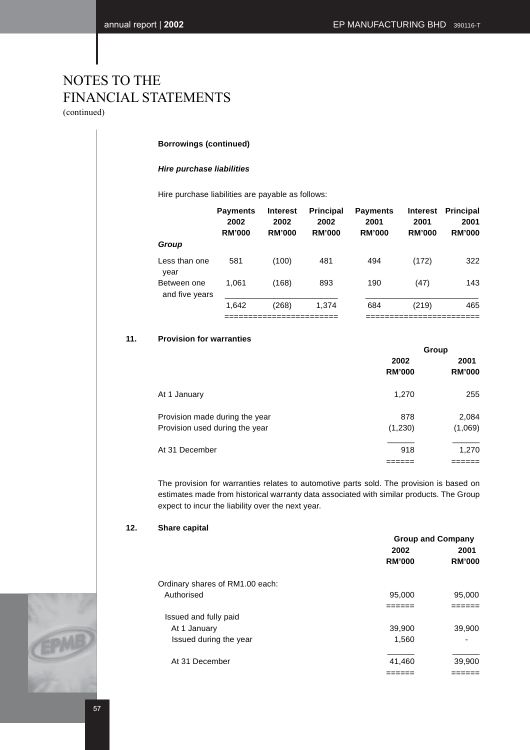(continued)

### **Borrowings (continued)**

### **Hire purchase liabilities**

Hire purchase liabilities are payable as follows:

|                               | <b>Payments</b><br>2002<br><b>RM'000</b> | <b>Interest</b><br>2002<br><b>RM'000</b> | <b>Principal</b><br>2002<br><b>RM'000</b> | <b>Payments</b><br>2001<br><b>RM'000</b> | <b>Interest</b><br>2001<br><b>RM'000</b> | <b>Principal</b><br>2001<br><b>RM'000</b> |
|-------------------------------|------------------------------------------|------------------------------------------|-------------------------------------------|------------------------------------------|------------------------------------------|-------------------------------------------|
| Group                         |                                          |                                          |                                           |                                          |                                          |                                           |
| Less than one<br>year         | 581                                      | (100)                                    | 481                                       | 494                                      | (172)                                    | 322                                       |
| Between one<br>and five years | 1.061                                    | (168)                                    | 893                                       | 190                                      | (47)                                     | 143                                       |
|                               | 1.642                                    | (268)                                    | 1.374                                     | 684                                      | (219)                                    | 465                                       |
|                               |                                          |                                          |                                           |                                          |                                          |                                           |

### **11. Provision for warranties**

|                                                                  | Group                 |                       |  |
|------------------------------------------------------------------|-----------------------|-----------------------|--|
|                                                                  | 2002<br><b>RM'000</b> | 2001<br><b>RM'000</b> |  |
| At 1 January                                                     | 1,270                 | 255                   |  |
| Provision made during the year<br>Provision used during the year | 878<br>(1,230)        | 2,084<br>(1,069)      |  |
| At 31 December                                                   | 918                   | 1,270                 |  |

The provision for warranties relates to automotive parts sold. The provision is based on estimates made from historical warranty data associated with similar products. The Group expect to incur the liability over the next year.

### **12. Share capital**

|                                 | <b>Group and Company</b> |               |  |
|---------------------------------|--------------------------|---------------|--|
|                                 | 2002                     | 2001          |  |
|                                 | <b>RM'000</b>            | <b>RM'000</b> |  |
| Ordinary shares of RM1.00 each: |                          |               |  |
| Authorised                      | 95,000                   | 95,000        |  |
|                                 |                          |               |  |
| Issued and fully paid           |                          |               |  |
| At 1 January                    | 39,900                   | 39,900        |  |
| Issued during the year          | 1,560                    |               |  |
| At 31 December                  | 41,460                   | 39,900        |  |
|                                 |                          |               |  |

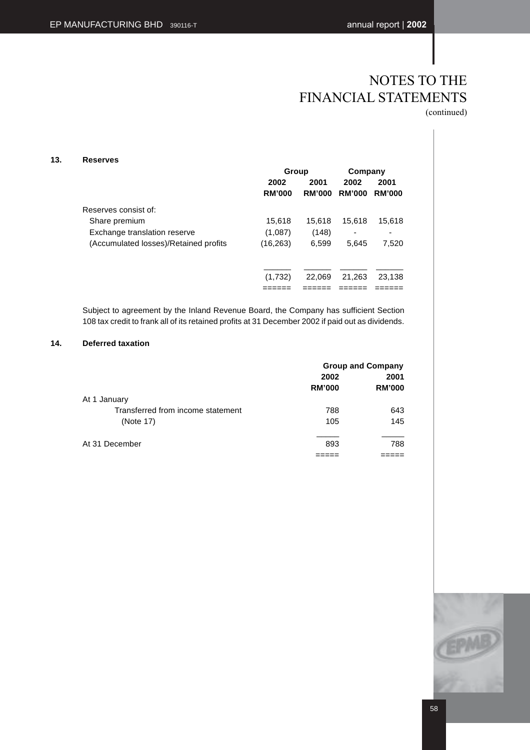(continued)

### **13. Reserves**

|                                       |               | Group         |               | Company       |  |
|---------------------------------------|---------------|---------------|---------------|---------------|--|
|                                       | 2002          | 2001          |               | 2001          |  |
|                                       | <b>RM'000</b> | <b>RM'000</b> | <b>RM'000</b> | <b>RM'000</b> |  |
| Reserves consist of:                  |               |               |               |               |  |
| Share premium                         | 15,618        | 15,618        | 15,618        | 15,618        |  |
| Exchange translation reserve          | (1,087)       | (148)         |               | -             |  |
| (Accumulated losses)/Retained profits | (16, 263)     | 6,599         | 5,645         | 7,520         |  |
|                                       |               |               |               |               |  |
|                                       | (1,732)       | 22,069        | 21,263        | 23,138        |  |
|                                       |               |               |               |               |  |

Subject to agreement by the Inland Revenue Board, the Company has sufficient Section 108 tax credit to frank all of its retained profits at 31 December 2002 if paid out as dividends.

### **14. Deferred taxation**

|                                   | <b>Group and Company</b> |               |  |
|-----------------------------------|--------------------------|---------------|--|
|                                   | 2002                     | 2001          |  |
|                                   | <b>RM'000</b>            | <b>RM'000</b> |  |
| At 1 January                      |                          |               |  |
| Transferred from income statement | 788                      | 643           |  |
| (Note 17)                         | 105                      | 145           |  |
|                                   |                          |               |  |
| At 31 December                    | 893                      | 788           |  |
|                                   |                          |               |  |

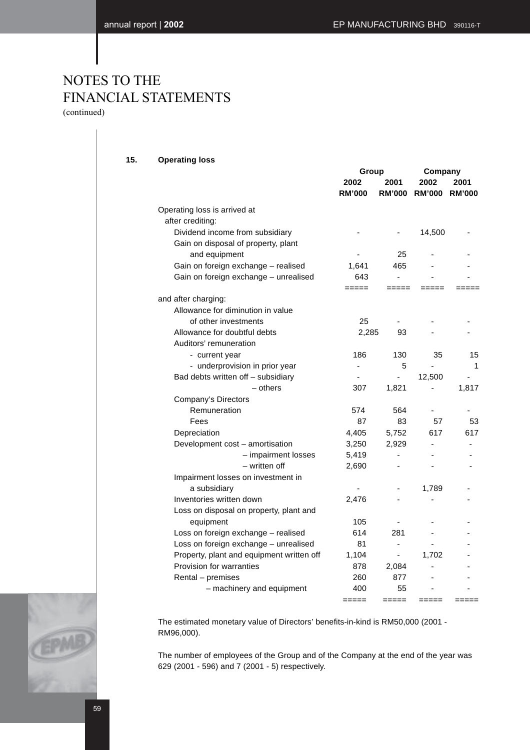**15. Operating loss**

(continued)

| <b>Operating loss</b>                                  |                       |                       |                              |                       |
|--------------------------------------------------------|-----------------------|-----------------------|------------------------------|-----------------------|
|                                                        | Group                 |                       | Company                      |                       |
|                                                        | 2002<br><b>RM'000</b> | 2001<br><b>RM'000</b> | 2002<br><b>RM'000</b>        | 2001<br><b>RM'000</b> |
| Operating loss is arrived at                           |                       |                       |                              |                       |
| after crediting:                                       |                       |                       |                              |                       |
| Dividend income from subsidiary                        |                       |                       | 14,500                       |                       |
| Gain on disposal of property, plant                    |                       |                       |                              |                       |
| and equipment                                          |                       | 25                    |                              |                       |
| Gain on foreign exchange - realised                    | 1,641                 | 465                   |                              |                       |
| Gain on foreign exchange - unrealised                  | 643                   | $\overline{a}$        |                              |                       |
|                                                        | =====                 | =====                 |                              |                       |
| and after charging:                                    |                       |                       |                              |                       |
| Allowance for diminution in value                      |                       |                       |                              |                       |
| of other investments                                   | 25                    |                       |                              |                       |
| Allowance for doubtful debts<br>Auditors' remuneration | 2,285                 | 93                    |                              |                       |
| - current year                                         | 186                   | 130                   | 35                           | 15                    |
| - underprovision in prior year                         | ä,                    | 5                     |                              | 1                     |
| Bad debts written off - subsidiary                     |                       | $\blacksquare$        | 12,500                       |                       |
| - others                                               | 307                   | 1,821                 |                              | 1,817                 |
| Company's Directors                                    |                       |                       |                              |                       |
| Remuneration                                           | 574                   | 564                   | ä,                           |                       |
| Fees                                                   | 87                    | 83                    | 57                           | 53                    |
| Depreciation                                           | 4,405                 | 5,752                 | 617                          | 617                   |
| Development cost - amortisation                        | 3,250                 | 2,929                 |                              |                       |
| - impairment losses                                    | 5,419                 | $\blacksquare$        |                              |                       |
| - written off                                          | 2,690                 |                       |                              |                       |
| Impairment losses on investment in                     |                       |                       |                              |                       |
| a subsidiary                                           |                       |                       | 1,789                        |                       |
| Inventories written down                               | 2,476                 |                       | $\qquad \qquad \blacksquare$ |                       |
| Loss on disposal on property, plant and                |                       |                       |                              |                       |
| equipment                                              | 105                   |                       |                              |                       |
| Loss on foreign exchange - realised                    | 614                   | 281                   |                              |                       |
| Loss on foreign exchange - unrealised                  | 81                    | $\blacksquare$        |                              |                       |
| Property, plant and equipment written off              | 1,104                 | $\blacksquare$        | 1,702                        |                       |
| Provision for warranties                               | 878                   | 2,084                 |                              |                       |
| Rental - premises                                      | 260                   | 877                   |                              |                       |
| - machinery and equipment                              | 400                   | 55                    |                              |                       |
|                                                        | =====                 | =====                 |                              |                       |

The estimated monetary value of Directors' benefits-in-kind is RM50,000 (2001 - RM96,000).

The number of employees of the Group and of the Company at the end of the year was 629 (2001 - 596) and 7 (2001 - 5) respectively.

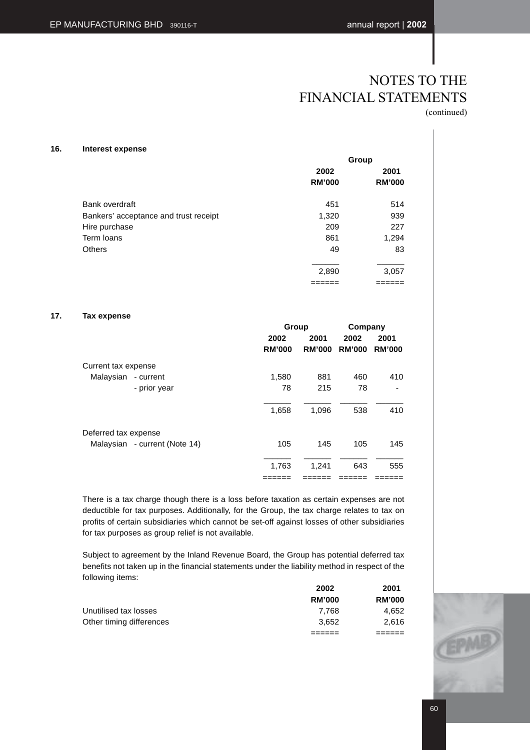| 16.<br>Interest expense |
|-------------------------|
|-------------------------|

| merest expense                        | Group         |               |  |  |
|---------------------------------------|---------------|---------------|--|--|
|                                       | 2002          | 2001          |  |  |
|                                       | <b>RM'000</b> | <b>RM'000</b> |  |  |
| Bank overdraft                        | 451           | 514           |  |  |
| Bankers' acceptance and trust receipt | 1,320         | 939           |  |  |
| Hire purchase                         | 209           | 227           |  |  |
| Term loans                            | 861           | 1,294         |  |  |
| <b>Others</b>                         | 49            | 83            |  |  |
|                                       | 2,890         | 3,057         |  |  |
|                                       | ====          |               |  |  |

### **17. Tax expense**

|                               |               | Group         |               | Company       |
|-------------------------------|---------------|---------------|---------------|---------------|
|                               | 2002          | 2001          | 2002          | 2001          |
|                               | <b>RM'000</b> | <b>RM'000</b> | <b>RM'000</b> | <b>RM'000</b> |
| Current tax expense           |               |               |               |               |
| Malaysian<br>- current        | 1,580         | 881           | 460           | 410           |
| - prior year                  | 78            | 215           | 78            |               |
|                               | 1,658         | 1,096         | 538           | 410           |
| Deferred tax expense          |               |               |               |               |
| Malaysian - current (Note 14) | 105           | 145           | 105           | 145           |
|                               | 1,763         | 1,241         | 643           | 555           |
|                               |               |               |               |               |

There is a tax charge though there is a loss before taxation as certain expenses are not deductible for tax purposes. Additionally, for the Group, the tax charge relates to tax on profits of certain subsidiaries which cannot be set-off against losses of other subsidiaries for tax purposes as group relief is not available.

Subject to agreement by the Inland Revenue Board, the Group has potential deferred tax benefits not taken up in the financial statements under the liability method in respect of the following items:

|                          | 2002          | 2001          |
|--------------------------|---------------|---------------|
|                          | <b>RM'000</b> | <b>RM'000</b> |
| Unutilised tax losses    | 7.768         | 4,652         |
| Other timing differences | 3.652         | 2.616         |
|                          |               |               |

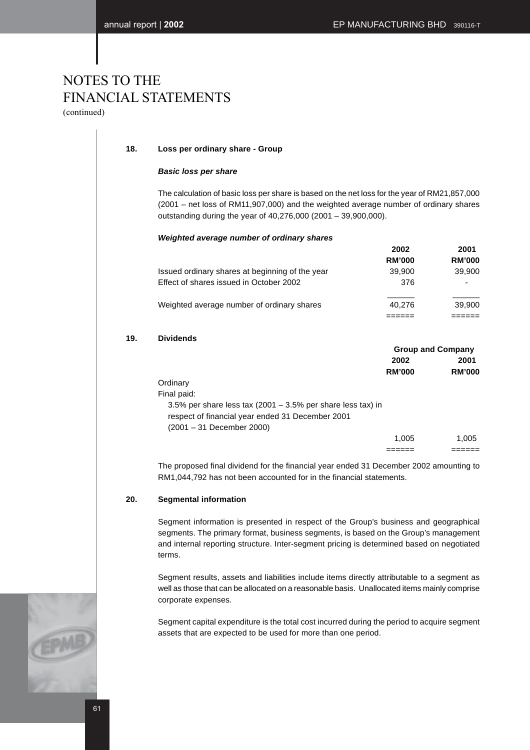(continued)

### **18. Loss per ordinary share - Group**

### **Basic loss per share**

The calculation of basic loss per share is based on the net loss for the year of RM21,857,000 (2001 – net loss of RM11,907,000) and the weighted average number of ordinary shares outstanding during the year of 40,276,000 (2001 – 39,900,000).

### **Weighted average number of ordinary shares**

|                                                 | 2002          | 2001          |
|-------------------------------------------------|---------------|---------------|
|                                                 | <b>RM'000</b> | <b>RM'000</b> |
| Issued ordinary shares at beginning of the year | 39,900        | 39,900        |
| Effect of shares issued in October 2002         | 376           | ۰             |
| Weighted average number of ordinary shares      | 40.276        | 39,900        |
|                                                 |               |               |

### **19. Dividends**

|                                                                | <b>Group and Company</b> |               |
|----------------------------------------------------------------|--------------------------|---------------|
|                                                                | 2002                     | 2001          |
|                                                                | <b>RM'000</b>            | <b>RM'000</b> |
| Ordinary                                                       |                          |               |
| Final paid:                                                    |                          |               |
| 3.5% per share less tax $(2001 - 3.5\%$ per share less tax) in |                          |               |
| respect of financial year ended 31 December 2001               |                          |               |
| (2001 – 31 December 2000)                                      |                          |               |
|                                                                | 1.005                    | 1.005         |
|                                                                |                          |               |

The proposed final dividend for the financial year ended 31 December 2002 amounting to RM1,044,792 has not been accounted for in the financial statements.

### **20. Segmental information**

Segment information is presented in respect of the Group's business and geographical segments. The primary format, business segments, is based on the Group's management and internal reporting structure. Inter-segment pricing is determined based on negotiated terms.

Segment results, assets and liabilities include items directly attributable to a segment as well as those that can be allocated on a reasonable basis. Unallocated items mainly comprise corporate expenses.

Segment capital expenditure is the total cost incurred during the period to acquire segment assets that are expected to be used for more than one period.

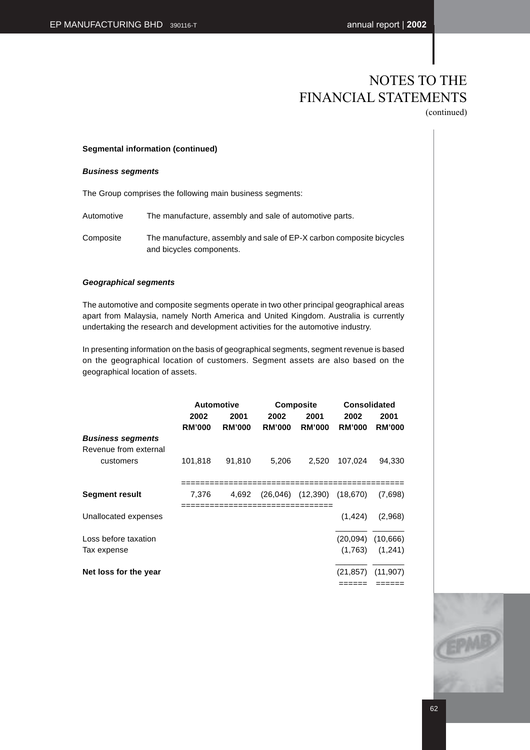### **Segmental information (continued)**

### **Business segments**

The Group comprises the following main business segments:

Automotive The manufacture, assembly and sale of automotive parts.

Composite The manufacture, assembly and sale of EP-X carbon composite bicycles and bicycles components.

### **Geographical segments**

The automotive and composite segments operate in two other principal geographical areas apart from Malaysia, namely North America and United Kingdom. Australia is currently undertaking the research and development activities for the automotive industry.

In presenting information on the basis of geographical segments, segment revenue is based on the geographical location of customers. Segment assets are also based on the geographical location of assets.

|                                                   |               | <b>Automotive</b> |               | <b>Composite</b>                 | <b>Consolidated</b> |                     |
|---------------------------------------------------|---------------|-------------------|---------------|----------------------------------|---------------------|---------------------|
|                                                   | 2002          | 2001              | 2002          | 2001                             | 2002                | 2001                |
|                                                   | <b>RM'000</b> | <b>RM'000</b>     | <b>RM'000</b> | <b>RM'000</b>                    | <b>RM'000</b>       | <b>RM'000</b>       |
| <b>Business segments</b><br>Revenue from external |               |                   |               |                                  |                     |                     |
| customers                                         | 101,818       | 91,810            | 5,206         | 2,520                            | 107.024             | 94,330              |
| <b>Segment result</b>                             | 7,376         | 4.692             |               | $(26,046)$ $(12,390)$ $(18,670)$ |                     | (7.698)             |
| Unallocated expenses                              |               |                   |               |                                  | (1, 424)            | (2,968)             |
| Loss before taxation                              |               |                   |               |                                  | (20,094)            | (10,666)            |
| Tax expense                                       |               |                   |               |                                  |                     | $(1,763)$ $(1,241)$ |
| Net loss for the year                             |               |                   |               |                                  | (21, 857)           | (11, 907)           |
|                                                   |               |                   |               |                                  |                     |                     |

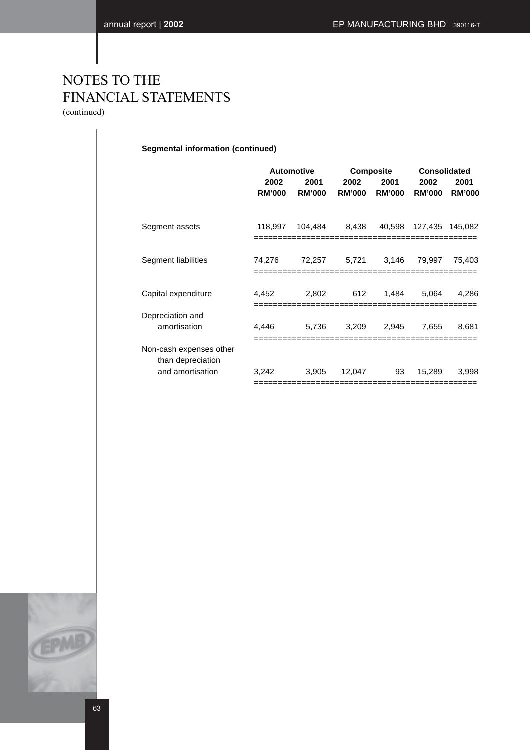(continued)

**Segmental information (continued)**

|                                              | <b>Automotive</b>     |                       |                       | <b>Composite</b>      |                       | <b>Consolidated</b>   |  |
|----------------------------------------------|-----------------------|-----------------------|-----------------------|-----------------------|-----------------------|-----------------------|--|
|                                              | 2002<br><b>RM'000</b> | 2001<br><b>RM'000</b> | 2002<br><b>RM'000</b> | 2001<br><b>RM'000</b> | 2002<br><b>RM'000</b> | 2001<br><b>RM'000</b> |  |
| Segment assets                               | 118,997               | 104,484               | 8,438                 | 40,598                | 127,435               | 145,082               |  |
| Segment liabilities                          | 74,276                | 72,257                | 5.721                 | 3.146                 | 79.997                | 75,403                |  |
| Capital expenditure                          | 4,452                 | 2,802                 | 612                   | 1.484                 | 5.064                 | 4.286                 |  |
| Depreciation and<br>amortisation             | 4,446                 | 5,736                 | 3,209                 | 2,945                 | 7,655                 | 8,681                 |  |
| Non-cash expenses other<br>than depreciation |                       |                       |                       |                       |                       |                       |  |
| and amortisation                             | 3,242                 | 3,905                 | 12,047                | 93                    | 15.289                | 3,998                 |  |

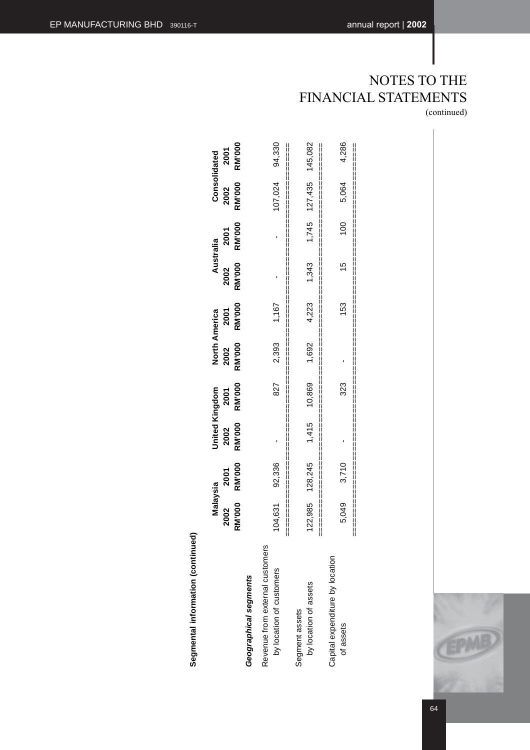4,286 94,330 **RM'000** 127,435 145,082 **RM'000 RM'000 RM'000 RM'000 RM'000 RM'000 RM'000 RM'000 RM'000 RM'000** ocation of the customers of the customers in the customers in the customers in the control of the customers in <br>Section and the customers in the customers in the customers in the customers in the customers in the customer by location of assets 122,985 128,245 1,415 10,869 1,692 4,223 1,343 1,745 127,435 145,082 of assets 5,049 5,049 3,710 - 3,710 - 3,710 - 3,710 - 3,710 - 3,710 - 3,064 5,064 5,064 5,086 =================================================================================== =================================================================================== ===================================================================================2001 Consolidated **2002 2001 2002 2001 2002 2001 2002 2001 2002 2001 Malaysia**<br> **United America America America America America <u>Australia</u><br>
Disloy and America America America America America America America America America America America A RM'000** 5,064 107,024 2002 1,745 100 **RM'000** 2001 Australia **RM'000** 1,343  $\overline{5}$ 2002 4,223 153 1,167 **RM'000** 2001 **North America** 2,393 1,692 **RM'000** 2002 **RM'000** 827 10,869 323 **United Kingdom** 2001 2002<br>RM'000 1,415 92,336 128,245 3,710 **RM'000** 2001 Malaysia 5,049 **RM'000** 122,985 104,631 2002 Revenue from external customers Revenue from external customers Capital expenditure by location Capital expenditure by location by location of customers Geographical segments **Geographical segments** by location of assets Segment assets Segment assets of assets



64

# Segmental information (continued) **Segmental information (continued)**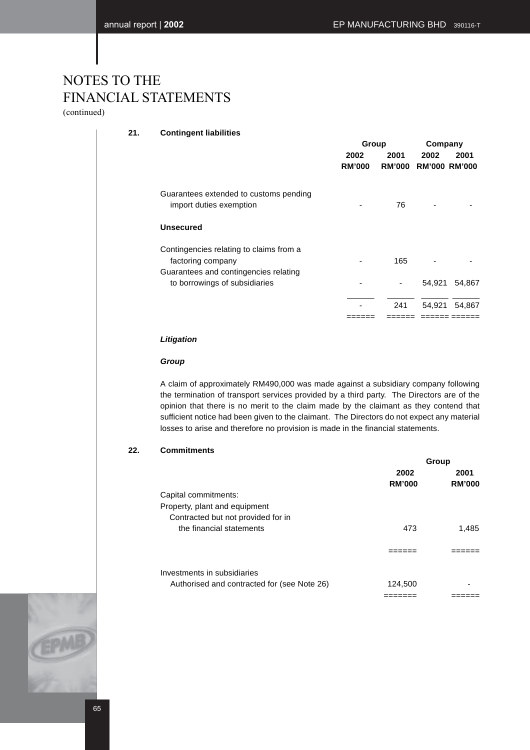(continued)

### **21. Contingent liabilities**

|                                                                        | Group                 |      | Company                      |        |
|------------------------------------------------------------------------|-----------------------|------|------------------------------|--------|
|                                                                        | 2002<br><b>RM'000</b> | 2001 | 2002<br>RM'000 RM'000 RM'000 | 2001   |
| Guarantees extended to customs pending<br>import duties exemption      |                       | 76   |                              |        |
| Unsecured                                                              |                       |      |                              |        |
| Contingencies relating to claims from a<br>factoring company           |                       | 165  |                              |        |
| Guarantees and contingencies relating<br>to borrowings of subsidiaries |                       |      | 54,921                       | 54,867 |
|                                                                        |                       | 241  | 54,921                       | 54,867 |
|                                                                        |                       |      |                              |        |

### **Litigation**

### **Group**

A claim of approximately RM490,000 was made against a subsidiary company following the termination of transport services provided by a third party. The Directors are of the opinion that there is no merit to the claim made by the claimant as they contend that sufficient notice had been given to the claimant. The Directors do not expect any material losses to arise and therefore no provision is made in the financial statements.

### **22. Commitments**

|                                             |               | Group         |
|---------------------------------------------|---------------|---------------|
|                                             | 2002          | 2001          |
|                                             | <b>RM'000</b> | <b>RM'000</b> |
| Capital commitments:                        |               |               |
| Property, plant and equipment               |               |               |
| Contracted but not provided for in          |               |               |
| the financial statements                    | 473           | 1,485         |
|                                             |               |               |
| Investments in subsidiaries                 |               |               |
| Authorised and contracted for (see Note 26) | 124,500       |               |
|                                             |               |               |

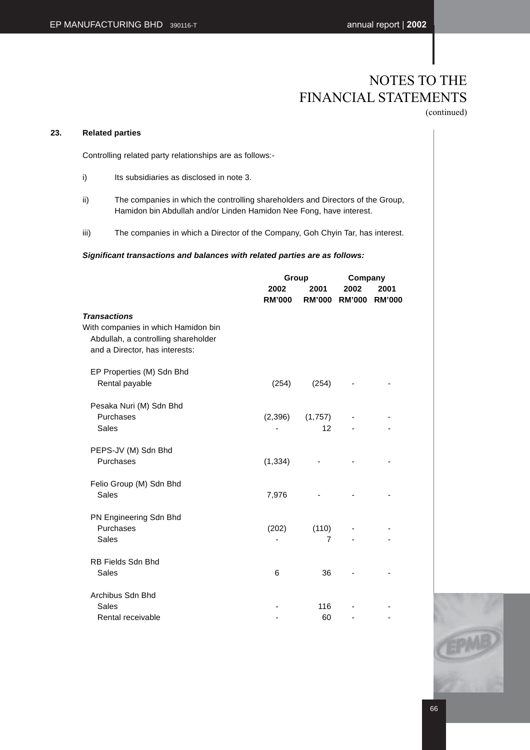### **23. Related parties**

Controlling related party relationships are as follows:-

- i) Its subsidiaries as disclosed in note 3.
- ii) The companies in which the controlling shareholders and Directors of the Group, Hamidon bin Abdullah and/or Linden Hamidon Nee Fong, have interest.
- iii) The companies in which a Director of the Company, Goh Chyin Tar, has interest.

### **Significant transactions and balances with related parties are as follows:**

|                                                                                                              |                       | Group                   |                       | Company               |  |  |
|--------------------------------------------------------------------------------------------------------------|-----------------------|-------------------------|-----------------------|-----------------------|--|--|
|                                                                                                              | 2002<br><b>RM'000</b> | 2001<br><b>RM'000</b>   | 2002<br><b>RM'000</b> | 2001<br><b>RM'000</b> |  |  |
| <b>Transactions</b>                                                                                          |                       |                         |                       |                       |  |  |
| With companies in which Hamidon bin<br>Abdullah, a controlling shareholder<br>and a Director, has interests: |                       |                         |                       |                       |  |  |
| EP Properties (M) Sdn Bhd<br>Rental payable                                                                  | (254)                 | (254)                   |                       |                       |  |  |
| Pesaka Nuri (M) Sdn Bhd<br>Purchases<br>Sales                                                                | (2,396)               | (1,757)<br>12           |                       |                       |  |  |
| PEPS-JV (M) Sdn Bhd<br>Purchases                                                                             | (1, 334)              |                         |                       |                       |  |  |
| Felio Group (M) Sdn Bhd<br>Sales                                                                             | 7,976                 |                         |                       |                       |  |  |
| PN Engineering Sdn Bhd<br>Purchases<br>Sales                                                                 | (202)                 | (110)<br>$\overline{7}$ |                       |                       |  |  |
| <b>RB Fields Sdn Bhd</b><br><b>Sales</b>                                                                     | 6                     | 36                      |                       |                       |  |  |
| Archibus Sdn Bhd<br>Sales                                                                                    |                       | 116                     |                       |                       |  |  |
| Rental receivable                                                                                            |                       | 60                      |                       |                       |  |  |

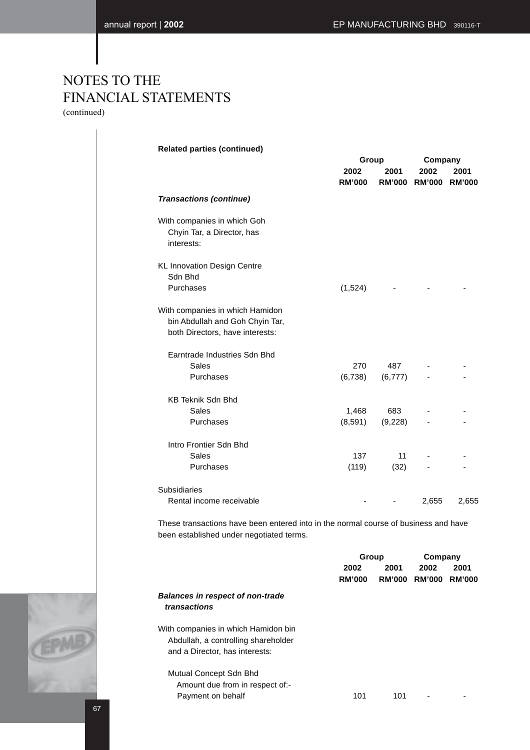|                                                                                                       |                       | Group           | Company                      |       |
|-------------------------------------------------------------------------------------------------------|-----------------------|-----------------|------------------------------|-------|
|                                                                                                       | 2002<br><b>RM'000</b> | 2001            | 2002<br>RM'000 RM'000 RM'000 | 2001  |
| <b>Transactions (continue)</b>                                                                        |                       |                 |                              |       |
| With companies in which Goh<br>Chyin Tar, a Director, has<br>interests:                               |                       |                 |                              |       |
| <b>KL Innovation Design Centre</b><br>Sdn Bhd                                                         |                       |                 |                              |       |
| Purchases                                                                                             | (1,524)               |                 |                              |       |
| With companies in which Hamidon<br>bin Abdullah and Goh Chyin Tar,<br>both Directors, have interests: |                       |                 |                              |       |
| Earntrade Industries Sdn Bhd                                                                          |                       |                 |                              |       |
| Sales<br>Purchases                                                                                    | 270<br>(6,738)        | 487<br>(6, 777) |                              |       |
| <b>KB Teknik Sdn Bhd</b>                                                                              |                       |                 |                              |       |
| Sales                                                                                                 | 1,468                 | 683             |                              |       |
| Purchases                                                                                             | (8,591)               | (9,228)         |                              |       |
| Intro Frontier Sdn Bhd                                                                                |                       |                 |                              |       |
| <b>Sales</b>                                                                                          | 137                   | 11              |                              |       |
| Purchases                                                                                             | (119)                 | (32)            |                              |       |
| <b>Subsidiaries</b>                                                                                   |                       |                 |                              |       |
| Rental income receivable                                                                              |                       |                 | 2,655                        | 2,655 |

|                                         | Group         |               | Company       |               |
|-----------------------------------------|---------------|---------------|---------------|---------------|
|                                         | 2002          | 2001          | 2002          | 2001          |
|                                         | <b>RM'000</b> | <b>RM'000</b> | <b>RM'000</b> | <b>RM'000</b> |
| <b>Balances in respect of non-trade</b> |               |               |               |               |
| transactions                            |               |               |               |               |
| With companies in which Hamidon bin     |               |               |               |               |
| Abdullah, a controlling shareholder     |               |               |               |               |
| and a Director, has interests:          |               |               |               |               |
| Mutual Concept Sdn Bhd                  |               |               |               |               |
| Amount due from in respect of:-         |               |               |               |               |
| Payment on behalf                       | 101           | 101           |               |               |
|                                         |               |               |               |               |

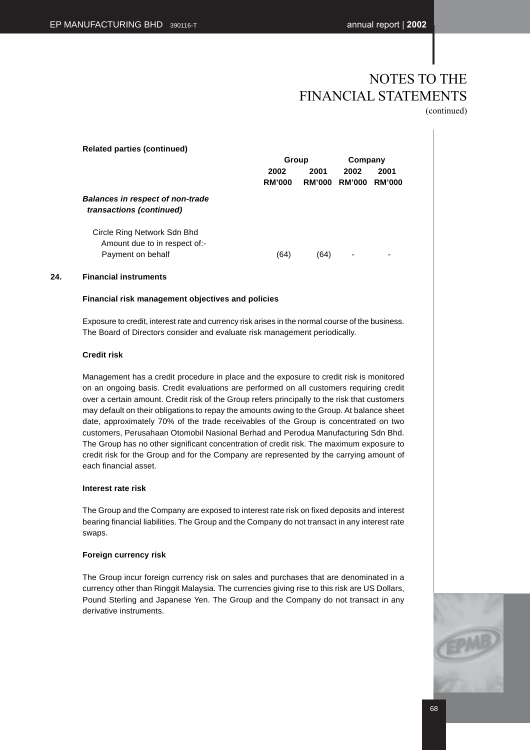(continued)

| <b>Related parties (continued)</b>                                                | Group                 |                       | Company               |                       |
|-----------------------------------------------------------------------------------|-----------------------|-----------------------|-----------------------|-----------------------|
|                                                                                   | 2002<br><b>RM'000</b> | 2001<br><b>RM'000</b> | 2002<br><b>RM'000</b> | 2001<br><b>RM'000</b> |
| <b>Balances in respect of non-trade</b><br>transactions (continued)               |                       |                       |                       |                       |
| Circle Ring Network Sdn Bhd<br>Amount due to in respect of:-<br>Payment on behalf | (64)                  | (64)                  | ۰                     | ۰                     |

### **24. Financial instruments**

### **Financial risk management objectives and policies**

Exposure to credit, interest rate and currency risk arises in the normal course of the business. The Board of Directors consider and evaluate risk management periodically.

### **Credit risk**

Management has a credit procedure in place and the exposure to credit risk is monitored on an ongoing basis. Credit evaluations are performed on all customers requiring credit over a certain amount. Credit risk of the Group refers principally to the risk that customers may default on their obligations to repay the amounts owing to the Group. At balance sheet date, approximately 70% of the trade receivables of the Group is concentrated on two customers, Perusahaan Otomobil Nasional Berhad and Perodua Manufacturing Sdn Bhd. The Group has no other significant concentration of credit risk. The maximum exposure to credit risk for the Group and for the Company are represented by the carrying amount of each financial asset.

### **Interest rate risk**

The Group and the Company are exposed to interest rate risk on fixed deposits and interest bearing financial liabilities. The Group and the Company do not transact in any interest rate swaps.

### **Foreign currency risk**

The Group incur foreign currency risk on sales and purchases that are denominated in a currency other than Ringgit Malaysia. The currencies giving rise to this risk are US Dollars, Pound Sterling and Japanese Yen. The Group and the Company do not transact in any derivative instruments.

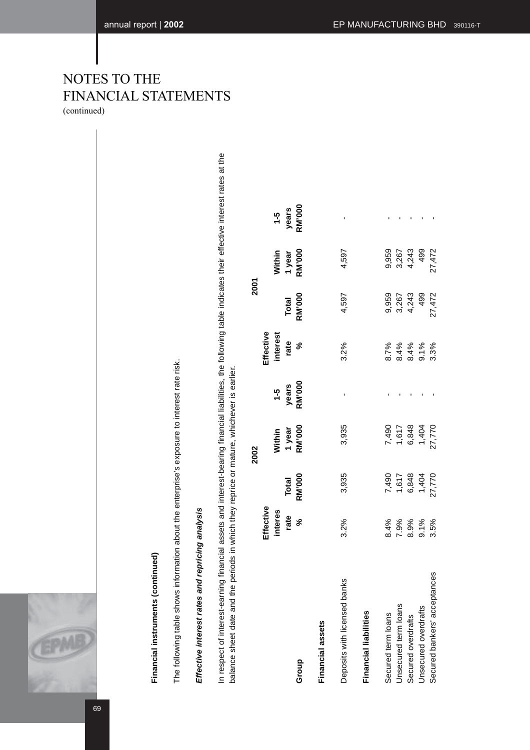69

# Financial instruments (continued) **Financial instruments (continued)**

The following table shows information about the enterprise's exposure to interest rate risk. The following table shows information about the enterprise's exposure to interest rate risk.

# Effective interest rates and repricing analysis **Effective interest rates and repricing analysis**

In respect of interest-earning financial assets and interest-bearing financial liabilities, the following table indicates their effective interest rates at the In respect of interest-earning financial assets and interest-bearing financial liabilities, the following table indicates their effective interest rates at the balance sheet date and the periods in which they reprice or mature, whichever is earlier. balance sheet date and the periods in which they reprice or mature, whichever is earlier.

|                              |                                                                           |                                             | 2002                                        |                        |                       | 2001                                              |                                      |                               |  |
|------------------------------|---------------------------------------------------------------------------|---------------------------------------------|---------------------------------------------|------------------------|-----------------------|---------------------------------------------------|--------------------------------------|-------------------------------|--|
|                              |                                                                           |                                             |                                             |                        | Effective             |                                                   |                                      |                               |  |
|                              |                                                                           |                                             |                                             |                        |                       |                                                   |                                      |                               |  |
| Group                        | Effective<br>interes<br>rate<br>%                                         | Total<br>RM'000                             | Within<br>1 year<br>RM'000                  | 1-5<br>years<br>RM'000 | interest<br>rate<br>% | Total<br>RM'000                                   | Within<br>1 year<br>RM'000           | 1-5<br>years<br>ans<br>7M'000 |  |
| Financial assets             |                                                                           |                                             |                                             |                        |                       |                                                   |                                      |                               |  |
| Deposits with licensed banks | 3.2%                                                                      | 3,935                                       | 3,935                                       |                        | 3.2%                  | 4,597                                             | 4,597                                |                               |  |
| Financial liabilities        |                                                                           |                                             |                                             |                        |                       |                                                   |                                      |                               |  |
| Secured term loans           |                                                                           |                                             |                                             |                        |                       |                                                   |                                      |                               |  |
| Unsecured term loans         |                                                                           |                                             |                                             |                        |                       |                                                   |                                      |                               |  |
| Secured overdrafts           | $888888$<br>$7.9988$<br>$8.998$<br>$7.998$<br>$8.58$<br>$7.998$<br>$9.58$ | 7,490<br>1,617<br>6,848<br>27,770<br>27,770 | 7,490<br>1,617<br>6,848<br>27,770<br>27,770 |                        |                       | 959<br>9504 99 20<br>9 30 4 90 21<br>9 30 4 21 21 | 959<br>967 499<br>967 499<br>967 402 |                               |  |
| Jnsecured overdrafts         |                                                                           |                                             |                                             |                        |                       |                                                   |                                      |                               |  |
| Secured bankers' acceptances |                                                                           |                                             |                                             |                        |                       |                                                   |                                      |                               |  |

# NOTES TO THE FINANCIAL STATEMENTS (continued)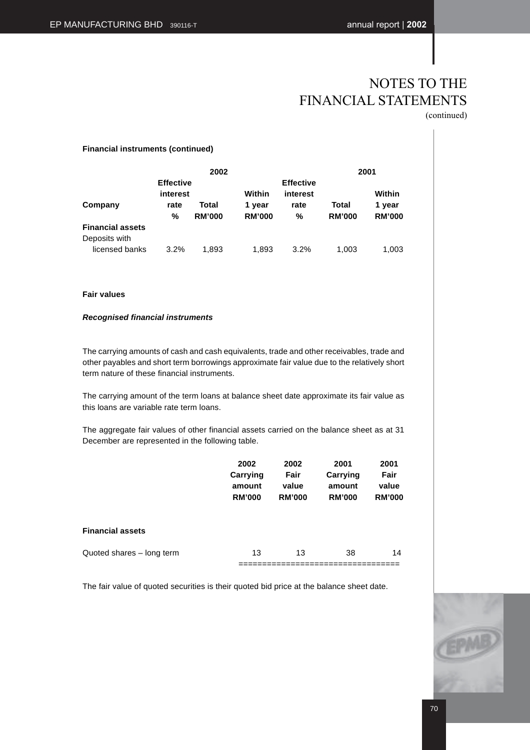(continued)

|  | <b>Financial instruments (continued)</b> |
|--|------------------------------------------|
|  |                                          |

|                                          |                              | 2002                   |                         |                              |                        | 2001                    |
|------------------------------------------|------------------------------|------------------------|-------------------------|------------------------------|------------------------|-------------------------|
|                                          | <b>Effective</b><br>interest |                        | Within                  | <b>Effective</b><br>interest |                        | Within                  |
| Company                                  | rate<br>%                    | Total<br><b>RM'000</b> | 1 year<br><b>RM'000</b> | rate<br>%                    | Total<br><b>RM'000</b> | 1 year<br><b>RM'000</b> |
| <b>Financial assets</b><br>Deposits with |                              |                        |                         |                              |                        |                         |
| licensed banks                           | 3.2%                         | 1.893                  | 1,893                   | 3.2%                         | 1.003                  | 1,003                   |

### **Fair values**

### **Recognised financial instruments**

The carrying amounts of cash and cash equivalents, trade and other receivables, trade and other payables and short term borrowings approximate fair value due to the relatively short term nature of these financial instruments.

The carrying amount of the term loans at balance sheet date approximate its fair value as this loans are variable rate term loans.

The aggregate fair values of other financial assets carried on the balance sheet as at 31 December are represented in the following table.

|                           | 2002<br>Carrying<br>amount<br><b>RM'000</b> | 2002<br>Fair<br>value<br><b>RM'000</b> | 2001<br>Carrying<br>amount<br><b>RM'000</b> | 2001<br>Fair<br>value<br><b>RM'000</b> |
|---------------------------|---------------------------------------------|----------------------------------------|---------------------------------------------|----------------------------------------|
| <b>Financial assets</b>   |                                             |                                        |                                             |                                        |
| Quoted shares - long term | 13                                          | 13                                     | 38                                          | 14                                     |

The fair value of quoted securities is their quoted bid price at the balance sheet date.

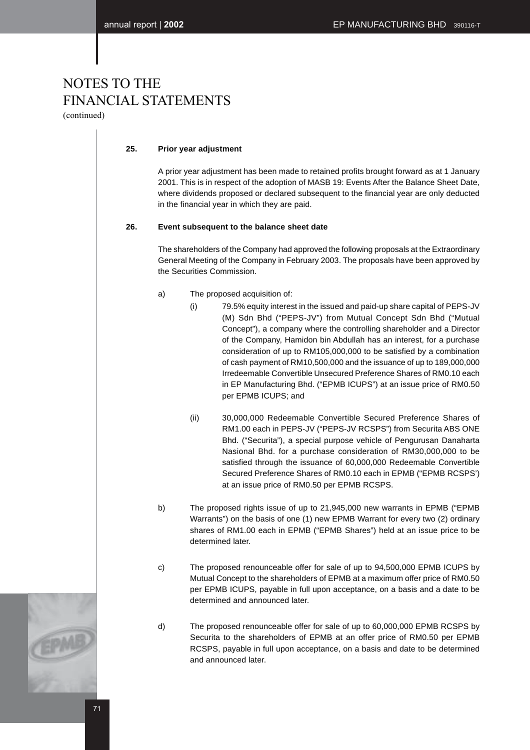(continued)

### **25. Prior year adjustment**

A prior year adjustment has been made to retained profits brought forward as at 1 January 2001. This is in respect of the adoption of MASB 19: Events After the Balance Sheet Date, where dividends proposed or declared subsequent to the financial year are only deducted in the financial year in which they are paid.

### **26. Event subsequent to the balance sheet date**

The shareholders of the Company had approved the following proposals at the Extraordinary General Meeting of the Company in February 2003. The proposals have been approved by the Securities Commission.

- a) The proposed acquisition of:
	- (i) 79.5% equity interest in the issued and paid-up share capital of PEPS-JV (M) Sdn Bhd ("PEPS-JV") from Mutual Concept Sdn Bhd ("Mutual Concept"), a company where the controlling shareholder and a Director of the Company, Hamidon bin Abdullah has an interest, for a purchase consideration of up to RM105,000,000 to be satisfied by a combination of cash payment of RM10,500,000 and the issuance of up to 189,000,000 Irredeemable Convertible Unsecured Preference Shares of RM0.10 each in EP Manufacturing Bhd. ("EPMB ICUPS") at an issue price of RM0.50 per EPMB ICUPS; and
	- (ii) 30,000,000 Redeemable Convertible Secured Preference Shares of RM1.00 each in PEPS-JV ("PEPS-JV RCSPS") from Securita ABS ONE Bhd. ("Securita"), a special purpose vehicle of Pengurusan Danaharta Nasional Bhd. for a purchase consideration of RM30,000,000 to be satisfied through the issuance of 60,000,000 Redeemable Convertible Secured Preference Shares of RM0.10 each in EPMB ("EPMB RCSPS') at an issue price of RM0.50 per EPMB RCSPS.
- b) The proposed rights issue of up to 21,945,000 new warrants in EPMB ("EPMB Warrants") on the basis of one (1) new EPMB Warrant for every two (2) ordinary shares of RM1.00 each in EPMB ("EPMB Shares") held at an issue price to be determined later.
- c) The proposed renounceable offer for sale of up to 94,500,000 EPMB ICUPS by Mutual Concept to the shareholders of EPMB at a maximum offer price of RM0.50 per EPMB ICUPS, payable in full upon acceptance, on a basis and a date to be determined and announced later.
- d) The proposed renounceable offer for sale of up to 60,000,000 EPMB RCSPS by Securita to the shareholders of EPMB at an offer price of RM0.50 per EPMB RCSPS, payable in full upon acceptance, on a basis and date to be determined and announced later.

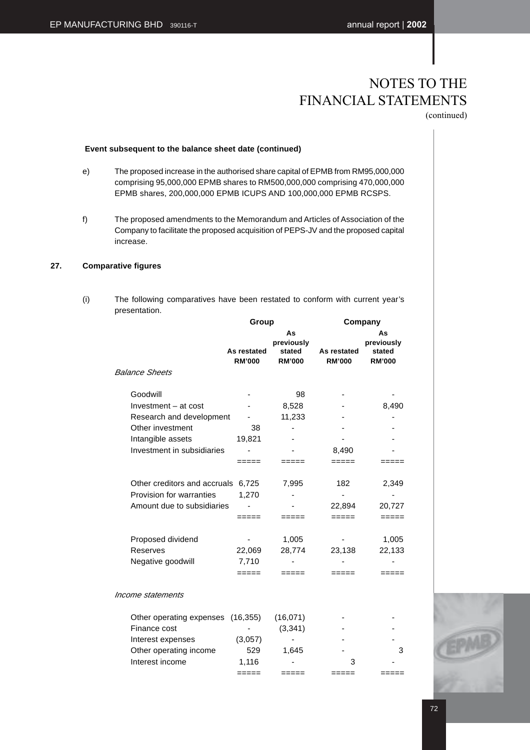## NOTES TO THE FINANCIAL STATEMENTS

(continued)

### **Event subsequent to the balance sheet date (continued)**

- e) The proposed increase in the authorised share capital of EPMB from RM95,000,000 comprising 95,000,000 EPMB shares to RM500,000,000 comprising 470,000,000 EPMB shares, 200,000,000 EPMB ICUPS AND 100,000,000 EPMB RCSPS.
- f) The proposed amendments to the Memorandum and Articles of Association of the Company to facilitate the proposed acquisition of PEPS-JV and the proposed capital increase.

### **27. Comparative figures**

(i) The following comparatives have been restated to conform with current year's presentation.

|                                                                                        | Group                        |                                             | Company                      |                                             |  |
|----------------------------------------------------------------------------------------|------------------------------|---------------------------------------------|------------------------------|---------------------------------------------|--|
|                                                                                        | As restated<br><b>RM'000</b> | As<br>previously<br>stated<br><b>RM'000</b> | As restated<br><b>RM'000</b> | As<br>previously<br>stated<br><b>RM'000</b> |  |
| <b>Balance Sheets</b>                                                                  |                              |                                             |                              |                                             |  |
| Goodwill<br>Investment - at cost                                                       |                              | 98<br>8,528                                 |                              | 8,490                                       |  |
| Research and development                                                               |                              | 11,233                                      |                              |                                             |  |
| Other investment                                                                       | 38                           |                                             |                              |                                             |  |
| Intangible assets                                                                      | 19,821                       |                                             |                              |                                             |  |
| Investment in subsidiaries                                                             |                              |                                             | 8,490                        |                                             |  |
|                                                                                        | =====                        | =====                                       | =====                        | -----                                       |  |
| Other creditors and accruals<br>Provision for warranties<br>Amount due to subsidiaries | 6,725<br>1,270<br>=====      | 7,995<br>=====                              | 182<br>22,894<br>=====       | 2,349<br>20,727<br>=====                    |  |
| Proposed dividend<br>Reserves<br>Negative goodwill                                     | 22,069<br>7,710<br>=====     | 1,005<br>28,774                             | 23,138<br>====               | 1,005<br>22,133                             |  |
| Income statements                                                                      |                              |                                             |                              |                                             |  |
| Other operating expenses<br>Finance cost                                               | (16, 355)                    | (16,071)<br>(3, 341)                        |                              |                                             |  |
| Interest expenses                                                                      | (3,057)                      |                                             |                              |                                             |  |
| Other operating income<br>Interest income                                              | 529<br>1,116                 | 1,645                                       | 3                            | 3                                           |  |
|                                                                                        | =====                        | =====                                       | =====                        | =====                                       |  |
|                                                                                        |                              |                                             |                              |                                             |  |

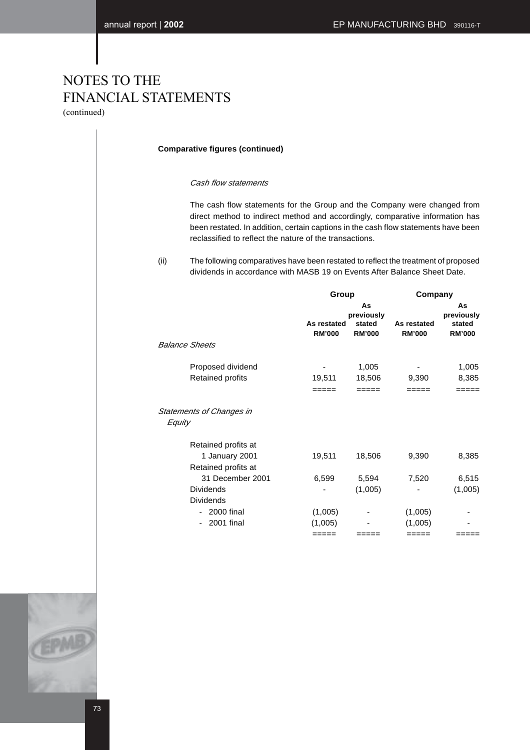## NOTES TO THE FINANCIAL STATEMENTS (continued)

### **Comparative figures (continued)**

### Cash flow statements

The cash flow statements for the Group and the Company were changed from direct method to indirect method and accordingly, comparative information has been restated. In addition, certain captions in the cash flow statements have been reclassified to reflect the nature of the transactions.

<sup>(</sup>ii) The following comparatives have been restated to reflect the treatment of proposed dividends in accordance with MASB 19 on Events After Balance Sheet Date.

|                                           | Group                        |                                             | Company                      |                                             |
|-------------------------------------------|------------------------------|---------------------------------------------|------------------------------|---------------------------------------------|
| <b>Balance Sheets</b>                     | As restated<br><b>RM'000</b> | As<br>previously<br>stated<br><b>RM'000</b> | As restated<br><b>RM'000</b> | As<br>previously<br>stated<br><b>RM'000</b> |
| Proposed dividend                         |                              | 1,005                                       |                              | 1,005                                       |
| <b>Retained profits</b>                   | 19,511                       | 18,506                                      | 9,390                        | 8,385                                       |
|                                           | =====                        | =====                                       | =====                        | =====                                       |
| <b>Statements of Changes in</b><br>Equity |                              |                                             |                              |                                             |
| Retained profits at                       |                              |                                             |                              |                                             |
| 1 January 2001<br>Retained profits at     | 19,511                       | 18,506                                      | 9,390                        | 8,385                                       |
| 31 December 2001                          | 6,599                        | 5,594                                       | 7,520                        | 6,515                                       |
| <b>Dividends</b>                          |                              | (1,005)                                     |                              | (1,005)                                     |
| <b>Dividends</b>                          |                              |                                             |                              |                                             |
| - 2000 final                              | (1,005)                      |                                             | (1,005)                      |                                             |
| 2001 final                                | (1,005)                      |                                             | (1,005)                      |                                             |
|                                           | =====                        | ====                                        | =====                        | ====                                        |



73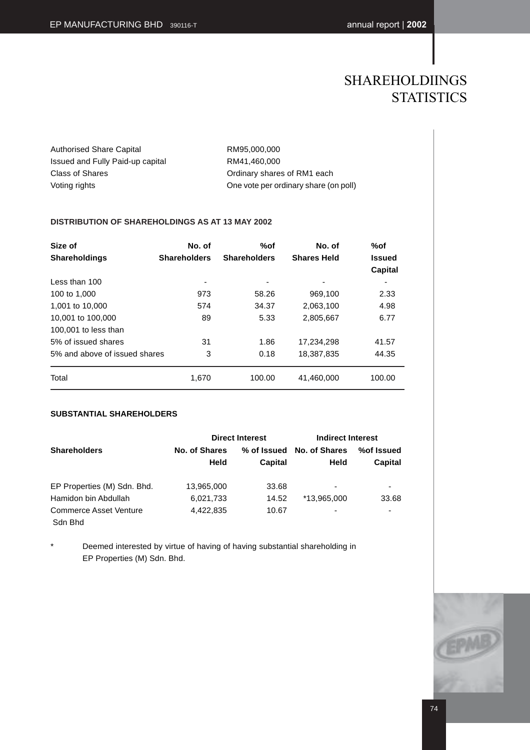## SHAREHOLDIINGS **STATISTICS**

Authorised Share Capital RM95,000,000 Issued and Fully Paid-up capital RM41,460,000 Class of Shares Class of Shares Class of RM1 each Voting rights One vote per ordinary share (on poll)

### **DISTRIBUTION OF SHAREHOLDINGS AS AT 13 MAY 2002**

| Size of<br><b>Shareholdings</b> | No. of<br><b>Shareholders</b> | %of<br><b>Shareholders</b> | No. of<br><b>Shares Held</b> | %of<br><b>Issued</b><br>Capital |
|---------------------------------|-------------------------------|----------------------------|------------------------------|---------------------------------|
| Less than 100                   | ۰                             | -                          | ٠                            | ۰                               |
| 100 to 1,000                    | 973                           | 58.26                      | 969,100                      | 2.33                            |
| 1,001 to 10,000                 | 574                           | 34.37                      | 2,063,100                    | 4.98                            |
| 10,001 to 100,000               | 89                            | 5.33                       | 2,805,667                    | 6.77                            |
| 100,001 to less than            |                               |                            |                              |                                 |
| 5% of issued shares             | 31                            | 1.86                       | 17,234,298                   | 41.57                           |
| 5% and above of issued shares   | 3                             | 0.18                       | 18,387,835                   | 44.35                           |
| Total                           | 1.670                         | 100.00                     | 41,460,000                   | 100.00                          |

### **SUBSTANTIAL SHAREHOLDERS**

|                                   |                       | <b>Direct Interest</b> | Indirect Interest     |                       |
|-----------------------------------|-----------------------|------------------------|-----------------------|-----------------------|
| <b>Shareholders</b>               | No. of Shares<br>Held | % of Issued<br>Capital | No. of Shares<br>Held | %of Issued<br>Capital |
| EP Properties (M) Sdn. Bhd.       | 13,965,000            | 33.68                  | ۰                     | ۰                     |
| Hamidon bin Abdullah              | 6,021,733             | 14.52                  | *13.965.000           | 33.68                 |
| Commerce Asset Venture<br>Sdn Bhd | 4,422,835             | 10.67                  | ۰                     |                       |

Deemed interested by virtue of having of having substantial shareholding in EP Properties (M) Sdn. Bhd.

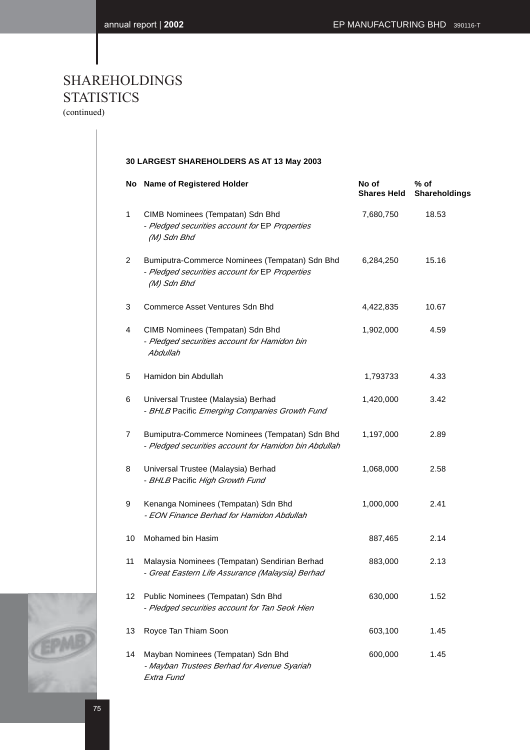# SHAREHOLDINGS **STATISTICS**

(continued)

### **30 LARGEST SHAREHOLDERS AS AT 13 May 2003**

|                | No Name of Registered Holder                                                                                    | No of<br><b>Shares Held</b> | $%$ of<br>Shareholdings |
|----------------|-----------------------------------------------------------------------------------------------------------------|-----------------------------|-------------------------|
| $\mathbf{1}$   | CIMB Nominees (Tempatan) Sdn Bhd<br>- Pledged securities account for EP Properties<br>(M) Sdn Bhd               | 7,680,750                   | 18.53                   |
| $\overline{2}$ | Bumiputra-Commerce Nominees (Tempatan) Sdn Bhd<br>- Pledged securities account for EP Properties<br>(M) Sdn Bhd | 6,284,250                   | 15.16                   |
| 3              | Commerce Asset Ventures Sdn Bhd                                                                                 | 4,422,835                   | 10.67                   |
| 4              | CIMB Nominees (Tempatan) Sdn Bhd<br>- Pledged securities account for Hamidon bin<br>Abdullah                    | 1,902,000                   | 4.59                    |
| 5              | Hamidon bin Abdullah                                                                                            | 1,793733                    | 4.33                    |
| 6              | Universal Trustee (Malaysia) Berhad<br>- BHLB Pacific Emerging Companies Growth Fund                            | 1,420,000                   | 3.42                    |
| 7              | Bumiputra-Commerce Nominees (Tempatan) Sdn Bhd<br>- Pledged securities account for Hamidon bin Abdullah         | 1,197,000                   | 2.89                    |
| 8              | Universal Trustee (Malaysia) Berhad<br>- BHLB Pacific High Growth Fund                                          | 1,068,000                   | 2.58                    |
| 9              | Kenanga Nominees (Tempatan) Sdn Bhd<br>- EON Finance Berhad for Hamidon Abdullah                                | 1,000,000                   | 2.41                    |
| 10             | Mohamed bin Hasim                                                                                               | 887,465                     | 2.14                    |
| 11             | Malaysia Nominees (Tempatan) Sendirian Berhad<br>- Great Eastern Life Assurance (Malaysia) Berhad               | 883,000                     | 2.13                    |
| 12             | Public Nominees (Tempatan) Sdn Bhd<br>- Pledged securities account for Tan Seok Hien                            | 630,000                     | 1.52                    |
| 13             | Royce Tan Thiam Soon                                                                                            | 603,100                     | 1.45                    |
| 14             | Mayban Nominees (Tempatan) Sdn Bhd<br>- Mayban Trustees Berhad for Avenue Syariah<br>Extra Fund                 | 600,000                     | 1.45                    |

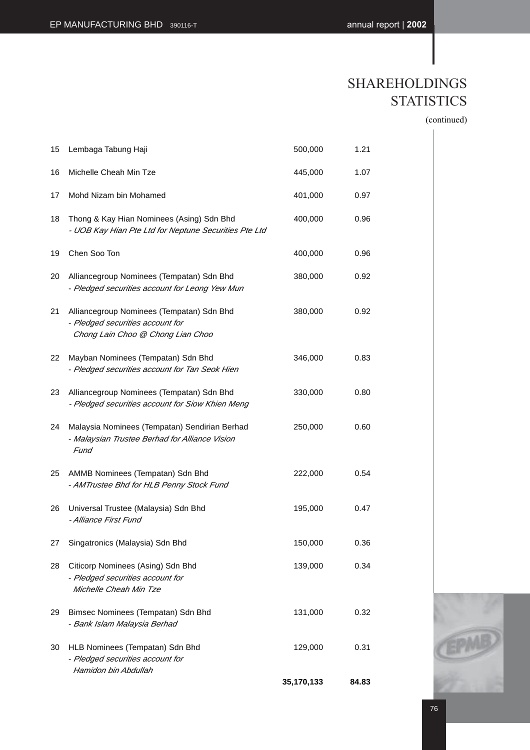## SHAREHOLDINGS **STATISTICS**

(continued)

| 15 | Lembaga Tabung Haji                                                                                                | 500,000    | 1.21  |  |
|----|--------------------------------------------------------------------------------------------------------------------|------------|-------|--|
| 16 | Michelle Cheah Min Tze                                                                                             | 445,000    | 1.07  |  |
| 17 | Mohd Nizam bin Mohamed                                                                                             | 401,000    | 0.97  |  |
| 18 | Thong & Kay Hian Nominees (Asing) Sdn Bhd<br>- UOB Kay Hian Pte Ltd for Neptune Securities Pte Ltd                 | 400,000    | 0.96  |  |
| 19 | Chen Soo Ton                                                                                                       | 400,000    | 0.96  |  |
| 20 | Alliancegroup Nominees (Tempatan) Sdn Bhd<br>- Pledged securities account for Leong Yew Mun                        | 380,000    | 0.92  |  |
| 21 | Alliancegroup Nominees (Tempatan) Sdn Bhd<br>- Pledged securities account for<br>Chong Lain Choo @ Chong Lian Choo | 380,000    | 0.92  |  |
| 22 | Mayban Nominees (Tempatan) Sdn Bhd<br>- Pledged securities account for Tan Seok Hien                               | 346,000    | 0.83  |  |
| 23 | Alliancegroup Nominees (Tempatan) Sdn Bhd<br>- Pledged securities account for Siow Khien Meng                      | 330,000    | 0.80  |  |
| 24 | Malaysia Nominees (Tempatan) Sendirian Berhad<br>- Malaysian Trustee Berhad for Alliance Vision<br>Fund            | 250,000    | 0.60  |  |
| 25 | AMMB Nominees (Tempatan) Sdn Bhd<br>- AMTrustee Bhd for HLB Penny Stock Fund                                       | 222,000    | 0.54  |  |
| 26 | Universal Trustee (Malaysia) Sdn Bhd<br>- Alliance First Fund                                                      | 195,000    | 0.47  |  |
| 27 | Singatronics (Malaysia) Sdn Bhd                                                                                    | 150,000    | 0.36  |  |
| 28 | Citicorp Nominees (Asing) Sdn Bhd<br>- Pledged securities account for<br>Michelle Cheah Min Tze                    | 139,000    | 0.34  |  |
| 29 | Bimsec Nominees (Tempatan) Sdn Bhd<br>- Bank Islam Malaysia Berhad                                                 | 131,000    | 0.32  |  |
| 30 | HLB Nominees (Tempatan) Sdn Bhd<br>- Pledged securities account for<br>Hamidon bin Abdullah                        | 129,000    | 0.31  |  |
|    |                                                                                                                    | 35,170,133 | 84.83 |  |

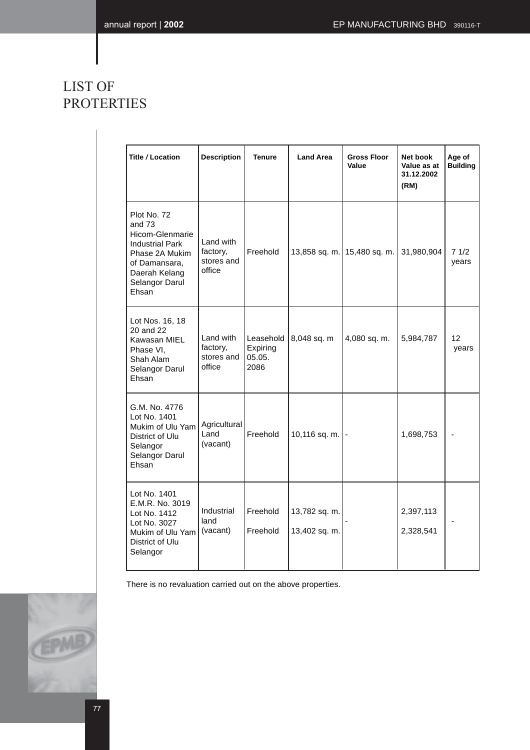## LIST OF PROTERTIES

| Title / Location                                                                                                                                  | <b>Description</b>                            | <b>Land Area</b><br><b>Tenure</b>       |                                | <b>Gross Floor</b><br>Value | Net book<br>Value as at<br>31.12.2002<br>(RM) | Age of<br><b>Building</b> |
|---------------------------------------------------------------------------------------------------------------------------------------------------|-----------------------------------------------|-----------------------------------------|--------------------------------|-----------------------------|-----------------------------------------------|---------------------------|
| Plot No. 72<br>and 73<br>Hicom-Glenmarie<br><b>Industrial Park</b><br>Phase 2A Mukim<br>of Damansara,<br>Daerah Kelang<br>Selangor Darul<br>Ehsan | Land with<br>factory,<br>stores and<br>office | Freehold                                |                                | 13,858 sq. m. 15,480 sq. m. | 31,980,904                                    | 71/2<br>years             |
| Lot Nos. 16, 18<br>20 and 22<br>Kawasan MIEL<br>Phase VI,<br>Shah Alam<br>Selangor Darul<br>Ehsan                                                 | Land with<br>factory,<br>stores and<br>office | Leasehold<br>Expiring<br>05.05.<br>2086 | 8,048 sq. m                    | 4,080 sq. m.                | 5,984,787                                     | 12<br>years               |
| G.M. No. 4776<br>Lot No. 1401<br>Mukim of Ulu Yam<br>District of Ulu<br>Selangor<br>Selangor Darul<br>Ehsan                                       | Agricultural<br>Land<br>(vacant)              | Freehold                                | 10,116 sq. m.                  |                             | 1,698,753                                     |                           |
| Lot No. 1401<br>E.M.R. No. 3019<br>Lot No. 1412<br>Lot No. 3027<br>Mukim of Ulu Yam<br>District of Ulu<br>Selangor                                | Industrial<br>land<br>(vacant)                | Freehold<br>Freehold                    | 13,782 sq. m.<br>13,402 sq. m. |                             | 2,397,113<br>2,328,541                        |                           |

There is no revaluation carried out on the above properties.

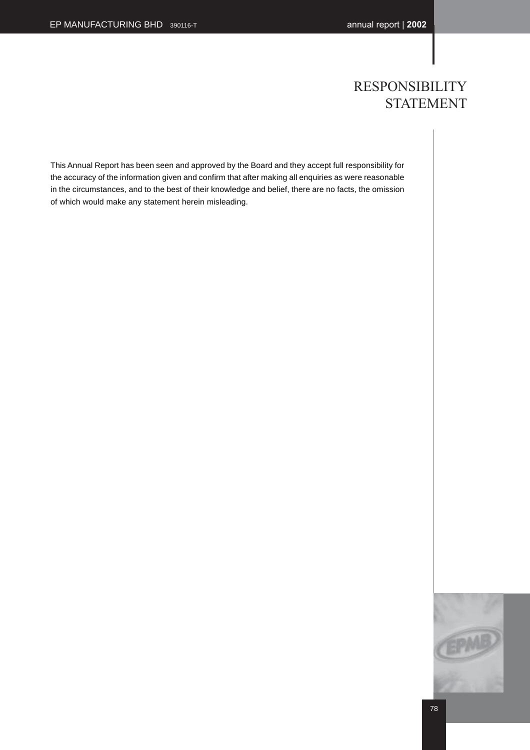## RESPONSIBILITY STATEMENT

This Annual Report has been seen and approved by the Board and they accept full responsibility for the accuracy of the information given and confirm that after making all enquiries as were reasonable in the circumstances, and to the best of their knowledge and belief, there are no facts, the omission of which would make any statement herein misleading.

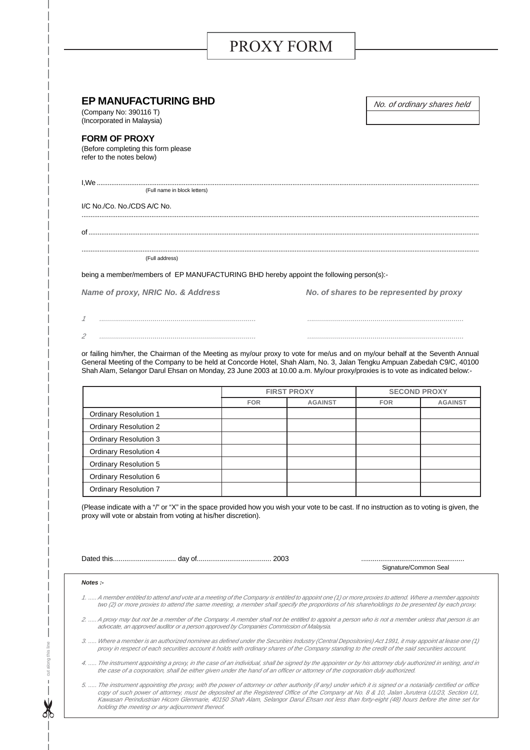# PROXY FORM

| <b>EP MANUFACTURING BHD</b><br>(Company No: 390116 T)<br>(Incorporated in Malaysia)       | No. of ordinary shares held              |
|-------------------------------------------------------------------------------------------|------------------------------------------|
| <b>FORM OF PROXY</b><br>(Before completing this form please)<br>refer to the notes below) |                                          |
| $I.We$<br>(Full name in block letters)                                                    |                                          |
| I/C No./Co. No./CDS A/C No.                                                               |                                          |
|                                                                                           |                                          |
| (Full address)                                                                            |                                          |
| being a member/members of EP MANUFACTURING BHD hereby appoint the following person(s):-   |                                          |
| Name of proxy, NRIC No. & Address                                                         | No. of shares to be represented by proxy |
|                                                                                           |                                          |
|                                                                                           |                                          |

or failing him/her, the Chairman of the Meeting as my/our proxy to vote for me/us and on my/our behalf at the Seventh Annual General Meeting of the Company to be held at Concorde Hotel, Shah Alam, No. 3, Jalan Tengku Ampuan Zabedah C9/C, 40100 Shah Alam, Selangor Darul Ehsan on Monday, 23 June 2003 at 10.00 a.m. My/our proxy/proxies is to vote as indicated below:-

|                              | <b>FIRST PROXY</b> |                | <b>SECOND PROXY</b> |                |
|------------------------------|--------------------|----------------|---------------------|----------------|
|                              | <b>FOR</b>         | <b>AGAINST</b> | <b>FOR</b>          | <b>AGAINST</b> |
| <b>Ordinary Resolution 1</b> |                    |                |                     |                |
| <b>Ordinary Resolution 2</b> |                    |                |                     |                |
| <b>Ordinary Resolution 3</b> |                    |                |                     |                |
| <b>Ordinary Resolution 4</b> |                    |                |                     |                |
| <b>Ordinary Resolution 5</b> |                    |                |                     |                |
| <b>Ordinary Resolution 6</b> |                    |                |                     |                |
| <b>Ordinary Resolution 7</b> |                    |                |                     |                |

(Please indicate with a "/" or "X" in the space provided how you wish your vote to be cast. If no instruction as to voting is given, the proxy will vote or abstain from voting at his/her discretion).

Dated this................................. day of....................................... 2003 ......................................................

Signature/Common Seal

#### **Notes :-**

cut along this line cut along this line

- 1. ..... A member entitled to attend and vote at a meeting of the Company is entitled to appoint one (1) or more proxies to attend. Where a member appoints two (2) or more proxies to attend the same meeting, a member shall specify the proportions of his shareholdings to be presented by each proxy.
- 2. .....A proxy may but not be a member of the Company. A member shall not be entitled to appoint a person who is not a member unless that person is an advocate, an approved auditor or a person approved by Companies Commission of Malaysia.
- 3. ..... Where a member is an authorized nominee as defined under the Securities Industry (Central Depositories) Act 1991, it may appoint at lease one (1) proxy in respect of each securities account it holds with ordinary shares of the Company standing to the credit of the said securities account.
- 4. ..... The instrument appointing a proxy, in the case of an individual, shall be signed by the appointer or by his attorney duly authorized in writing, and in the case of a corporation, shall be either given under the hand of an officer or attorney of the corporation duly authorized.
- 5. ..... The instrument appointing the proxy, with the power of attorney or other authority (if any) under which it is signed or a notarially certified or office copy of such power of attorney, must be deposited at the Registered Office of the Company at No. 8 & 10, Jalan Jurutera U1/23, Section U1, Kawasan Perindustrian Hicom Glenmarie, 40150 Shah Alam, Selangor Darul Ehsan not less than forty-eight (48) hours before the time set for holding the meeting or any adjournment thereof.